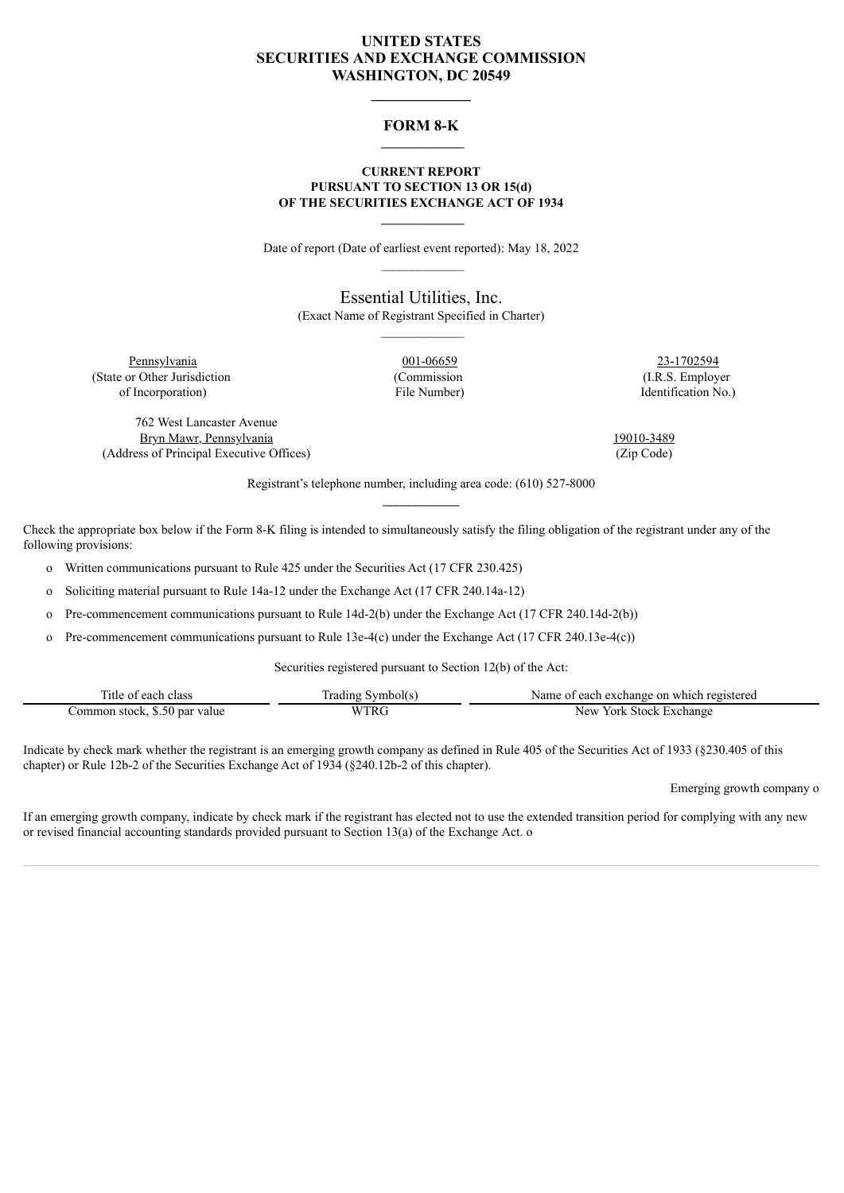# **UNITED STATES SECURITIES AND EXCHANGE COMMISSION WASHINGTON, DC 20549**

**\_\_\_\_\_\_\_\_\_\_\_\_\_**

# **FORM 8-K \_\_\_\_\_\_\_\_\_\_\_\_\_**

#### **CURRENT REPORT PURSUANT TO SECTION 13 OR 15(d) OF THE SECURITIES EXCHANGE ACT OF 1934**

**\_\_\_\_\_\_\_\_\_\_\_\_\_**

Date of report (Date of earliest event reported): May 18, 2022  $\mathcal{L}_\text{max}$ 

> Essential Utilities, Inc. (Exact Name of Registrant Specified in Charter)  $\mathcal{L}_\text{max}$

Pennsylvania 23-1702594 23-1702594 (State or Other Jurisdiction of Incorporation)

(Commission File Number) (I.R.S. Employer Identification No.)

762 West Lancaster Avenue Bryn Mawr, Pennsylvania 19010-3489 (Address of Principal Executive Offices) (Zip Code)

Registrant's telephone number, including area code: (610) 527-8000

Check the appropriate box below if the Form 8-K filing is intended to simultaneously satisfy the filing obligation of the registrant under any of the following provisions:

o Written communications pursuant to Rule 425 under the Securities Act (17 CFR 230.425)

o Soliciting material pursuant to Rule 14a-12 under the Exchange Act (17 CFR 240.14a-12)

o Pre-commencement communications pursuant to Rule 14d-2(b) under the Exchange Act (17 CFR 240.14d-2(b))

o Pre-commencement communications pursuant to Rule 13e-4(c) under the Exchange Act (17 CFR 240.13e-4(c))

Securities registered pursuant to Section 12(b) of the Act:

| Title of each class           | Trading Symbol(s) | Name of each exchange on which registered |
|-------------------------------|-------------------|-------------------------------------------|
| Common stock, \$.50 par value | <b>WTRG</b>       | New York Stock Exchange                   |

Indicate by check mark whether the registrant is an emerging growth company as defined in Rule 405 of the Securities Act of 1933 (§230.405 of this chapter) or Rule 12b-2 of the Securities Exchange Act of 1934 (§240.12b-2 of this chapter).

Emerging growth company o

If an emerging growth company, indicate by check mark if the registrant has elected not to use the extended transition period for complying with any new or revised financial accounting standards provided pursuant to Section 13(a) of the Exchange Act. o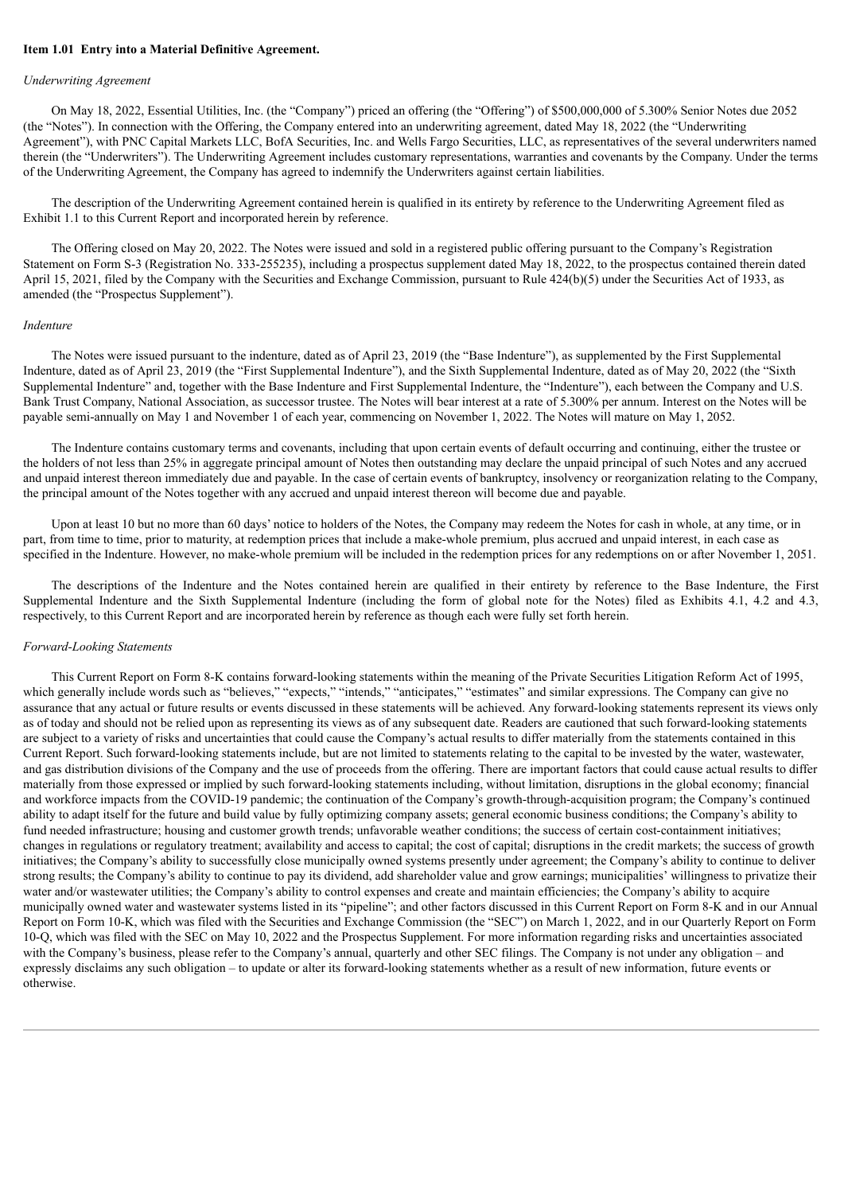#### **Item 1.01 Entry into a Material Definitive Agreement.**

#### *Underwriting Agreement*

On May 18, 2022, Essential Utilities, Inc. (the "Company") priced an offering (the "Offering") of \$500,000,000 of 5.300% Senior Notes due 2052 (the "Notes"). In connection with the Offering, the Company entered into an underwriting agreement, dated May 18, 2022 (the "Underwriting Agreement"), with PNC Capital Markets LLC, BofA Securities, Inc. and Wells Fargo Securities, LLC, as representatives of the several underwriters named therein (the "Underwriters"). The Underwriting Agreement includes customary representations, warranties and covenants by the Company. Under the terms of the Underwriting Agreement, the Company has agreed to indemnify the Underwriters against certain liabilities.

The description of the Underwriting Agreement contained herein is qualified in its entirety by reference to the Underwriting Agreement filed as Exhibit 1.1 to this Current Report and incorporated herein by reference.

The Offering closed on May 20, 2022. The Notes were issued and sold in a registered public offering pursuant to the Company's Registration Statement on Form S-3 (Registration No. 333-255235), including a prospectus supplement dated May 18, 2022, to the prospectus contained therein dated April 15, 2021, filed by the Company with the Securities and Exchange Commission, pursuant to Rule 424(b)(5) under the Securities Act of 1933, as amended (the "Prospectus Supplement").

#### *Indenture*

The Notes were issued pursuant to the indenture, dated as of April 23, 2019 (the "Base Indenture"), as supplemented by the First Supplemental Indenture, dated as of April 23, 2019 (the "First Supplemental Indenture"), and the Sixth Supplemental Indenture, dated as of May 20, 2022 (the "Sixth Supplemental Indenture" and, together with the Base Indenture and First Supplemental Indenture, the "Indenture"), each between the Company and U.S. Bank Trust Company, National Association, as successor trustee. The Notes will bear interest at a rate of 5.300% per annum. Interest on the Notes will be payable semi-annually on May 1 and November 1 of each year, commencing on November 1, 2022. The Notes will mature on May 1, 2052.

The Indenture contains customary terms and covenants, including that upon certain events of default occurring and continuing, either the trustee or the holders of not less than 25% in aggregate principal amount of Notes then outstanding may declare the unpaid principal of such Notes and any accrued and unpaid interest thereon immediately due and payable. In the case of certain events of bankruptcy, insolvency or reorganization relating to the Company, the principal amount of the Notes together with any accrued and unpaid interest thereon will become due and payable.

Upon at least 10 but no more than 60 days' notice to holders of the Notes, the Company may redeem the Notes for cash in whole, at any time, or in part, from time to time, prior to maturity, at redemption prices that include a make-whole premium, plus accrued and unpaid interest, in each case as specified in the Indenture. However, no make-whole premium will be included in the redemption prices for any redemptions on or after November 1, 2051.

The descriptions of the Indenture and the Notes contained herein are qualified in their entirety by reference to the Base Indenture, the First Supplemental Indenture and the Sixth Supplemental Indenture (including the form of global note for the Notes) filed as Exhibits 4.1, 4.2 and 4.3, respectively, to this Current Report and are incorporated herein by reference as though each were fully set forth herein.

#### *Forward-Looking Statements*

This Current Report on Form 8-K contains forward-looking statements within the meaning of the Private Securities Litigation Reform Act of 1995, which generally include words such as "believes," "expects," "intends," "anticipates," "estimates" and similar expressions. The Company can give no assurance that any actual or future results or events discussed in these statements will be achieved. Any forward-looking statements represent its views only as of today and should not be relied upon as representing its views as of any subsequent date. Readers are cautioned that such forward-looking statements are subject to a variety of risks and uncertainties that could cause the Company's actual results to differ materially from the statements contained in this Current Report. Such forward-looking statements include, but are not limited to statements relating to the capital to be invested by the water, wastewater, and gas distribution divisions of the Company and the use of proceeds from the offering. There are important factors that could cause actual results to differ materially from those expressed or implied by such forward-looking statements including, without limitation, disruptions in the global economy; financial and workforce impacts from the COVID-19 pandemic; the continuation of the Company's growth-through-acquisition program; the Company's continued ability to adapt itself for the future and build value by fully optimizing company assets; general economic business conditions; the Company's ability to fund needed infrastructure; housing and customer growth trends; unfavorable weather conditions; the success of certain cost-containment initiatives; changes in regulations or regulatory treatment; availability and access to capital; the cost of capital; disruptions in the credit markets; the success of growth initiatives; the Company's ability to successfully close municipally owned systems presently under agreement; the Company's ability to continue to deliver strong results; the Company's ability to continue to pay its dividend, add shareholder value and grow earnings; municipalities' willingness to privatize their water and/or wastewater utilities; the Company's ability to control expenses and create and maintain efficiencies; the Company's ability to acquire municipally owned water and wastewater systems listed in its "pipeline"; and other factors discussed in this Current Report on Form 8-K and in our Annual Report on Form 10-K, which was filed with the Securities and Exchange Commission (the "SEC") on March 1, 2022, and in our Quarterly Report on Form 10-Q, which was filed with the SEC on May 10, 2022 and the Prospectus Supplement. For more information regarding risks and uncertainties associated with the Company's business, please refer to the Company's annual, quarterly and other SEC filings. The Company is not under any obligation – and expressly disclaims any such obligation – to update or alter its forward-looking statements whether as a result of new information, future events or otherwise.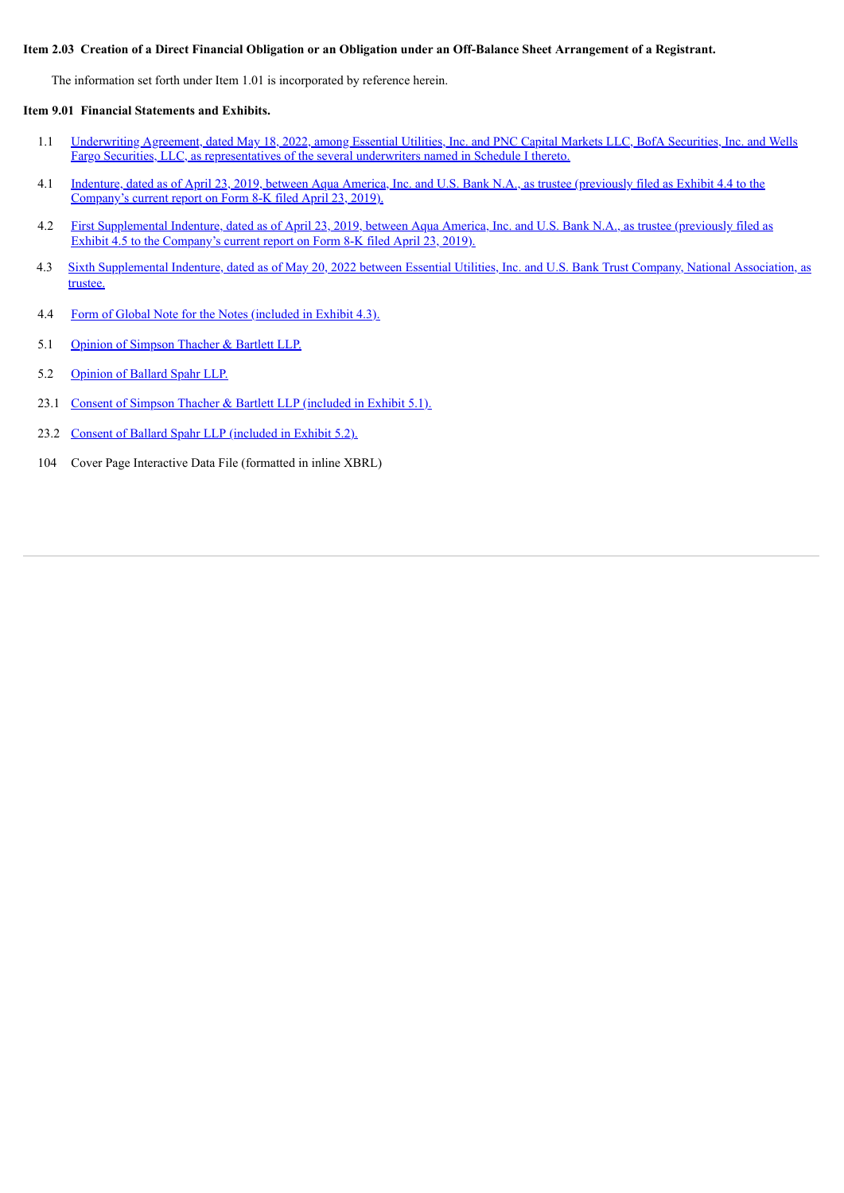#### Item 2.03 Creation of a Direct Financial Obligation or an Obligation under an Off-Balance Sheet Arrangement of a Registrant.

The information set forth under Item 1.01 is incorporated by reference herein.

#### **Item 9.01 Financial Statements and Exhibits.**

- 1.1 Underwriting Agreement, dated May 18, 2022, among Essential Utilities, Inc. and PNC Capital Markets LLC, BofA Securities, Inc. and Wells Fargo Securities, LLC, as [representatives](#page-4-0) of the several underwriters named in Schedule I thereto.
- 4.1 Indenture, dated as of April 23, 2019, between Aqua America, Inc. and U.S. Bank N.A., as trustee (previously filed as Exhibit 4.4 to the [Company's](https://www.sec.gov/Archives/edgar/data/78128/000155278119000189/e19232_ex4-4.htm) current report on Form 8-K filed April 23, 2019).
- 4.2 First [Supplemental](https://www.sec.gov/Archives/edgar/data/78128/000155278119000189/e19232_ex4-5.htm) Indenture, dated as of April 23, 2019, between Aqua America, Inc. and U.S. Bank N.A., as trustee (previously filed as Exhibit 4.5 to the Company's current report on Form 8-K filed April 23, 2019).
- 4.3 Sixth [Supplemental](#page-34-0) Indenture, dated as of May 20, 2022 between Essential Utilities, Inc. and U.S. Bank Trust Company, National Association, as trustee.
- 4.4 Form of Global Note for the Notes [\(included](#page-34-0) in Exhibit 4.3).
- 5.1 Opinion of [Simpson](#page-59-0) Thacher & Bartlett LLP.
- 5.2 [Opinion](#page-62-0) of Ballard Spahr LLP.
- 23.1 Consent of Simpson Thacher & Bartlett LLP [\(included](#page-59-0) in Exhibit 5.1).
- 23.2 Consent of Ballard Spahr LLP [\(included](#page-62-0) in Exhibit 5.2).
- 104 Cover Page Interactive Data File (formatted in inline XBRL)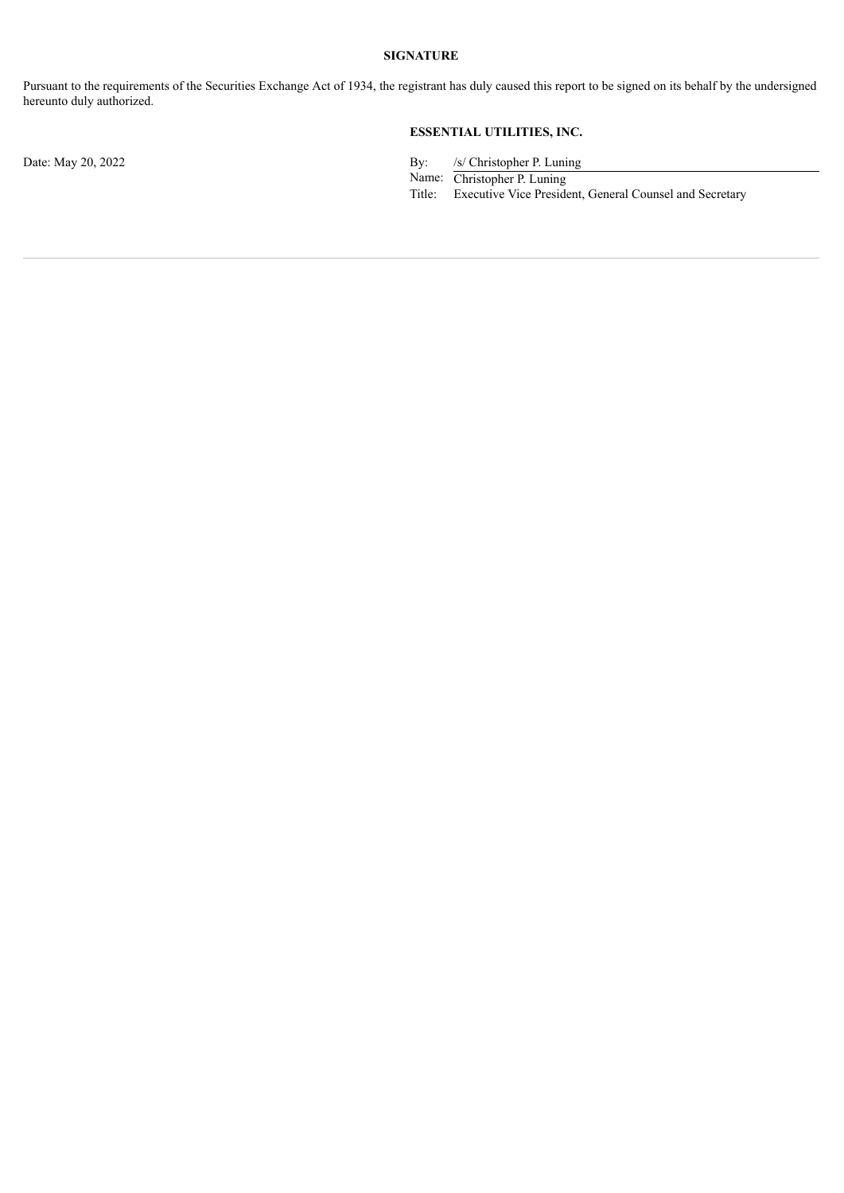#### **SIGNATURE**

Pursuant to the requirements of the Securities Exchange Act of 1934, the registrant has duly caused this report to be signed on its behalf by the undersigned hereunto duly authorized.

# **ESSENTIAL UTILITIES, INC.**

Date: May 20, 2022 By: /s/ Christopher P. Luning

Name: Christopher P. Luning

Title: Executive Vice President, General Counsel and Secretary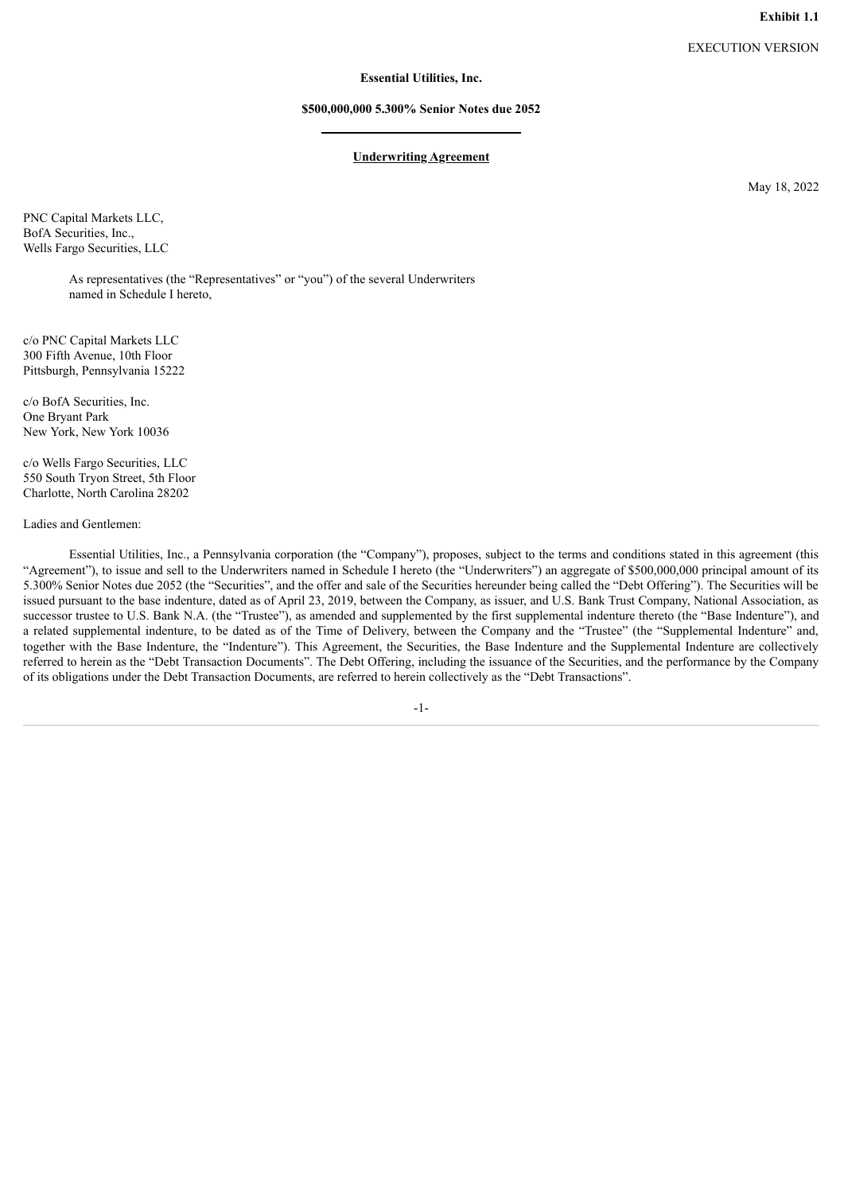#### **Essential Utilities, Inc.**

#### **\$500,000,000 5.300% Senior Notes due 2052**

#### **Underwriting Agreement**

May 18, 2022

<span id="page-4-0"></span>PNC Capital Markets LLC, BofA Securities, Inc., Wells Fargo Securities, LLC

> As representatives (the "Representatives" or "you") of the several Underwriters named in Schedule I hereto,

c/o PNC Capital Markets LLC 300 Fifth Avenue, 10th Floor Pittsburgh, Pennsylvania 15222

c/o BofA Securities, Inc. One Bryant Park New York, New York 10036

c/o Wells Fargo Securities, LLC 550 South Tryon Street, 5th Floor Charlotte, North Carolina 28202

#### Ladies and Gentlemen:

Essential Utilities, Inc., a Pennsylvania corporation (the "Company"), proposes, subject to the terms and conditions stated in this agreement (this "Agreement"), to issue and sell to the Underwriters named in Schedule I hereto (the "Underwriters") an aggregate of \$500,000,000 principal amount of its 5.300% Senior Notes due 2052 (the "Securities", and the offer and sale of the Securities hereunder being called the "Debt Offering"). The Securities will be issued pursuant to the base indenture, dated as of April 23, 2019, between the Company, as issuer, and U.S. Bank Trust Company, National Association, as successor trustee to U.S. Bank N.A. (the "Trustee"), as amended and supplemented by the first supplemental indenture thereto (the "Base Indenture"), and a related supplemental indenture, to be dated as of the Time of Delivery, between the Company and the "Trustee" (the "Supplemental Indenture" and, together with the Base Indenture, the "Indenture"). This Agreement, the Securities, the Base Indenture and the Supplemental Indenture are collectively referred to herein as the "Debt Transaction Documents". The Debt Offering, including the issuance of the Securities, and the performance by the Company of its obligations under the Debt Transaction Documents, are referred to herein collectively as the "Debt Transactions".

# -1-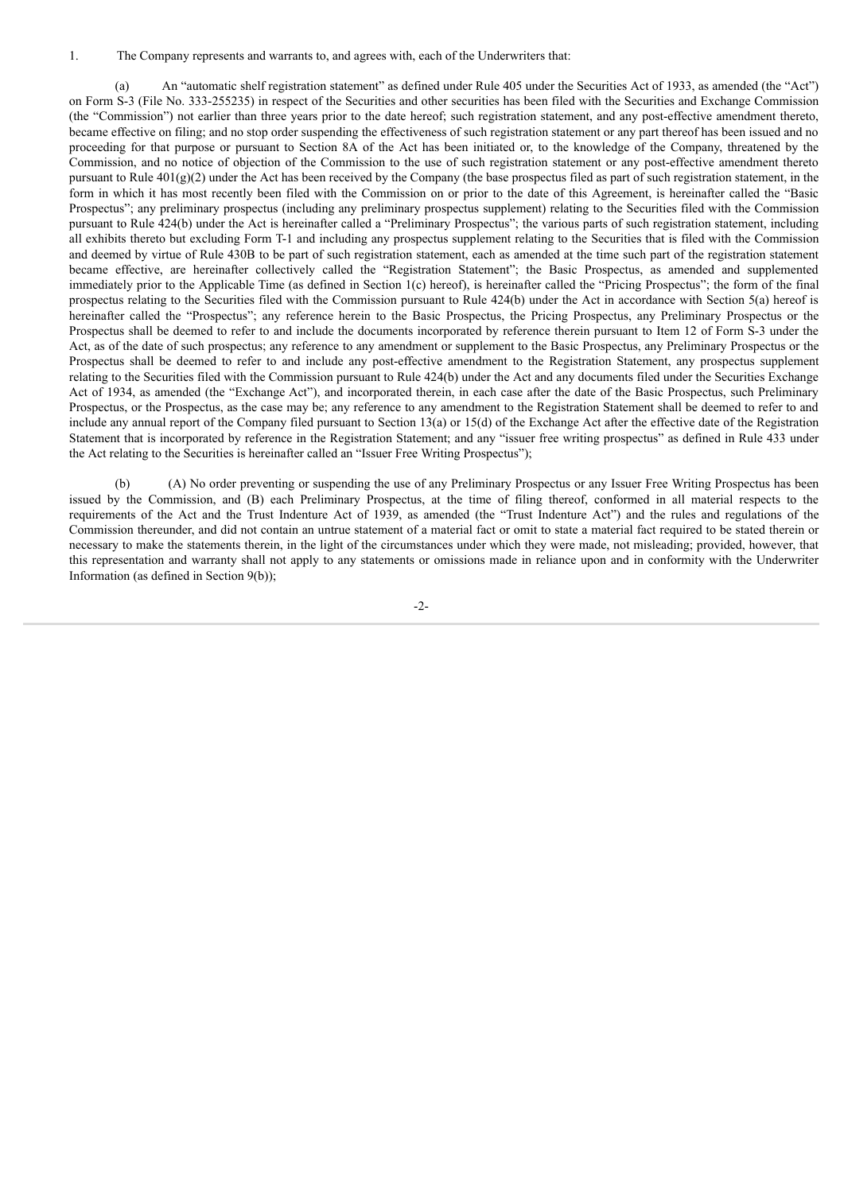1. The Company represents and warrants to, and agrees with, each of the Underwriters that:

(a) An "automatic shelf registration statement" as defined under Rule 405 under the Securities Act of 1933, as amended (the "Act") on Form S-3 (File No. 333-255235) in respect of the Securities and other securities has been filed with the Securities and Exchange Commission (the "Commission") not earlier than three years prior to the date hereof; such registration statement, and any post-effective amendment thereto, became effective on filing; and no stop order suspending the effectiveness of such registration statement or any part thereof has been issued and no proceeding for that purpose or pursuant to Section 8A of the Act has been initiated or, to the knowledge of the Company, threatened by the Commission, and no notice of objection of the Commission to the use of such registration statement or any post-effective amendment thereto pursuant to Rule 401(g)(2) under the Act has been received by the Company (the base prospectus filed as part of such registration statement, in the form in which it has most recently been filed with the Commission on or prior to the date of this Agreement, is hereinafter called the "Basic Prospectus"; any preliminary prospectus (including any preliminary prospectus supplement) relating to the Securities filed with the Commission pursuant to Rule 424(b) under the Act is hereinafter called a "Preliminary Prospectus"; the various parts of such registration statement, including all exhibits thereto but excluding Form T-1 and including any prospectus supplement relating to the Securities that is filed with the Commission and deemed by virtue of Rule 430B to be part of such registration statement, each as amended at the time such part of the registration statement became effective, are hereinafter collectively called the "Registration Statement"; the Basic Prospectus, as amended and supplemented immediately prior to the Applicable Time (as defined in Section 1(c) hereof), is hereinafter called the "Pricing Prospectus"; the form of the final prospectus relating to the Securities filed with the Commission pursuant to Rule 424(b) under the Act in accordance with Section 5(a) hereof is hereinafter called the "Prospectus"; any reference herein to the Basic Prospectus, the Pricing Prospectus, any Preliminary Prospectus or the Prospectus shall be deemed to refer to and include the documents incorporated by reference therein pursuant to Item 12 of Form S-3 under the Act, as of the date of such prospectus; any reference to any amendment or supplement to the Basic Prospectus, any Preliminary Prospectus or the Prospectus shall be deemed to refer to and include any post-effective amendment to the Registration Statement, any prospectus supplement relating to the Securities filed with the Commission pursuant to Rule 424(b) under the Act and any documents filed under the Securities Exchange Act of 1934, as amended (the "Exchange Act"), and incorporated therein, in each case after the date of the Basic Prospectus, such Preliminary Prospectus, or the Prospectus, as the case may be; any reference to any amendment to the Registration Statement shall be deemed to refer to and include any annual report of the Company filed pursuant to Section 13(a) or 15(d) of the Exchange Act after the effective date of the Registration Statement that is incorporated by reference in the Registration Statement; and any "issuer free writing prospectus" as defined in Rule 433 under the Act relating to the Securities is hereinafter called an "Issuer Free Writing Prospectus");

(b) (A) No order preventing or suspending the use of any Preliminary Prospectus or any Issuer Free Writing Prospectus has been issued by the Commission, and (B) each Preliminary Prospectus, at the time of filing thereof, conformed in all material respects to the requirements of the Act and the Trust Indenture Act of 1939, as amended (the "Trust Indenture Act") and the rules and regulations of the Commission thereunder, and did not contain an untrue statement of a material fact or omit to state a material fact required to be stated therein or necessary to make the statements therein, in the light of the circumstances under which they were made, not misleading; provided, however, that this representation and warranty shall not apply to any statements or omissions made in reliance upon and in conformity with the Underwriter Information (as defined in Section 9(b));

-2-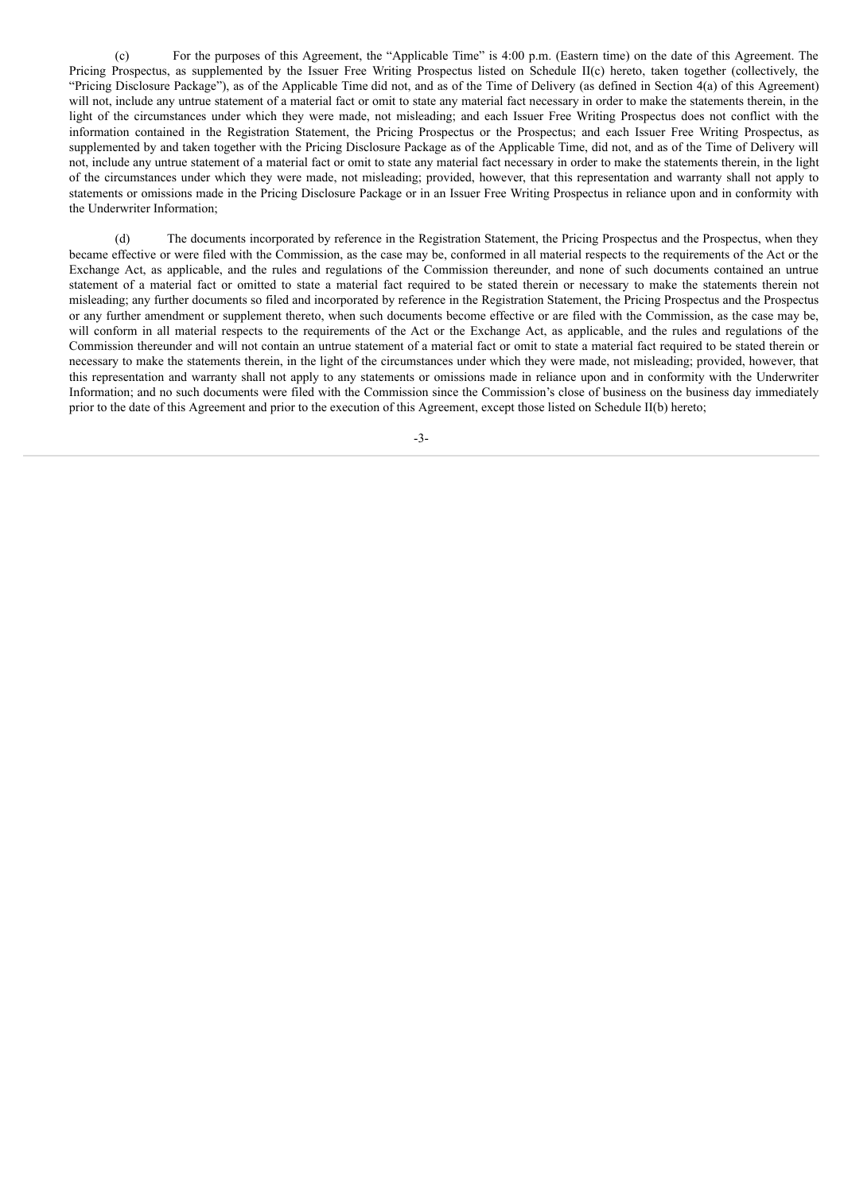(c) For the purposes of this Agreement, the "Applicable Time" is 4:00 p.m. (Eastern time) on the date of this Agreement. The Pricing Prospectus, as supplemented by the Issuer Free Writing Prospectus listed on Schedule II(c) hereto, taken together (collectively, the "Pricing Disclosure Package"), as of the Applicable Time did not, and as of the Time of Delivery (as defined in Section 4(a) of this Agreement) will not, include any untrue statement of a material fact or omit to state any material fact necessary in order to make the statements therein, in the light of the circumstances under which they were made, not misleading; and each Issuer Free Writing Prospectus does not conflict with the information contained in the Registration Statement, the Pricing Prospectus or the Prospectus; and each Issuer Free Writing Prospectus, as supplemented by and taken together with the Pricing Disclosure Package as of the Applicable Time, did not, and as of the Time of Delivery will not, include any untrue statement of a material fact or omit to state any material fact necessary in order to make the statements therein, in the light of the circumstances under which they were made, not misleading; provided, however, that this representation and warranty shall not apply to statements or omissions made in the Pricing Disclosure Package or in an Issuer Free Writing Prospectus in reliance upon and in conformity with the Underwriter Information;

(d) The documents incorporated by reference in the Registration Statement, the Pricing Prospectus and the Prospectus, when they became effective or were filed with the Commission, as the case may be, conformed in all material respects to the requirements of the Act or the Exchange Act, as applicable, and the rules and regulations of the Commission thereunder, and none of such documents contained an untrue statement of a material fact or omitted to state a material fact required to be stated therein or necessary to make the statements therein not misleading; any further documents so filed and incorporated by reference in the Registration Statement, the Pricing Prospectus and the Prospectus or any further amendment or supplement thereto, when such documents become effective or are filed with the Commission, as the case may be, will conform in all material respects to the requirements of the Act or the Exchange Act, as applicable, and the rules and regulations of the Commission thereunder and will not contain an untrue statement of a material fact or omit to state a material fact required to be stated therein or necessary to make the statements therein, in the light of the circumstances under which they were made, not misleading; provided, however, that this representation and warranty shall not apply to any statements or omissions made in reliance upon and in conformity with the Underwriter Information; and no such documents were filed with the Commission since the Commission's close of business on the business day immediately prior to the date of this Agreement and prior to the execution of this Agreement, except those listed on Schedule II(b) hereto;

-3-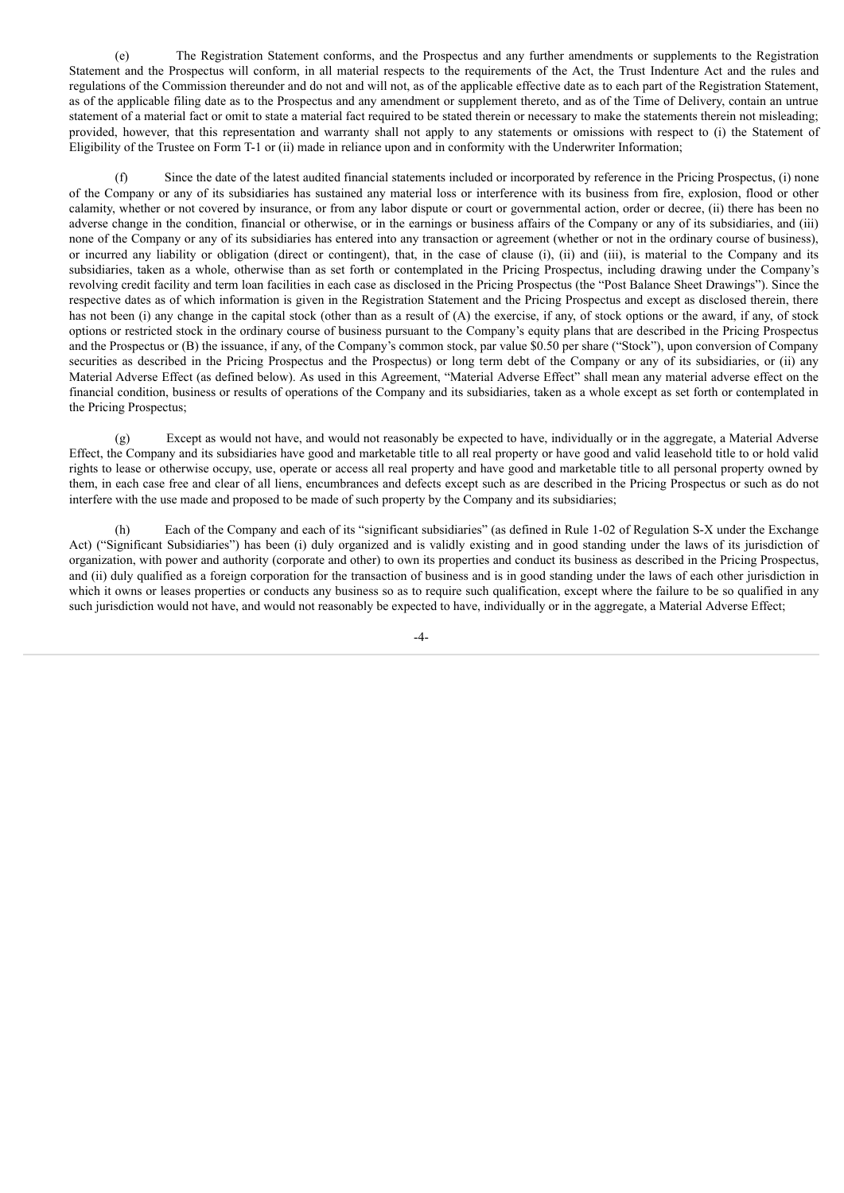(e) The Registration Statement conforms, and the Prospectus and any further amendments or supplements to the Registration Statement and the Prospectus will conform, in all material respects to the requirements of the Act, the Trust Indenture Act and the rules and regulations of the Commission thereunder and do not and will not, as of the applicable effective date as to each part of the Registration Statement, as of the applicable filing date as to the Prospectus and any amendment or supplement thereto, and as of the Time of Delivery, contain an untrue statement of a material fact or omit to state a material fact required to be stated therein or necessary to make the statements therein not misleading; provided, however, that this representation and warranty shall not apply to any statements or omissions with respect to (i) the Statement of Eligibility of the Trustee on Form T-1 or (ii) made in reliance upon and in conformity with the Underwriter Information;

(f) Since the date of the latest audited financial statements included or incorporated by reference in the Pricing Prospectus, (i) none of the Company or any of its subsidiaries has sustained any material loss or interference with its business from fire, explosion, flood or other calamity, whether or not covered by insurance, or from any labor dispute or court or governmental action, order or decree, (ii) there has been no adverse change in the condition, financial or otherwise, or in the earnings or business affairs of the Company or any of its subsidiaries, and (iii) none of the Company or any of its subsidiaries has entered into any transaction or agreement (whether or not in the ordinary course of business), or incurred any liability or obligation (direct or contingent), that, in the case of clause (i), (ii) and (iii), is material to the Company and its subsidiaries, taken as a whole, otherwise than as set forth or contemplated in the Pricing Prospectus, including drawing under the Company's revolving credit facility and term loan facilities in each case as disclosed in the Pricing Prospectus (the "Post Balance Sheet Drawings"). Since the respective dates as of which information is given in the Registration Statement and the Pricing Prospectus and except as disclosed therein, there has not been (i) any change in the capital stock (other than as a result of (A) the exercise, if any, of stock options or the award, if any, of stock options or restricted stock in the ordinary course of business pursuant to the Company's equity plans that are described in the Pricing Prospectus and the Prospectus or (B) the issuance, if any, of the Company's common stock, par value \$0.50 per share ("Stock"), upon conversion of Company securities as described in the Pricing Prospectus and the Prospectus) or long term debt of the Company or any of its subsidiaries, or (ii) any Material Adverse Effect (as defined below). As used in this Agreement, "Material Adverse Effect" shall mean any material adverse effect on the financial condition, business or results of operations of the Company and its subsidiaries, taken as a whole except as set forth or contemplated in the Pricing Prospectus;

(g) Except as would not have, and would not reasonably be expected to have, individually or in the aggregate, a Material Adverse Effect, the Company and its subsidiaries have good and marketable title to all real property or have good and valid leasehold title to or hold valid rights to lease or otherwise occupy, use, operate or access all real property and have good and marketable title to all personal property owned by them, in each case free and clear of all liens, encumbrances and defects except such as are described in the Pricing Prospectus or such as do not interfere with the use made and proposed to be made of such property by the Company and its subsidiaries;

Each of the Company and each of its "significant subsidiaries" (as defined in Rule 1-02 of Regulation S-X under the Exchange Act) ("Significant Subsidiaries") has been (i) duly organized and is validly existing and in good standing under the laws of its jurisdiction of organization, with power and authority (corporate and other) to own its properties and conduct its business as described in the Pricing Prospectus, and (ii) duly qualified as a foreign corporation for the transaction of business and is in good standing under the laws of each other jurisdiction in which it owns or leases properties or conducts any business so as to require such qualification, except where the failure to be so qualified in any such jurisdiction would not have, and would not reasonably be expected to have, individually or in the aggregate, a Material Adverse Effect;

-4-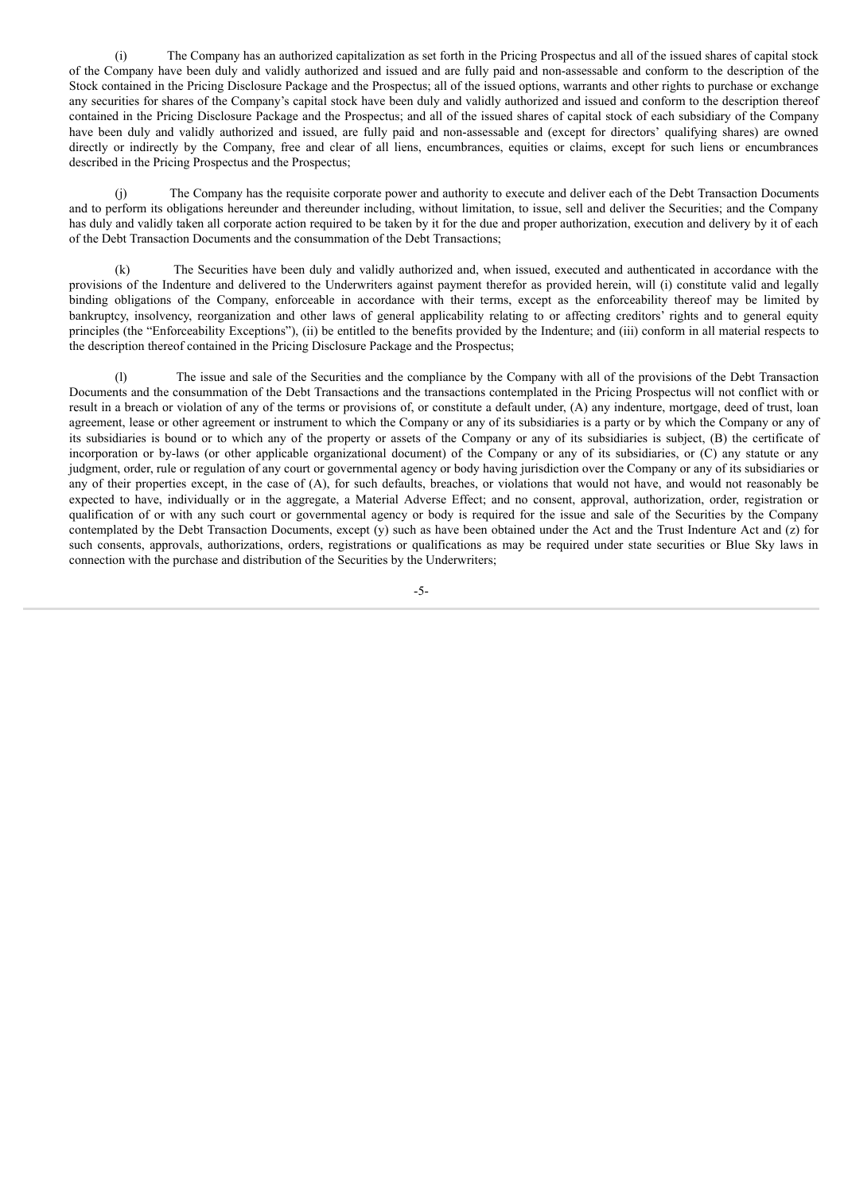(i) The Company has an authorized capitalization as set forth in the Pricing Prospectus and all of the issued shares of capital stock of the Company have been duly and validly authorized and issued and are fully paid and non-assessable and conform to the description of the Stock contained in the Pricing Disclosure Package and the Prospectus; all of the issued options, warrants and other rights to purchase or exchange any securities for shares of the Company's capital stock have been duly and validly authorized and issued and conform to the description thereof contained in the Pricing Disclosure Package and the Prospectus; and all of the issued shares of capital stock of each subsidiary of the Company have been duly and validly authorized and issued, are fully paid and non-assessable and (except for directors' qualifying shares) are owned directly or indirectly by the Company, free and clear of all liens, encumbrances, equities or claims, except for such liens or encumbrances described in the Pricing Prospectus and the Prospectus;

The Company has the requisite corporate power and authority to execute and deliver each of the Debt Transaction Documents and to perform its obligations hereunder and thereunder including, without limitation, to issue, sell and deliver the Securities; and the Company has duly and validly taken all corporate action required to be taken by it for the due and proper authorization, execution and delivery by it of each of the Debt Transaction Documents and the consummation of the Debt Transactions;

(k) The Securities have been duly and validly authorized and, when issued, executed and authenticated in accordance with the provisions of the Indenture and delivered to the Underwriters against payment therefor as provided herein, will (i) constitute valid and legally binding obligations of the Company, enforceable in accordance with their terms, except as the enforceability thereof may be limited by bankruptcy, insolvency, reorganization and other laws of general applicability relating to or affecting creditors' rights and to general equity principles (the "Enforceability Exceptions"), (ii) be entitled to the benefits provided by the Indenture; and (iii) conform in all material respects to the description thereof contained in the Pricing Disclosure Package and the Prospectus;

The issue and sale of the Securities and the compliance by the Company with all of the provisions of the Debt Transaction Documents and the consummation of the Debt Transactions and the transactions contemplated in the Pricing Prospectus will not conflict with or result in a breach or violation of any of the terms or provisions of, or constitute a default under, (A) any indenture, mortgage, deed of trust, loan agreement, lease or other agreement or instrument to which the Company or any of its subsidiaries is a party or by which the Company or any of its subsidiaries is bound or to which any of the property or assets of the Company or any of its subsidiaries is subject, (B) the certificate of incorporation or by-laws (or other applicable organizational document) of the Company or any of its subsidiaries, or (C) any statute or any judgment, order, rule or regulation of any court or governmental agency or body having jurisdiction over the Company or any of its subsidiaries or any of their properties except, in the case of (A), for such defaults, breaches, or violations that would not have, and would not reasonably be expected to have, individually or in the aggregate, a Material Adverse Effect; and no consent, approval, authorization, order, registration or qualification of or with any such court or governmental agency or body is required for the issue and sale of the Securities by the Company contemplated by the Debt Transaction Documents, except (y) such as have been obtained under the Act and the Trust Indenture Act and (z) for such consents, approvals, authorizations, orders, registrations or qualifications as may be required under state securities or Blue Sky laws in connection with the purchase and distribution of the Securities by the Underwriters;

-5-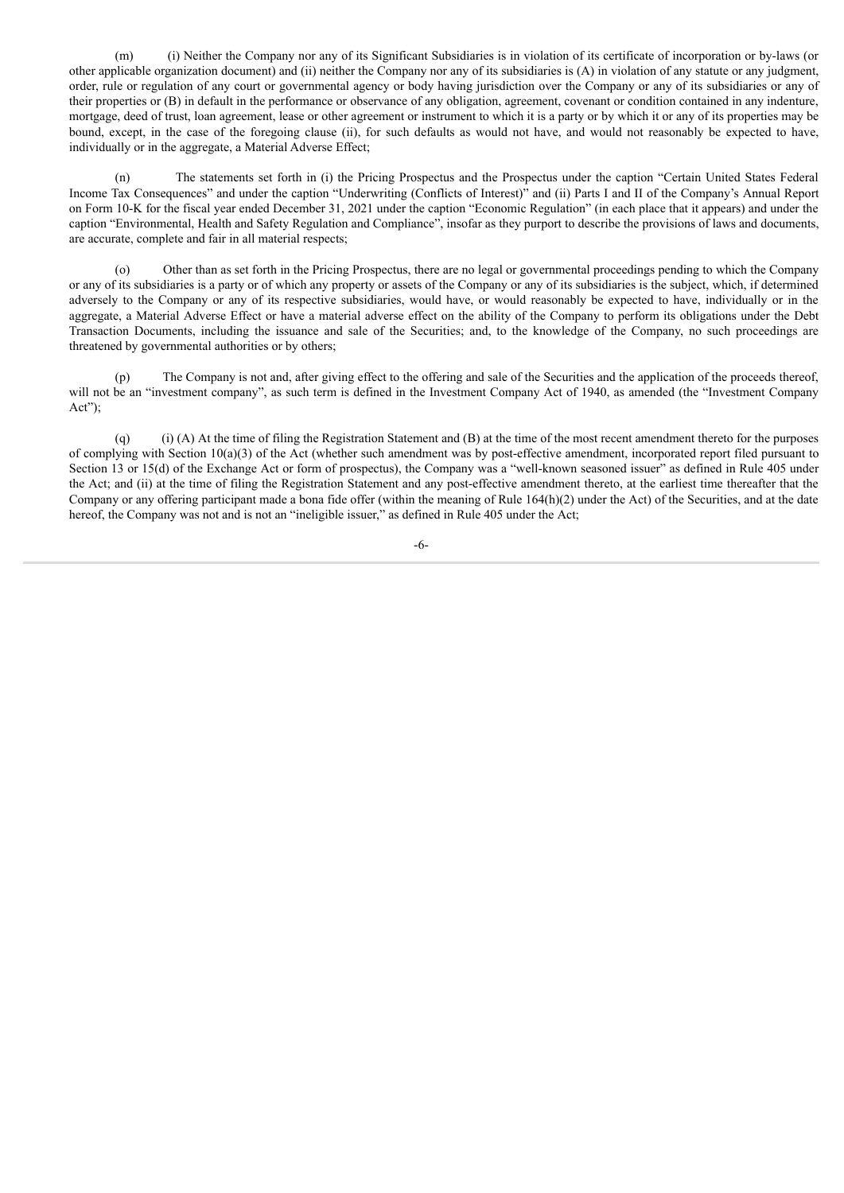(m) (i) Neither the Company nor any of its Significant Subsidiaries is in violation of its certificate of incorporation or by-laws (or other applicable organization document) and (ii) neither the Company nor any of its subsidiaries is (A) in violation of any statute or any judgment, order, rule or regulation of any court or governmental agency or body having jurisdiction over the Company or any of its subsidiaries or any of their properties or (B) in default in the performance or observance of any obligation, agreement, covenant or condition contained in any indenture, mortgage, deed of trust, loan agreement, lease or other agreement or instrument to which it is a party or by which it or any of its properties may be bound, except, in the case of the foregoing clause (ii), for such defaults as would not have, and would not reasonably be expected to have, individually or in the aggregate, a Material Adverse Effect;

(n) The statements set forth in (i) the Pricing Prospectus and the Prospectus under the caption "Certain United States Federal Income Tax Consequences" and under the caption "Underwriting (Conflicts of Interest)" and (ii) Parts I and II of the Company's Annual Report on Form 10-K for the fiscal year ended December 31, 2021 under the caption "Economic Regulation" (in each place that it appears) and under the caption "Environmental, Health and Safety Regulation and Compliance", insofar as they purport to describe the provisions of laws and documents, are accurate, complete and fair in all material respects;

(o) Other than as set forth in the Pricing Prospectus, there are no legal or governmental proceedings pending to which the Company or any of its subsidiaries is a party or of which any property or assets of the Company or any of its subsidiaries is the subject, which, if determined adversely to the Company or any of its respective subsidiaries, would have, or would reasonably be expected to have, individually or in the aggregate, a Material Adverse Effect or have a material adverse effect on the ability of the Company to perform its obligations under the Debt Transaction Documents, including the issuance and sale of the Securities; and, to the knowledge of the Company, no such proceedings are threatened by governmental authorities or by others;

The Company is not and, after giving effect to the offering and sale of the Securities and the application of the proceeds thereof, will not be an "investment company", as such term is defined in the Investment Company Act of 1940, as amended (the "Investment Company Act");

(q) (i) (A) At the time of filing the Registration Statement and (B) at the time of the most recent amendment thereto for the purposes of complying with Section  $10(a)(3)$  of the Act (whether such amendment was by post-effective amendment, incorporated report filed pursuant to Section 13 or 15(d) of the Exchange Act or form of prospectus), the Company was a "well-known seasoned issuer" as defined in Rule 405 under the Act; and (ii) at the time of filing the Registration Statement and any post-effective amendment thereto, at the earliest time thereafter that the Company or any offering participant made a bona fide offer (within the meaning of Rule 164(h)(2) under the Act) of the Securities, and at the date hereof, the Company was not and is not an "ineligible issuer," as defined in Rule 405 under the Act;

-6-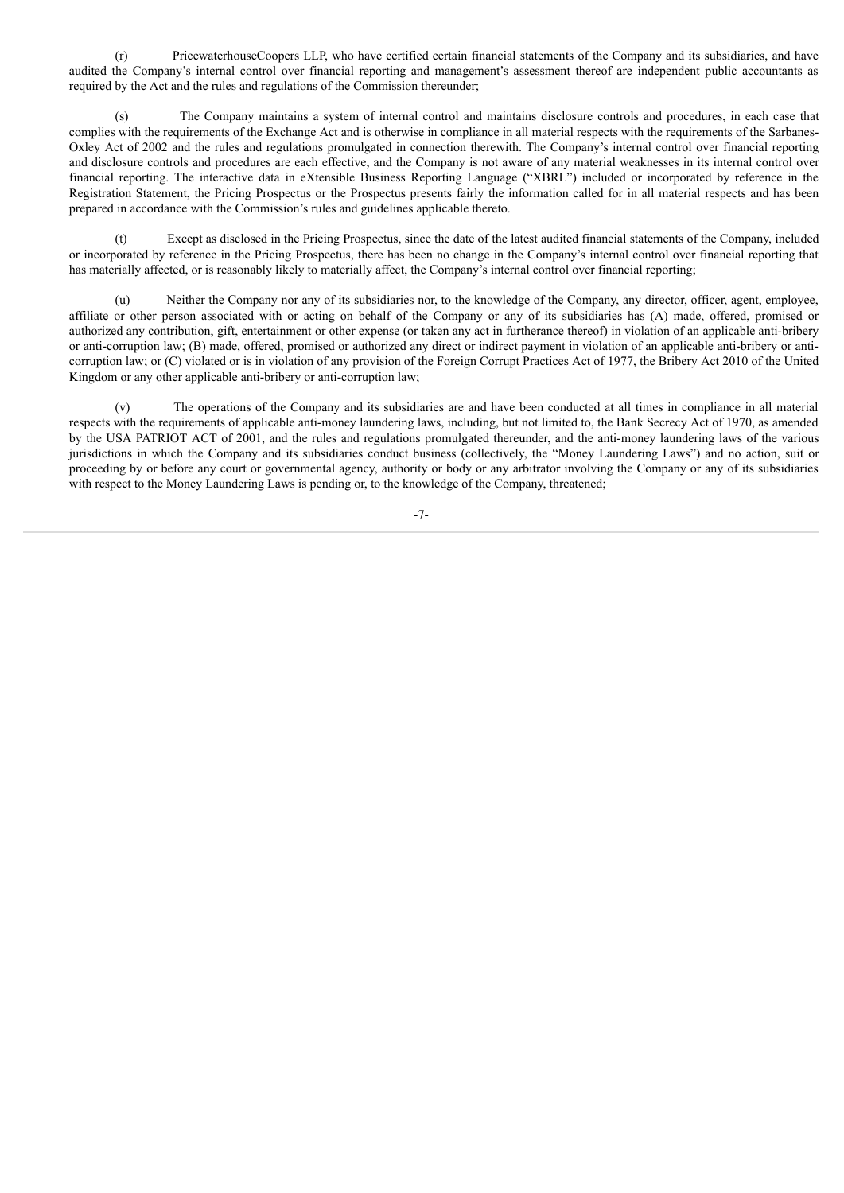(r) PricewaterhouseCoopers LLP, who have certified certain financial statements of the Company and its subsidiaries, and have audited the Company's internal control over financial reporting and management's assessment thereof are independent public accountants as required by the Act and the rules and regulations of the Commission thereunder;

(s) The Company maintains a system of internal control and maintains disclosure controls and procedures, in each case that complies with the requirements of the Exchange Act and is otherwise in compliance in all material respects with the requirements of the Sarbanes-Oxley Act of 2002 and the rules and regulations promulgated in connection therewith. The Company's internal control over financial reporting and disclosure controls and procedures are each effective, and the Company is not aware of any material weaknesses in its internal control over financial reporting. The interactive data in eXtensible Business Reporting Language ("XBRL") included or incorporated by reference in the Registration Statement, the Pricing Prospectus or the Prospectus presents fairly the information called for in all material respects and has been prepared in accordance with the Commission's rules and guidelines applicable thereto.

(t) Except as disclosed in the Pricing Prospectus, since the date of the latest audited financial statements of the Company, included or incorporated by reference in the Pricing Prospectus, there has been no change in the Company's internal control over financial reporting that has materially affected, or is reasonably likely to materially affect, the Company's internal control over financial reporting;

(u) Neither the Company nor any of its subsidiaries nor, to the knowledge of the Company, any director, officer, agent, employee, affiliate or other person associated with or acting on behalf of the Company or any of its subsidiaries has (A) made, offered, promised or authorized any contribution, gift, entertainment or other expense (or taken any act in furtherance thereof) in violation of an applicable anti-bribery or anti-corruption law; (B) made, offered, promised or authorized any direct or indirect payment in violation of an applicable anti-bribery or anticorruption law; or (C) violated or is in violation of any provision of the Foreign Corrupt Practices Act of 1977, the Bribery Act 2010 of the United Kingdom or any other applicable anti-bribery or anti-corruption law;

(v) The operations of the Company and its subsidiaries are and have been conducted at all times in compliance in all material respects with the requirements of applicable anti-money laundering laws, including, but not limited to, the Bank Secrecy Act of 1970, as amended by the USA PATRIOT ACT of 2001, and the rules and regulations promulgated thereunder, and the anti-money laundering laws of the various jurisdictions in which the Company and its subsidiaries conduct business (collectively, the "Money Laundering Laws") and no action, suit or proceeding by or before any court or governmental agency, authority or body or any arbitrator involving the Company or any of its subsidiaries with respect to the Money Laundering Laws is pending or, to the knowledge of the Company, threatened;

-7-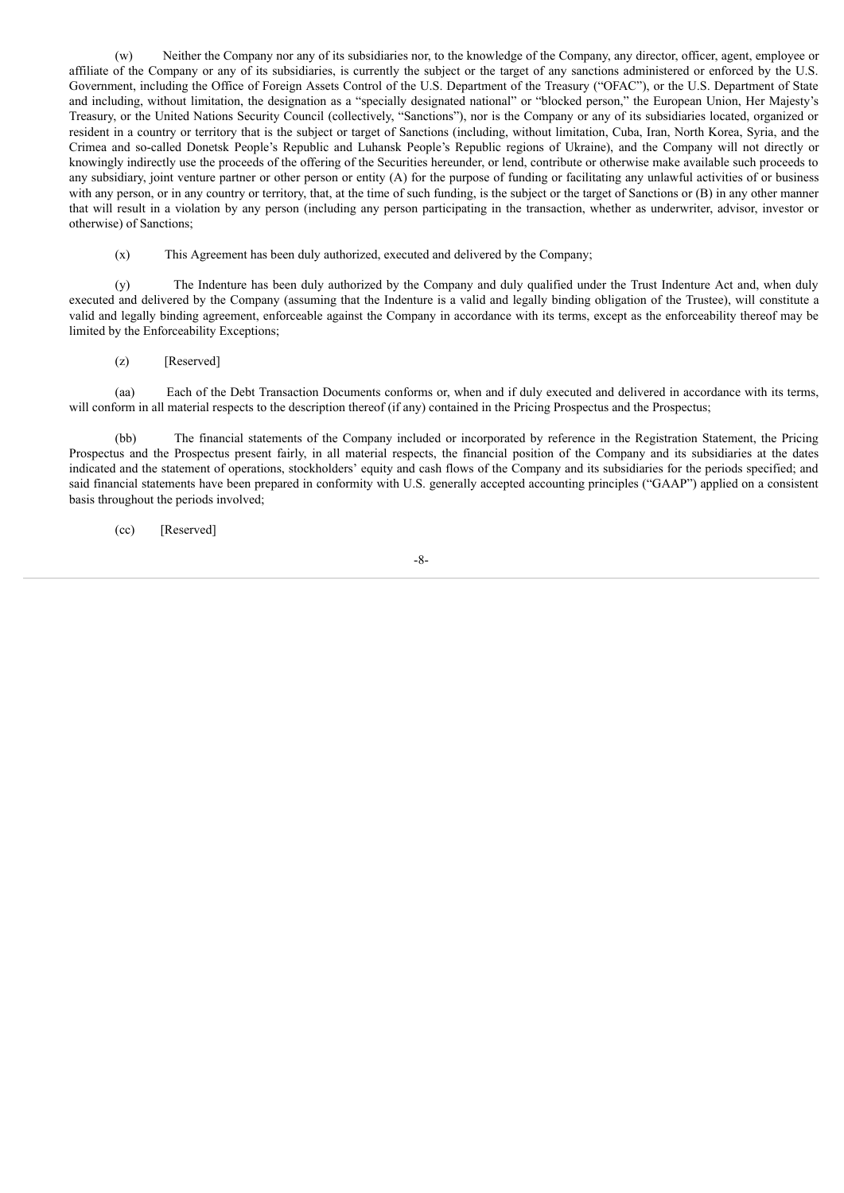(w) Neither the Company nor any of its subsidiaries nor, to the knowledge of the Company, any director, officer, agent, employee or affiliate of the Company or any of its subsidiaries, is currently the subject or the target of any sanctions administered or enforced by the U.S. Government, including the Office of Foreign Assets Control of the U.S. Department of the Treasury ("OFAC"), or the U.S. Department of State and including, without limitation, the designation as a "specially designated national" or "blocked person," the European Union, Her Majesty's Treasury, or the United Nations Security Council (collectively, "Sanctions"), nor is the Company or any of its subsidiaries located, organized or resident in a country or territory that is the subject or target of Sanctions (including, without limitation, Cuba, Iran, North Korea, Syria, and the Crimea and so-called Donetsk People's Republic and Luhansk People's Republic regions of Ukraine), and the Company will not directly or knowingly indirectly use the proceeds of the offering of the Securities hereunder, or lend, contribute or otherwise make available such proceeds to any subsidiary, joint venture partner or other person or entity (A) for the purpose of funding or facilitating any unlawful activities of or business with any person, or in any country or territory, that, at the time of such funding, is the subject or the target of Sanctions or (B) in any other manner that will result in a violation by any person (including any person participating in the transaction, whether as underwriter, advisor, investor or otherwise) of Sanctions;

(x) This Agreement has been duly authorized, executed and delivered by the Company;

(y) The Indenture has been duly authorized by the Company and duly qualified under the Trust Indenture Act and, when duly executed and delivered by the Company (assuming that the Indenture is a valid and legally binding obligation of the Trustee), will constitute a valid and legally binding agreement, enforceable against the Company in accordance with its terms, except as the enforceability thereof may be limited by the Enforceability Exceptions;

(z) [Reserved]

(aa) Each of the Debt Transaction Documents conforms or, when and if duly executed and delivered in accordance with its terms, will conform in all material respects to the description thereof (if any) contained in the Pricing Prospectus and the Prospectus;

(bb) The financial statements of the Company included or incorporated by reference in the Registration Statement, the Pricing Prospectus and the Prospectus present fairly, in all material respects, the financial position of the Company and its subsidiaries at the dates indicated and the statement of operations, stockholders' equity and cash flows of the Company and its subsidiaries for the periods specified; and said financial statements have been prepared in conformity with U.S. generally accepted accounting principles ("GAAP") applied on a consistent basis throughout the periods involved;

(cc) [Reserved]

-8-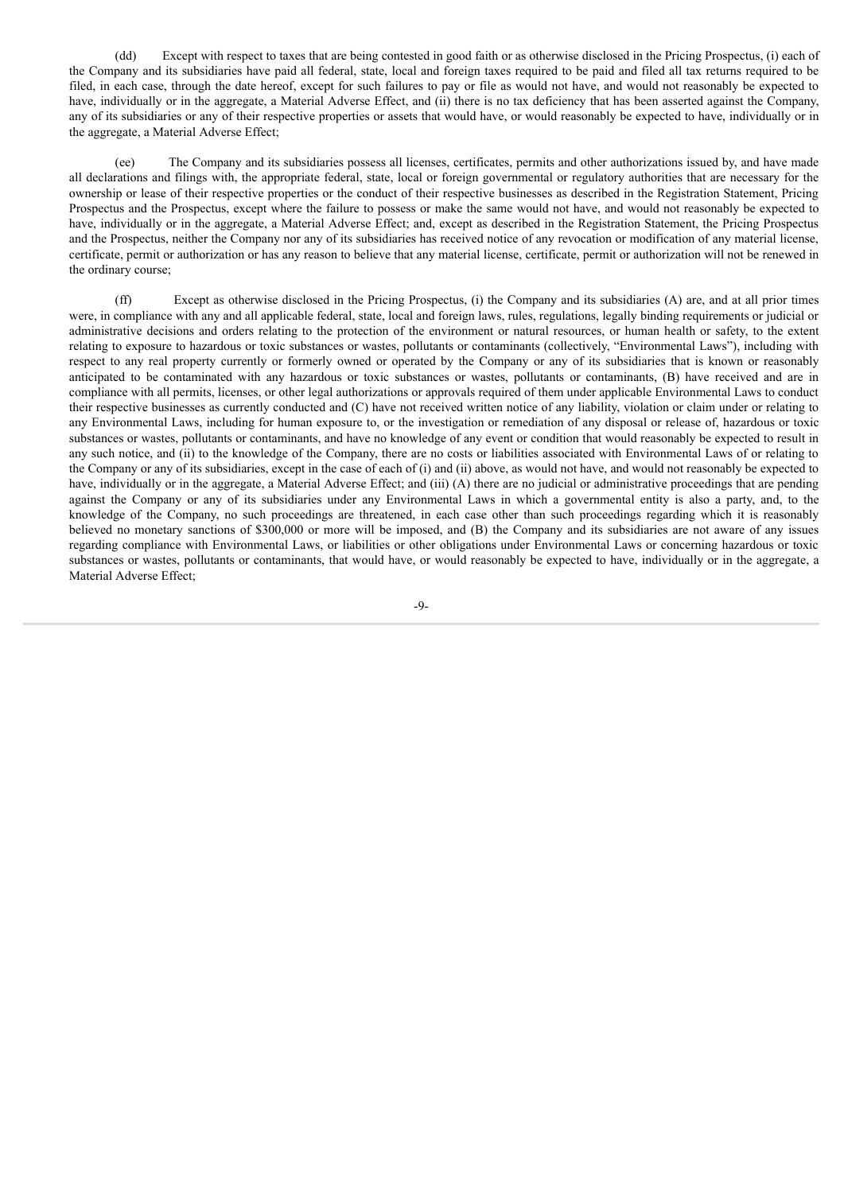(dd) Except with respect to taxes that are being contested in good faith or as otherwise disclosed in the Pricing Prospectus, (i) each of the Company and its subsidiaries have paid all federal, state, local and foreign taxes required to be paid and filed all tax returns required to be filed, in each case, through the date hereof, except for such failures to pay or file as would not have, and would not reasonably be expected to have, individually or in the aggregate, a Material Adverse Effect, and (ii) there is no tax deficiency that has been asserted against the Company, any of its subsidiaries or any of their respective properties or assets that would have, or would reasonably be expected to have, individually or in the aggregate, a Material Adverse Effect;

(ee) The Company and its subsidiaries possess all licenses, certificates, permits and other authorizations issued by, and have made all declarations and filings with, the appropriate federal, state, local or foreign governmental or regulatory authorities that are necessary for the ownership or lease of their respective properties or the conduct of their respective businesses as described in the Registration Statement, Pricing Prospectus and the Prospectus, except where the failure to possess or make the same would not have, and would not reasonably be expected to have, individually or in the aggregate, a Material Adverse Effect; and, except as described in the Registration Statement, the Pricing Prospectus and the Prospectus, neither the Company nor any of its subsidiaries has received notice of any revocation or modification of any material license, certificate, permit or authorization or has any reason to believe that any material license, certificate, permit or authorization will not be renewed in the ordinary course;

(ff) Except as otherwise disclosed in the Pricing Prospectus, (i) the Company and its subsidiaries (A) are, and at all prior times were, in compliance with any and all applicable federal, state, local and foreign laws, rules, regulations, legally binding requirements or judicial or administrative decisions and orders relating to the protection of the environment or natural resources, or human health or safety, to the extent relating to exposure to hazardous or toxic substances or wastes, pollutants or contaminants (collectively, "Environmental Laws"), including with respect to any real property currently or formerly owned or operated by the Company or any of its subsidiaries that is known or reasonably anticipated to be contaminated with any hazardous or toxic substances or wastes, pollutants or contaminants, (B) have received and are in compliance with all permits, licenses, or other legal authorizations or approvals required of them under applicable Environmental Laws to conduct their respective businesses as currently conducted and (C) have not received written notice of any liability, violation or claim under or relating to any Environmental Laws, including for human exposure to, or the investigation or remediation of any disposal or release of, hazardous or toxic substances or wastes, pollutants or contaminants, and have no knowledge of any event or condition that would reasonably be expected to result in any such notice, and (ii) to the knowledge of the Company, there are no costs or liabilities associated with Environmental Laws of or relating to the Company or any of its subsidiaries, except in the case of each of (i) and (ii) above, as would not have, and would not reasonably be expected to have, individually or in the aggregate, a Material Adverse Effect; and (iii) (A) there are no judicial or administrative proceedings that are pending against the Company or any of its subsidiaries under any Environmental Laws in which a governmental entity is also a party, and, to the knowledge of the Company, no such proceedings are threatened, in each case other than such proceedings regarding which it is reasonably believed no monetary sanctions of \$300,000 or more will be imposed, and (B) the Company and its subsidiaries are not aware of any issues regarding compliance with Environmental Laws, or liabilities or other obligations under Environmental Laws or concerning hazardous or toxic substances or wastes, pollutants or contaminants, that would have, or would reasonably be expected to have, individually or in the aggregate, a Material Adverse Effect;

-9-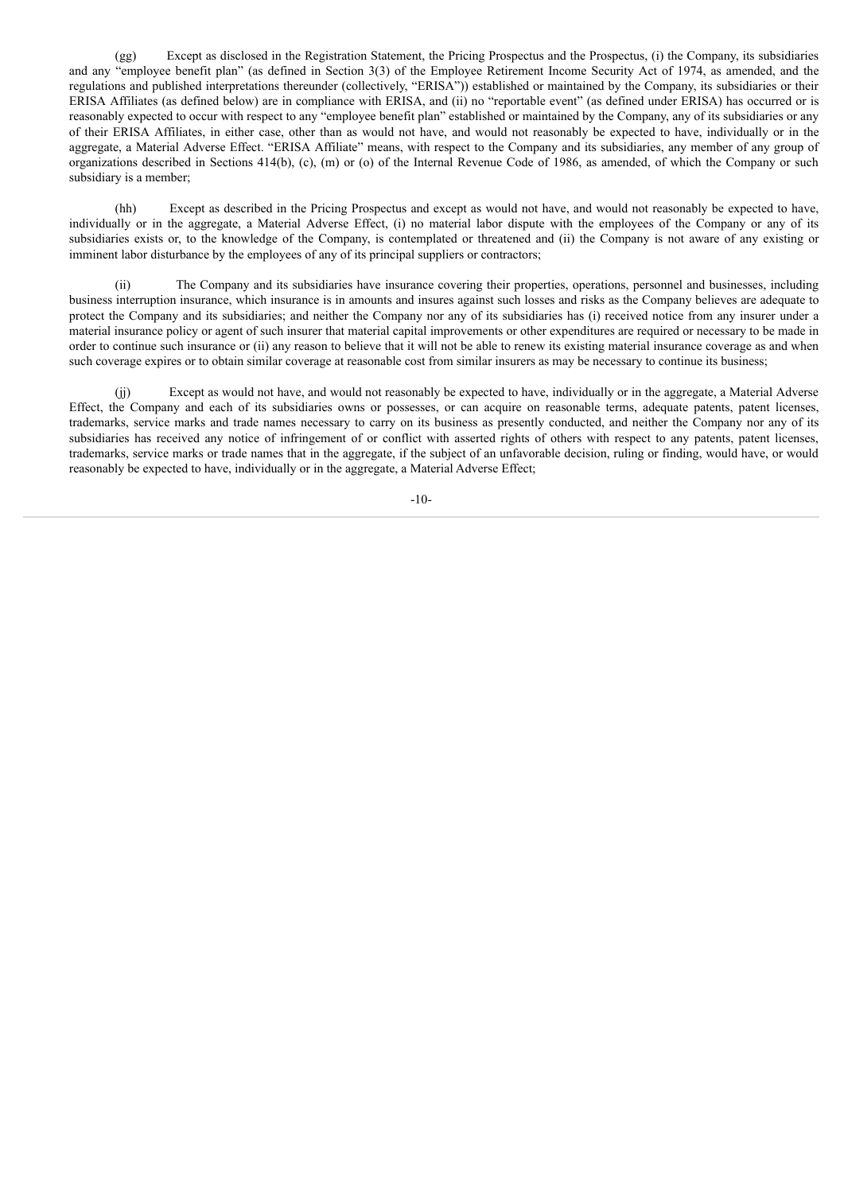(gg) Except as disclosed in the Registration Statement, the Pricing Prospectus and the Prospectus, (i) the Company, its subsidiaries and any "employee benefit plan" (as defined in Section 3(3) of the Employee Retirement Income Security Act of 1974, as amended, and the regulations and published interpretations thereunder (collectively, "ERISA")) established or maintained by the Company, its subsidiaries or their ERISA Affiliates (as defined below) are in compliance with ERISA, and (ii) no "reportable event" (as defined under ERISA) has occurred or is reasonably expected to occur with respect to any "employee benefit plan" established or maintained by the Company, any of its subsidiaries or any of their ERISA Affiliates, in either case, other than as would not have, and would not reasonably be expected to have, individually or in the aggregate, a Material Adverse Effect. "ERISA Affiliate" means, with respect to the Company and its subsidiaries, any member of any group of organizations described in Sections 414(b), (c), (m) or (o) of the Internal Revenue Code of 1986, as amended, of which the Company or such subsidiary is a member;

(hh) Except as described in the Pricing Prospectus and except as would not have, and would not reasonably be expected to have, individually or in the aggregate, a Material Adverse Effect, (i) no material labor dispute with the employees of the Company or any of its subsidiaries exists or, to the knowledge of the Company, is contemplated or threatened and (ii) the Company is not aware of any existing or imminent labor disturbance by the employees of any of its principal suppliers or contractors;

(ii) The Company and its subsidiaries have insurance covering their properties, operations, personnel and businesses, including business interruption insurance, which insurance is in amounts and insures against such losses and risks as the Company believes are adequate to protect the Company and its subsidiaries; and neither the Company nor any of its subsidiaries has (i) received notice from any insurer under a material insurance policy or agent of such insurer that material capital improvements or other expenditures are required or necessary to be made in order to continue such insurance or (ii) any reason to believe that it will not be able to renew its existing material insurance coverage as and when such coverage expires or to obtain similar coverage at reasonable cost from similar insurers as may be necessary to continue its business;

(jj) Except as would not have, and would not reasonably be expected to have, individually or in the aggregate, a Material Adverse Effect, the Company and each of its subsidiaries owns or possesses, or can acquire on reasonable terms, adequate patents, patent licenses, trademarks, service marks and trade names necessary to carry on its business as presently conducted, and neither the Company nor any of its subsidiaries has received any notice of infringement of or conflict with asserted rights of others with respect to any patents, patent licenses, trademarks, service marks or trade names that in the aggregate, if the subject of an unfavorable decision, ruling or finding, would have, or would reasonably be expected to have, individually or in the aggregate, a Material Adverse Effect;

-10-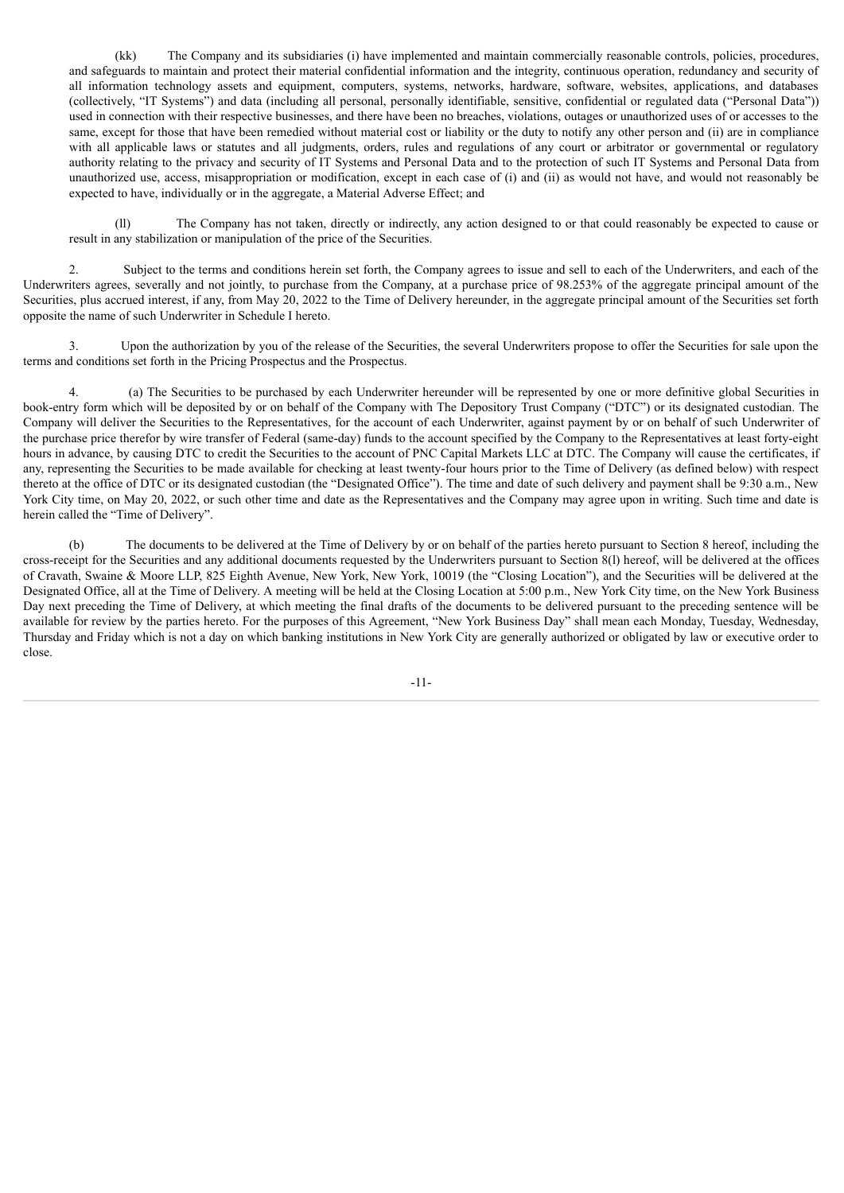(kk) The Company and its subsidiaries (i) have implemented and maintain commercially reasonable controls, policies, procedures, and safeguards to maintain and protect their material confidential information and the integrity, continuous operation, redundancy and security of all information technology assets and equipment, computers, systems, networks, hardware, software, websites, applications, and databases (collectively, "IT Systems") and data (including all personal, personally identifiable, sensitive, confidential or regulated data ("Personal Data")) used in connection with their respective businesses, and there have been no breaches, violations, outages or unauthorized uses of or accesses to the same, except for those that have been remedied without material cost or liability or the duty to notify any other person and (ii) are in compliance with all applicable laws or statutes and all judgments, orders, rules and regulations of any court or arbitrator or governmental or regulatory authority relating to the privacy and security of IT Systems and Personal Data and to the protection of such IT Systems and Personal Data from unauthorized use, access, misappropriation or modification, except in each case of (i) and (ii) as would not have, and would not reasonably be expected to have, individually or in the aggregate, a Material Adverse Effect; and

(ll) The Company has not taken, directly or indirectly, any action designed to or that could reasonably be expected to cause or result in any stabilization or manipulation of the price of the Securities.

2. Subject to the terms and conditions herein set forth, the Company agrees to issue and sell to each of the Underwriters, and each of the Underwriters agrees, severally and not jointly, to purchase from the Company, at a purchase price of 98.253% of the aggregate principal amount of the Securities, plus accrued interest, if any, from May 20, 2022 to the Time of Delivery hereunder, in the aggregate principal amount of the Securities set forth opposite the name of such Underwriter in Schedule I hereto.

3. Upon the authorization by you of the release of the Securities, the several Underwriters propose to offer the Securities for sale upon the terms and conditions set forth in the Pricing Prospectus and the Prospectus.

4. (a) The Securities to be purchased by each Underwriter hereunder will be represented by one or more definitive global Securities in book-entry form which will be deposited by or on behalf of the Company with The Depository Trust Company ("DTC") or its designated custodian. The Company will deliver the Securities to the Representatives, for the account of each Underwriter, against payment by or on behalf of such Underwriter of the purchase price therefor by wire transfer of Federal (same-day) funds to the account specified by the Company to the Representatives at least forty-eight hours in advance, by causing DTC to credit the Securities to the account of PNC Capital Markets LLC at DTC. The Company will cause the certificates, if any, representing the Securities to be made available for checking at least twenty-four hours prior to the Time of Delivery (as defined below) with respect thereto at the office of DTC or its designated custodian (the "Designated Office"). The time and date of such delivery and payment shall be 9:30 a.m., New York City time, on May 20, 2022, or such other time and date as the Representatives and the Company may agree upon in writing. Such time and date is herein called the "Time of Delivery".

(b) The documents to be delivered at the Time of Delivery by or on behalf of the parties hereto pursuant to Section 8 hereof, including the cross-receipt for the Securities and any additional documents requested by the Underwriters pursuant to Section 8(l) hereof, will be delivered at the offices of Cravath, Swaine & Moore LLP, 825 Eighth Avenue, New York, New York, 10019 (the "Closing Location"), and the Securities will be delivered at the Designated Office, all at the Time of Delivery. A meeting will be held at the Closing Location at 5:00 p.m., New York City time, on the New York Business Day next preceding the Time of Delivery, at which meeting the final drafts of the documents to be delivered pursuant to the preceding sentence will be available for review by the parties hereto. For the purposes of this Agreement, "New York Business Day" shall mean each Monday, Tuesday, Wednesday, Thursday and Friday which is not a day on which banking institutions in New York City are generally authorized or obligated by law or executive order to close.

-11-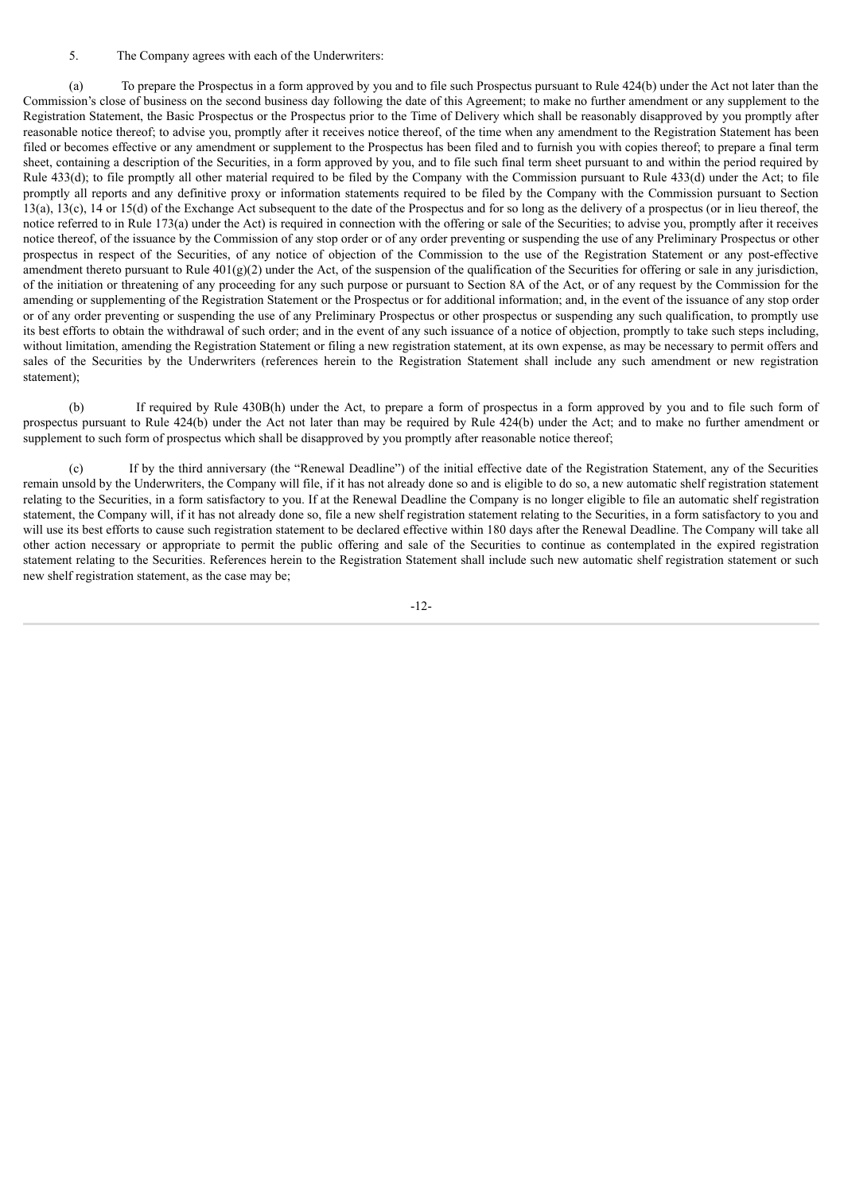#### 5. The Company agrees with each of the Underwriters:

(a) To prepare the Prospectus in a form approved by you and to file such Prospectus pursuant to Rule 424(b) under the Act not later than the Commission's close of business on the second business day following the date of this Agreement; to make no further amendment or any supplement to the Registration Statement, the Basic Prospectus or the Prospectus prior to the Time of Delivery which shall be reasonably disapproved by you promptly after reasonable notice thereof; to advise you, promptly after it receives notice thereof, of the time when any amendment to the Registration Statement has been filed or becomes effective or any amendment or supplement to the Prospectus has been filed and to furnish you with copies thereof; to prepare a final term sheet, containing a description of the Securities, in a form approved by you, and to file such final term sheet pursuant to and within the period required by Rule 433(d); to file promptly all other material required to be filed by the Company with the Commission pursuant to Rule 433(d) under the Act; to file promptly all reports and any definitive proxy or information statements required to be filed by the Company with the Commission pursuant to Section  $13(a)$ ,  $13(c)$ ,  $14$  or  $15(d)$  of the Exchange Act subsequent to the date of the Prospectus and for so long as the delivery of a prospectus (or in lieu thereof, the notice referred to in Rule 173(a) under the Act) is required in connection with the offering or sale of the Securities; to advise you, promptly after it receives notice thereof, of the issuance by the Commission of any stop order or of any order preventing or suspending the use of any Preliminary Prospectus or other prospectus in respect of the Securities, of any notice of objection of the Commission to the use of the Registration Statement or any post-effective amendment thereto pursuant to Rule  $401(g)(2)$  under the Act, of the suspension of the qualification of the Securities for offering or sale in any jurisdiction, of the initiation or threatening of any proceeding for any such purpose or pursuant to Section 8A of the Act, or of any request by the Commission for the amending or supplementing of the Registration Statement or the Prospectus or for additional information; and, in the event of the issuance of any stop order or of any order preventing or suspending the use of any Preliminary Prospectus or other prospectus or suspending any such qualification, to promptly use its best efforts to obtain the withdrawal of such order; and in the event of any such issuance of a notice of objection, promptly to take such steps including, without limitation, amending the Registration Statement or filing a new registration statement, at its own expense, as may be necessary to permit offers and sales of the Securities by the Underwriters (references herein to the Registration Statement shall include any such amendment or new registration statement);

(b) If required by Rule 430B(h) under the Act, to prepare a form of prospectus in a form approved by you and to file such form of prospectus pursuant to Rule 424(b) under the Act not later than may be required by Rule 424(b) under the Act; and to make no further amendment or supplement to such form of prospectus which shall be disapproved by you promptly after reasonable notice thereof;

(c) If by the third anniversary (the "Renewal Deadline") of the initial effective date of the Registration Statement, any of the Securities remain unsold by the Underwriters, the Company will file, if it has not already done so and is eligible to do so, a new automatic shelf registration statement relating to the Securities, in a form satisfactory to you. If at the Renewal Deadline the Company is no longer eligible to file an automatic shelf registration statement, the Company will, if it has not already done so, file a new shelf registration statement relating to the Securities, in a form satisfactory to you and will use its best efforts to cause such registration statement to be declared effective within 180 days after the Renewal Deadline. The Company will take all other action necessary or appropriate to permit the public offering and sale of the Securities to continue as contemplated in the expired registration statement relating to the Securities. References herein to the Registration Statement shall include such new automatic shelf registration statement or such new shelf registration statement, as the case may be;

-12-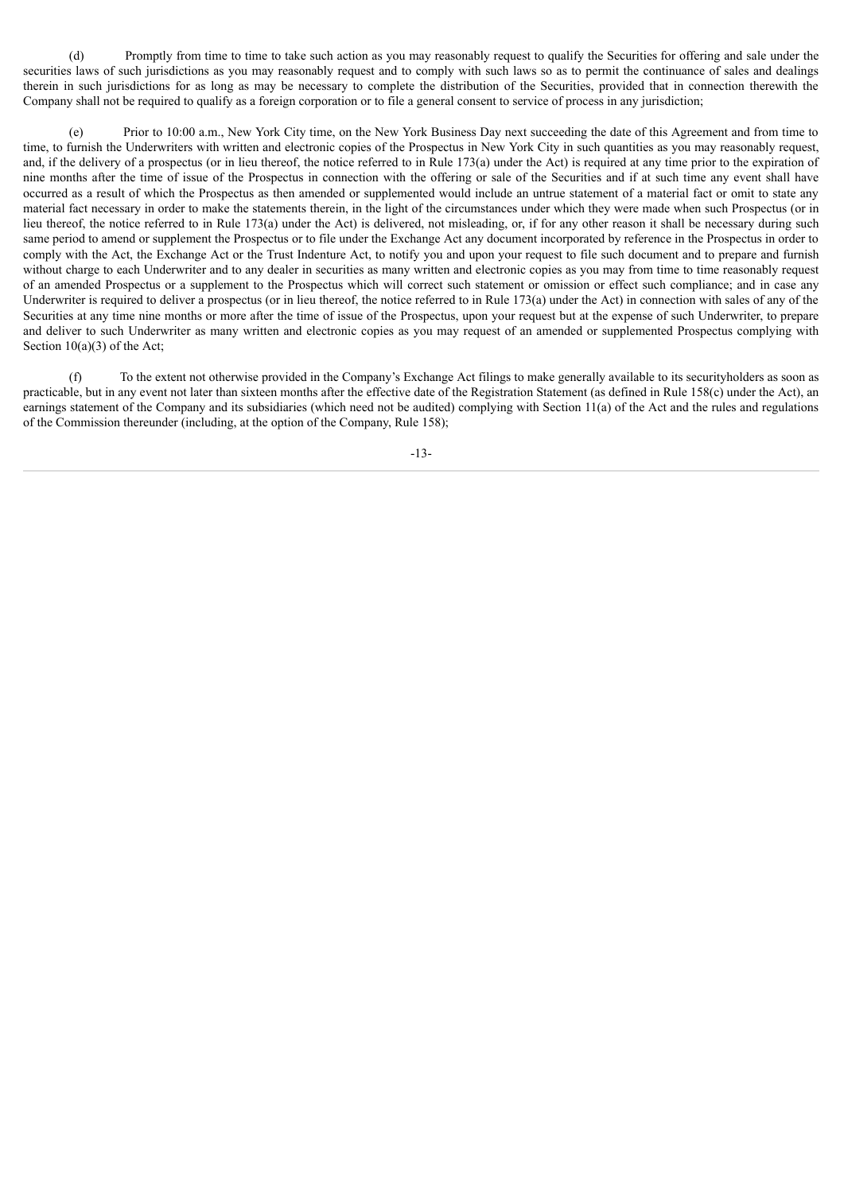(d) Promptly from time to time to take such action as you may reasonably request to qualify the Securities for offering and sale under the securities laws of such jurisdictions as you may reasonably request and to comply with such laws so as to permit the continuance of sales and dealings therein in such jurisdictions for as long as may be necessary to complete the distribution of the Securities, provided that in connection therewith the Company shall not be required to qualify as a foreign corporation or to file a general consent to service of process in any jurisdiction;

(e) Prior to 10:00 a.m., New York City time, on the New York Business Day next succeeding the date of this Agreement and from time to time, to furnish the Underwriters with written and electronic copies of the Prospectus in New York City in such quantities as you may reasonably request, and, if the delivery of a prospectus (or in lieu thereof, the notice referred to in Rule 173(a) under the Act) is required at any time prior to the expiration of nine months after the time of issue of the Prospectus in connection with the offering or sale of the Securities and if at such time any event shall have occurred as a result of which the Prospectus as then amended or supplemented would include an untrue statement of a material fact or omit to state any material fact necessary in order to make the statements therein, in the light of the circumstances under which they were made when such Prospectus (or in lieu thereof, the notice referred to in Rule 173(a) under the Act) is delivered, not misleading, or, if for any other reason it shall be necessary during such same period to amend or supplement the Prospectus or to file under the Exchange Act any document incorporated by reference in the Prospectus in order to comply with the Act, the Exchange Act or the Trust Indenture Act, to notify you and upon your request to file such document and to prepare and furnish without charge to each Underwriter and to any dealer in securities as many written and electronic copies as you may from time to time reasonably request of an amended Prospectus or a supplement to the Prospectus which will correct such statement or omission or effect such compliance; and in case any Underwriter is required to deliver a prospectus (or in lieu thereof, the notice referred to in Rule 173(a) under the Act) in connection with sales of any of the Securities at any time nine months or more after the time of issue of the Prospectus, upon your request but at the expense of such Underwriter, to prepare and deliver to such Underwriter as many written and electronic copies as you may request of an amended or supplemented Prospectus complying with Section  $10(a)(3)$  of the Act;

(f) To the extent not otherwise provided in the Company's Exchange Act filings to make generally available to its securityholders as soon as practicable, but in any event not later than sixteen months after the effective date of the Registration Statement (as defined in Rule 158(c) under the Act), an earnings statement of the Company and its subsidiaries (which need not be audited) complying with Section 11(a) of the Act and the rules and regulations of the Commission thereunder (including, at the option of the Company, Rule 158);

-13-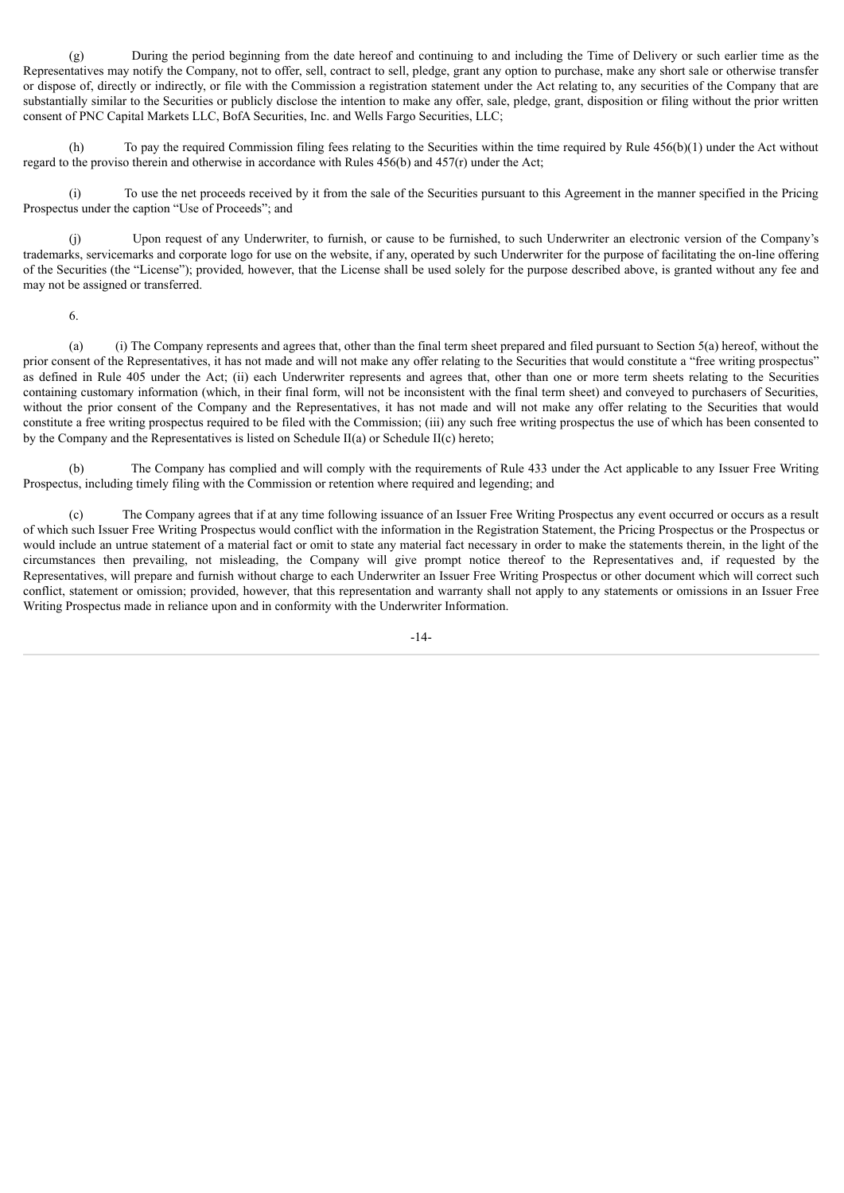(g) During the period beginning from the date hereof and continuing to and including the Time of Delivery or such earlier time as the Representatives may notify the Company, not to offer, sell, contract to sell, pledge, grant any option to purchase, make any short sale or otherwise transfer or dispose of, directly or indirectly, or file with the Commission a registration statement under the Act relating to, any securities of the Company that are substantially similar to the Securities or publicly disclose the intention to make any offer, sale, pledge, grant, disposition or filing without the prior written consent of PNC Capital Markets LLC, BofA Securities, Inc. and Wells Fargo Securities, LLC;

(h) To pay the required Commission filing fees relating to the Securities within the time required by Rule 456(b)(1) under the Act without regard to the proviso therein and otherwise in accordance with Rules 456(b) and 457(r) under the Act;

(i) To use the net proceeds received by it from the sale of the Securities pursuant to this Agreement in the manner specified in the Pricing Prospectus under the caption "Use of Proceeds"; and

(j) Upon request of any Underwriter, to furnish, or cause to be furnished, to such Underwriter an electronic version of the Company's trademarks, servicemarks and corporate logo for use on the website, if any, operated by such Underwriter for the purpose of facilitating the on-line offering of the Securities (the "License"); provided*,* however, that the License shall be used solely for the purpose described above, is granted without any fee and may not be assigned or transferred.

6.

(a) (i) The Company represents and agrees that, other than the final term sheet prepared and filed pursuant to Section 5(a) hereof, without the prior consent of the Representatives, it has not made and will not make any offer relating to the Securities that would constitute a "free writing prospectus" as defined in Rule 405 under the Act; (ii) each Underwriter represents and agrees that, other than one or more term sheets relating to the Securities containing customary information (which, in their final form, will not be inconsistent with the final term sheet) and conveyed to purchasers of Securities, without the prior consent of the Company and the Representatives, it has not made and will not make any offer relating to the Securities that would constitute a free writing prospectus required to be filed with the Commission; (iii) any such free writing prospectus the use of which has been consented to by the Company and the Representatives is listed on Schedule II(a) or Schedule II(c) hereto;

(b) The Company has complied and will comply with the requirements of Rule 433 under the Act applicable to any Issuer Free Writing Prospectus, including timely filing with the Commission or retention where required and legending; and

(c) The Company agrees that if at any time following issuance of an Issuer Free Writing Prospectus any event occurred or occurs as a result of which such Issuer Free Writing Prospectus would conflict with the information in the Registration Statement, the Pricing Prospectus or the Prospectus or would include an untrue statement of a material fact or omit to state any material fact necessary in order to make the statements therein, in the light of the circumstances then prevailing, not misleading, the Company will give prompt notice thereof to the Representatives and, if requested by the Representatives, will prepare and furnish without charge to each Underwriter an Issuer Free Writing Prospectus or other document which will correct such conflict, statement or omission; provided, however, that this representation and warranty shall not apply to any statements or omissions in an Issuer Free Writing Prospectus made in reliance upon and in conformity with the Underwriter Information.

-14-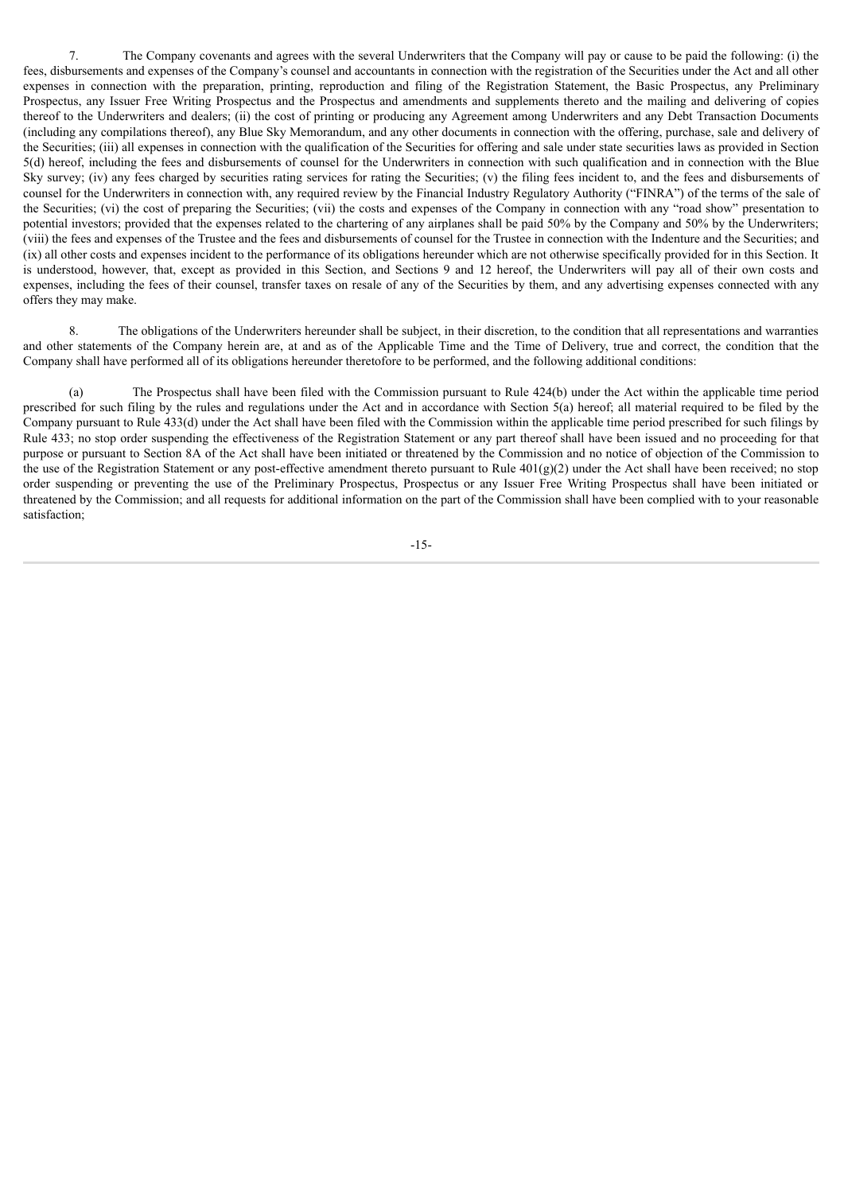7. The Company covenants and agrees with the several Underwriters that the Company will pay or cause to be paid the following: (i) the fees, disbursements and expenses of the Company's counsel and accountants in connection with the registration of the Securities under the Act and all other expenses in connection with the preparation, printing, reproduction and filing of the Registration Statement, the Basic Prospectus, any Preliminary Prospectus, any Issuer Free Writing Prospectus and the Prospectus and amendments and supplements thereto and the mailing and delivering of copies thereof to the Underwriters and dealers; (ii) the cost of printing or producing any Agreement among Underwriters and any Debt Transaction Documents (including any compilations thereof), any Blue Sky Memorandum, and any other documents in connection with the offering, purchase, sale and delivery of the Securities; (iii) all expenses in connection with the qualification of the Securities for offering and sale under state securities laws as provided in Section 5(d) hereof, including the fees and disbursements of counsel for the Underwriters in connection with such qualification and in connection with the Blue Sky survey; (iv) any fees charged by securities rating services for rating the Securities; (v) the filing fees incident to, and the fees and disbursements of counsel for the Underwriters in connection with, any required review by the Financial Industry Regulatory Authority ("FINRA") of the terms of the sale of the Securities; (vi) the cost of preparing the Securities; (vii) the costs and expenses of the Company in connection with any "road show" presentation to potential investors; provided that the expenses related to the chartering of any airplanes shall be paid 50% by the Company and 50% by the Underwriters; (viii) the fees and expenses of the Trustee and the fees and disbursements of counsel for the Trustee in connection with the Indenture and the Securities; and (ix) all other costs and expenses incident to the performance of its obligations hereunder which are not otherwise specifically provided for in this Section. It is understood, however, that, except as provided in this Section, and Sections 9 and 12 hereof, the Underwriters will pay all of their own costs and expenses, including the fees of their counsel, transfer taxes on resale of any of the Securities by them, and any advertising expenses connected with any offers they may make.

8. The obligations of the Underwriters hereunder shall be subject, in their discretion, to the condition that all representations and warranties and other statements of the Company herein are, at and as of the Applicable Time and the Time of Delivery, true and correct, the condition that the Company shall have performed all of its obligations hereunder theretofore to be performed, and the following additional conditions:

(a) The Prospectus shall have been filed with the Commission pursuant to Rule 424(b) under the Act within the applicable time period prescribed for such filing by the rules and regulations under the Act and in accordance with Section 5(a) hereof; all material required to be filed by the Company pursuant to Rule 433(d) under the Act shall have been filed with the Commission within the applicable time period prescribed for such filings by Rule 433; no stop order suspending the effectiveness of the Registration Statement or any part thereof shall have been issued and no proceeding for that purpose or pursuant to Section 8A of the Act shall have been initiated or threatened by the Commission and no notice of objection of the Commission to the use of the Registration Statement or any post-effective amendment thereto pursuant to Rule  $401(g)(2)$  under the Act shall have been received; no stop order suspending or preventing the use of the Preliminary Prospectus, Prospectus or any Issuer Free Writing Prospectus shall have been initiated or threatened by the Commission; and all requests for additional information on the part of the Commission shall have been complied with to your reasonable satisfaction;

-15-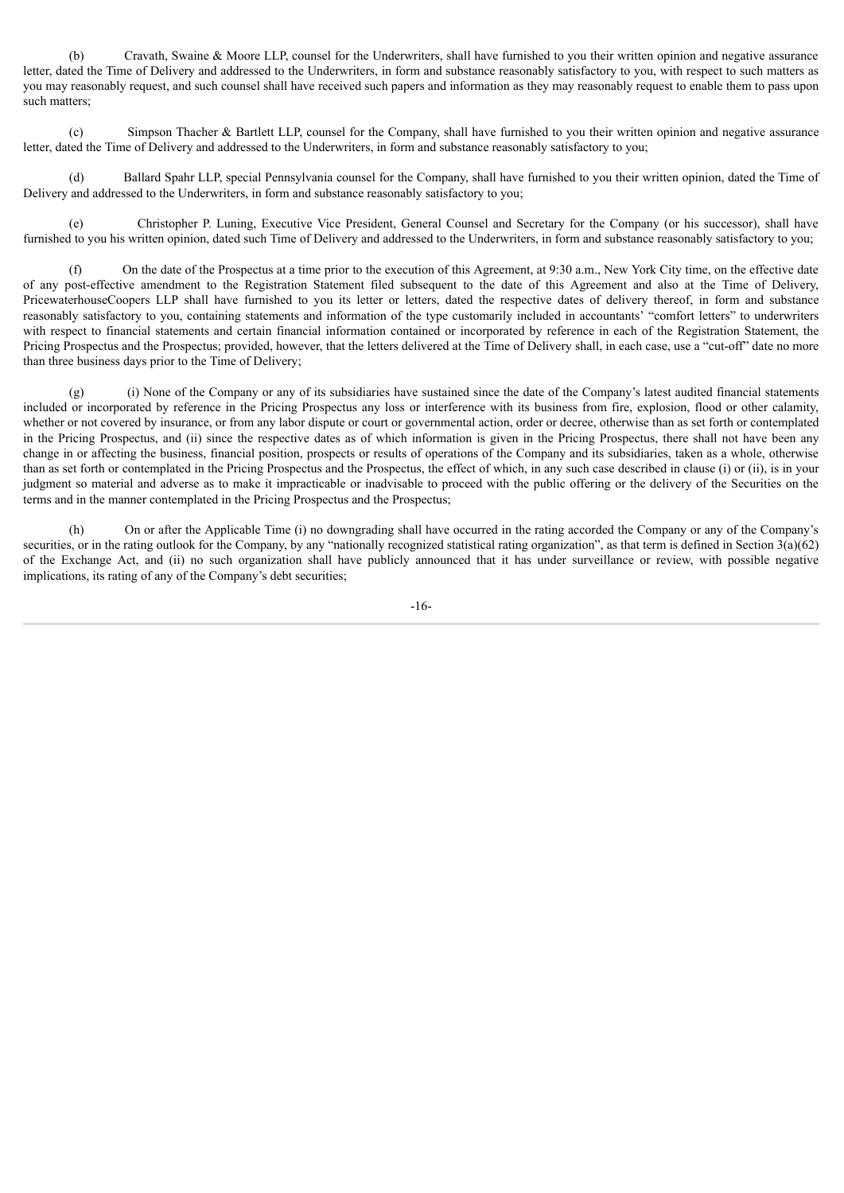(b) Cravath, Swaine & Moore LLP, counsel for the Underwriters, shall have furnished to you their written opinion and negative assurance letter, dated the Time of Delivery and addressed to the Underwriters, in form and substance reasonably satisfactory to you, with respect to such matters as you may reasonably request, and such counsel shall have received such papers and information as they may reasonably request to enable them to pass upon such matters;

(c) Simpson Thacher & Bartlett LLP, counsel for the Company, shall have furnished to you their written opinion and negative assurance letter, dated the Time of Delivery and addressed to the Underwriters, in form and substance reasonably satisfactory to you;

(d) Ballard Spahr LLP, special Pennsylvania counsel for the Company, shall have furnished to you their written opinion, dated the Time of Delivery and addressed to the Underwriters, in form and substance reasonably satisfactory to you;

(e) Christopher P. Luning, Executive Vice President, General Counsel and Secretary for the Company (or his successor), shall have furnished to you his written opinion, dated such Time of Delivery and addressed to the Underwriters, in form and substance reasonably satisfactory to you;

(f) On the date of the Prospectus at a time prior to the execution of this Agreement, at 9:30 a.m., New York City time, on the effective date of any post-effective amendment to the Registration Statement filed subsequent to the date of this Agreement and also at the Time of Delivery, PricewaterhouseCoopers LLP shall have furnished to you its letter or letters, dated the respective dates of delivery thereof, in form and substance reasonably satisfactory to you, containing statements and information of the type customarily included in accountants' "comfort letters" to underwriters with respect to financial statements and certain financial information contained or incorporated by reference in each of the Registration Statement, the Pricing Prospectus and the Prospectus; provided, however, that the letters delivered at the Time of Delivery shall, in each case, use a "cut-off" date no more than three business days prior to the Time of Delivery;

(g) (i) None of the Company or any of its subsidiaries have sustained since the date of the Company's latest audited financial statements included or incorporated by reference in the Pricing Prospectus any loss or interference with its business from fire, explosion, flood or other calamity, whether or not covered by insurance, or from any labor dispute or court or governmental action, order or decree, otherwise than as set forth or contemplated in the Pricing Prospectus, and (ii) since the respective dates as of which information is given in the Pricing Prospectus, there shall not have been any change in or affecting the business, financial position, prospects or results of operations of the Company and its subsidiaries, taken as a whole, otherwise than as set forth or contemplated in the Pricing Prospectus and the Prospectus, the effect of which, in any such case described in clause (i) or (ii), is in your judgment so material and adverse as to make it impracticable or inadvisable to proceed with the public offering or the delivery of the Securities on the terms and in the manner contemplated in the Pricing Prospectus and the Prospectus;

(h) On or after the Applicable Time (i) no downgrading shall have occurred in the rating accorded the Company or any of the Company's securities, or in the rating outlook for the Company, by any "nationally recognized statistical rating organization", as that term is defined in Section  $3(a)(62)$ of the Exchange Act, and (ii) no such organization shall have publicly announced that it has under surveillance or review, with possible negative implications, its rating of any of the Company's debt securities;

-16-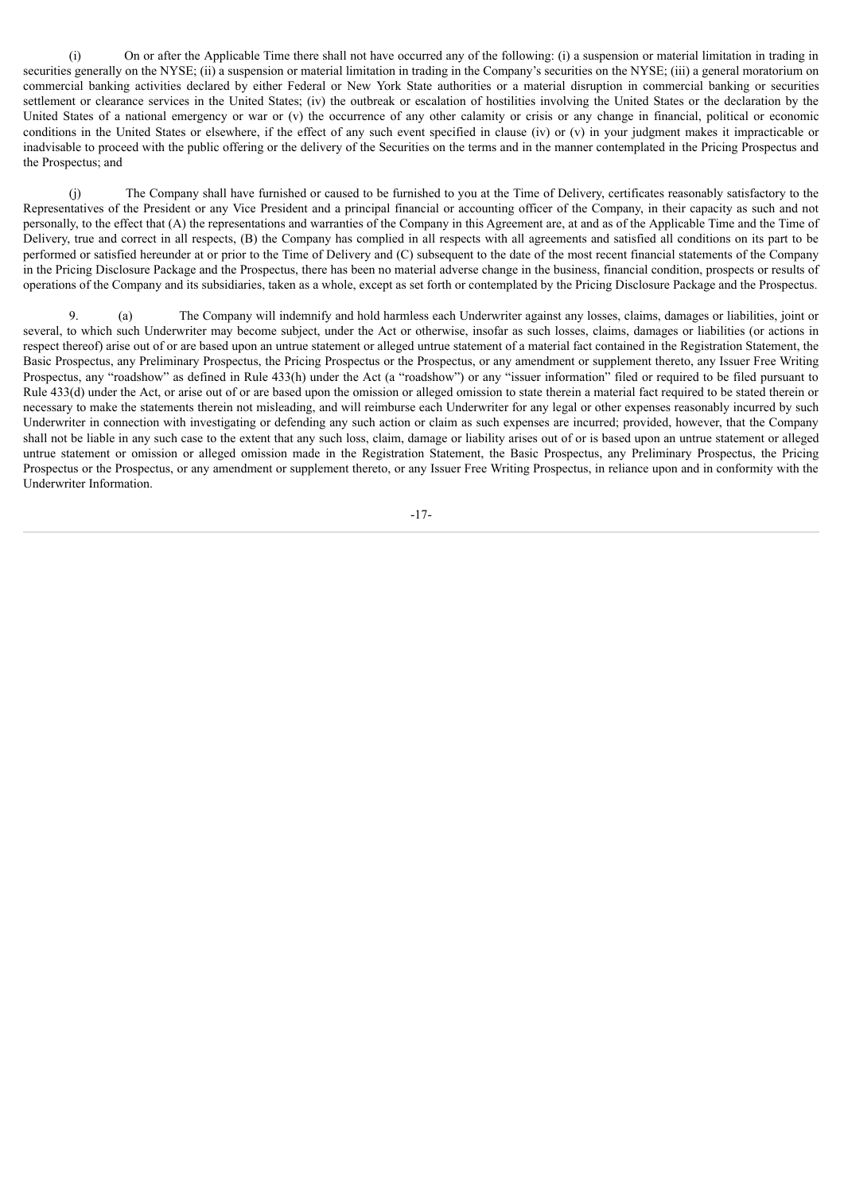(i) On or after the Applicable Time there shall not have occurred any of the following: (i) a suspension or material limitation in trading in securities generally on the NYSE; (ii) a suspension or material limitation in trading in the Company's securities on the NYSE; (iii) a general moratorium on commercial banking activities declared by either Federal or New York State authorities or a material disruption in commercial banking or securities settlement or clearance services in the United States; (iv) the outbreak or escalation of hostilities involving the United States or the declaration by the United States of a national emergency or war or (v) the occurrence of any other calamity or crisis or any change in financial, political or economic conditions in the United States or elsewhere, if the effect of any such event specified in clause (iv) or (v) in your judgment makes it impracticable or inadvisable to proceed with the public offering or the delivery of the Securities on the terms and in the manner contemplated in the Pricing Prospectus and the Prospectus; and

(j) The Company shall have furnished or caused to be furnished to you at the Time of Delivery, certificates reasonably satisfactory to the Representatives of the President or any Vice President and a principal financial or accounting officer of the Company, in their capacity as such and not personally, to the effect that (A) the representations and warranties of the Company in this Agreement are, at and as of the Applicable Time and the Time of Delivery, true and correct in all respects, (B) the Company has complied in all respects with all agreements and satisfied all conditions on its part to be performed or satisfied hereunder at or prior to the Time of Delivery and (C) subsequent to the date of the most recent financial statements of the Company in the Pricing Disclosure Package and the Prospectus, there has been no material adverse change in the business, financial condition, prospects or results of operations of the Company and its subsidiaries, taken as a whole, except as set forth or contemplated by the Pricing Disclosure Package and the Prospectus.

9. (a) The Company will indemnify and hold harmless each Underwriter against any losses, claims, damages or liabilities, joint or several, to which such Underwriter may become subject, under the Act or otherwise, insofar as such losses, claims, damages or liabilities (or actions in respect thereof) arise out of or are based upon an untrue statement or alleged untrue statement of a material fact contained in the Registration Statement, the Basic Prospectus, any Preliminary Prospectus, the Pricing Prospectus or the Prospectus, or any amendment or supplement thereto, any Issuer Free Writing Prospectus, any "roadshow" as defined in Rule 433(h) under the Act (a "roadshow") or any "issuer information" filed or required to be filed pursuant to Rule 433(d) under the Act, or arise out of or are based upon the omission or alleged omission to state therein a material fact required to be stated therein or necessary to make the statements therein not misleading, and will reimburse each Underwriter for any legal or other expenses reasonably incurred by such Underwriter in connection with investigating or defending any such action or claim as such expenses are incurred; provided, however, that the Company shall not be liable in any such case to the extent that any such loss, claim, damage or liability arises out of or is based upon an untrue statement or alleged untrue statement or omission or alleged omission made in the Registration Statement, the Basic Prospectus, any Preliminary Prospectus, the Pricing Prospectus or the Prospectus, or any amendment or supplement thereto, or any Issuer Free Writing Prospectus, in reliance upon and in conformity with the Underwriter Information.

-17-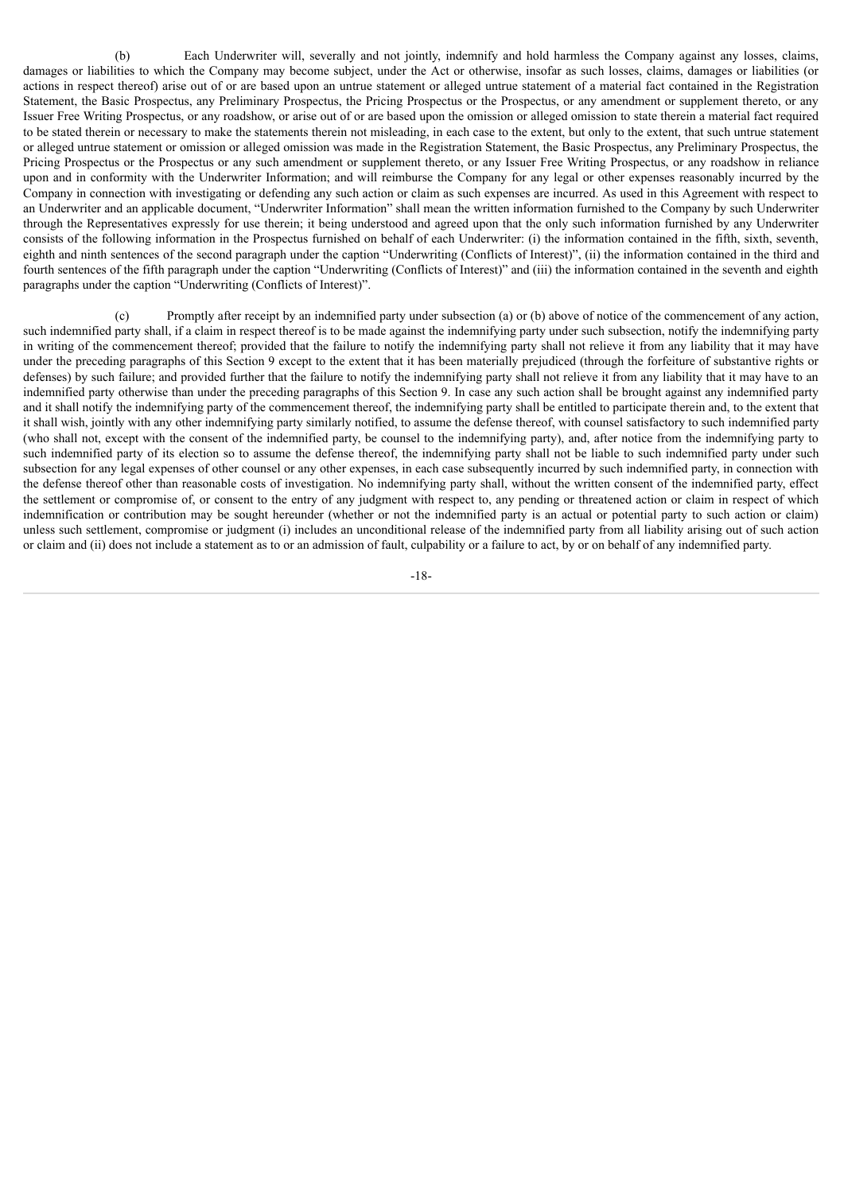(b) Each Underwriter will, severally and not jointly, indemnify and hold harmless the Company against any losses, claims, damages or liabilities to which the Company may become subject, under the Act or otherwise, insofar as such losses, claims, damages or liabilities (or actions in respect thereof) arise out of or are based upon an untrue statement or alleged untrue statement of a material fact contained in the Registration Statement, the Basic Prospectus, any Preliminary Prospectus, the Pricing Prospectus or the Prospectus, or any amendment or supplement thereto, or any Issuer Free Writing Prospectus, or any roadshow, or arise out of or are based upon the omission or alleged omission to state therein a material fact required to be stated therein or necessary to make the statements therein not misleading, in each case to the extent, but only to the extent, that such untrue statement or alleged untrue statement or omission or alleged omission was made in the Registration Statement, the Basic Prospectus, any Preliminary Prospectus, the Pricing Prospectus or the Prospectus or any such amendment or supplement thereto, or any Issuer Free Writing Prospectus, or any roadshow in reliance upon and in conformity with the Underwriter Information; and will reimburse the Company for any legal or other expenses reasonably incurred by the Company in connection with investigating or defending any such action or claim as such expenses are incurred. As used in this Agreement with respect to an Underwriter and an applicable document, "Underwriter Information" shall mean the written information furnished to the Company by such Underwriter through the Representatives expressly for use therein; it being understood and agreed upon that the only such information furnished by any Underwriter consists of the following information in the Prospectus furnished on behalf of each Underwriter: (i) the information contained in the fifth, sixth, seventh, eighth and ninth sentences of the second paragraph under the caption "Underwriting (Conflicts of Interest)", (ii) the information contained in the third and fourth sentences of the fifth paragraph under the caption "Underwriting (Conflicts of Interest)" and (iii) the information contained in the seventh and eighth paragraphs under the caption "Underwriting (Conflicts of Interest)".

(c) Promptly after receipt by an indemnified party under subsection (a) or (b) above of notice of the commencement of any action, such indemnified party shall, if a claim in respect thereof is to be made against the indemnifying party under such subsection, notify the indemnifying party in writing of the commencement thereof; provided that the failure to notify the indemnifying party shall not relieve it from any liability that it may have under the preceding paragraphs of this Section 9 except to the extent that it has been materially prejudiced (through the forfeiture of substantive rights or defenses) by such failure; and provided further that the failure to notify the indemnifying party shall not relieve it from any liability that it may have to an indemnified party otherwise than under the preceding paragraphs of this Section 9. In case any such action shall be brought against any indemnified party and it shall notify the indemnifying party of the commencement thereof, the indemnifying party shall be entitled to participate therein and, to the extent that it shall wish, jointly with any other indemnifying party similarly notified, to assume the defense thereof, with counsel satisfactory to such indemnified party (who shall not, except with the consent of the indemnified party, be counsel to the indemnifying party), and, after notice from the indemnifying party to such indemnified party of its election so to assume the defense thereof, the indemnifying party shall not be liable to such indemnified party under such subsection for any legal expenses of other counsel or any other expenses, in each case subsequently incurred by such indemnified party, in connection with the defense thereof other than reasonable costs of investigation. No indemnifying party shall, without the written consent of the indemnified party, effect the settlement or compromise of, or consent to the entry of any judgment with respect to, any pending or threatened action or claim in respect of which indemnification or contribution may be sought hereunder (whether or not the indemnified party is an actual or potential party to such action or claim) unless such settlement, compromise or judgment (i) includes an unconditional release of the indemnified party from all liability arising out of such action or claim and (ii) does not include a statement as to or an admission of fault, culpability or a failure to act, by or on behalf of any indemnified party.

-18-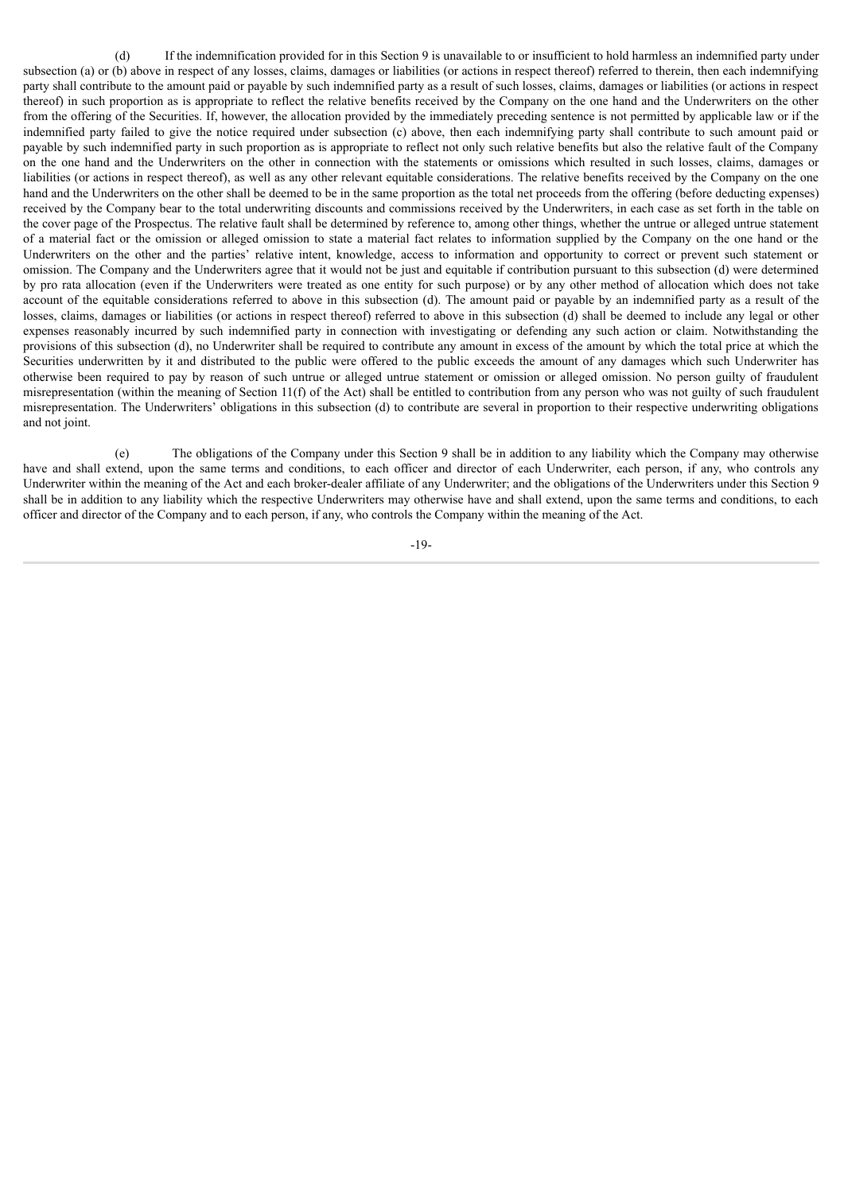(d) If the indemnification provided for in this Section 9 is unavailable to or insufficient to hold harmless an indemnified party under subsection (a) or (b) above in respect of any losses, claims, damages or liabilities (or actions in respect thereof) referred to therein, then each indemnifying party shall contribute to the amount paid or payable by such indemnified party as a result of such losses, claims, damages or liabilities (or actions in respect thereof) in such proportion as is appropriate to reflect the relative benefits received by the Company on the one hand and the Underwriters on the other from the offering of the Securities. If, however, the allocation provided by the immediately preceding sentence is not permitted by applicable law or if the indemnified party failed to give the notice required under subsection (c) above, then each indemnifying party shall contribute to such amount paid or payable by such indemnified party in such proportion as is appropriate to reflect not only such relative benefits but also the relative fault of the Company on the one hand and the Underwriters on the other in connection with the statements or omissions which resulted in such losses, claims, damages or liabilities (or actions in respect thereof), as well as any other relevant equitable considerations. The relative benefits received by the Company on the one hand and the Underwriters on the other shall be deemed to be in the same proportion as the total net proceeds from the offering (before deducting expenses) received by the Company bear to the total underwriting discounts and commissions received by the Underwriters, in each case as set forth in the table on the cover page of the Prospectus. The relative fault shall be determined by reference to, among other things, whether the untrue or alleged untrue statement of a material fact or the omission or alleged omission to state a material fact relates to information supplied by the Company on the one hand or the Underwriters on the other and the parties' relative intent, knowledge, access to information and opportunity to correct or prevent such statement or omission. The Company and the Underwriters agree that it would not be just and equitable if contribution pursuant to this subsection (d) were determined by pro rata allocation (even if the Underwriters were treated as one entity for such purpose) or by any other method of allocation which does not take account of the equitable considerations referred to above in this subsection (d). The amount paid or payable by an indemnified party as a result of the losses, claims, damages or liabilities (or actions in respect thereof) referred to above in this subsection (d) shall be deemed to include any legal or other expenses reasonably incurred by such indemnified party in connection with investigating or defending any such action or claim. Notwithstanding the provisions of this subsection (d), no Underwriter shall be required to contribute any amount in excess of the amount by which the total price at which the Securities underwritten by it and distributed to the public were offered to the public exceeds the amount of any damages which such Underwriter has otherwise been required to pay by reason of such untrue or alleged untrue statement or omission or alleged omission. No person guilty of fraudulent misrepresentation (within the meaning of Section  $11(f)$  of the Act) shall be entitled to contribution from any person who was not guilty of such fraudulent misrepresentation. The Underwriters' obligations in this subsection (d) to contribute are several in proportion to their respective underwriting obligations and not joint.

(e) The obligations of the Company under this Section 9 shall be in addition to any liability which the Company may otherwise have and shall extend, upon the same terms and conditions, to each officer and director of each Underwriter, each person, if any, who controls any Underwriter within the meaning of the Act and each broker-dealer affiliate of any Underwriter; and the obligations of the Underwriters under this Section 9 shall be in addition to any liability which the respective Underwriters may otherwise have and shall extend, upon the same terms and conditions, to each officer and director of the Company and to each person, if any, who controls the Company within the meaning of the Act.

-19-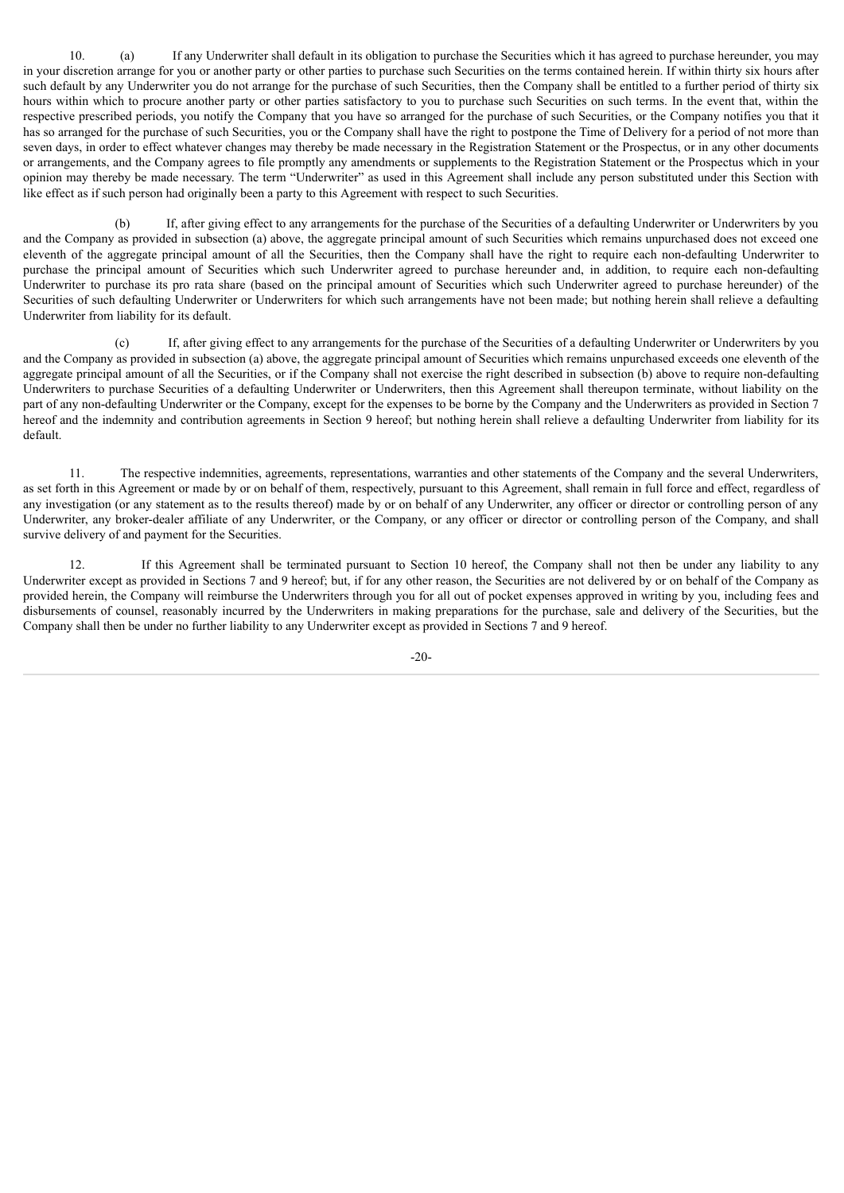10. (a) If any Underwriter shall default in its obligation to purchase the Securities which it has agreed to purchase hereunder, you may in your discretion arrange for you or another party or other parties to purchase such Securities on the terms contained herein. If within thirty six hours after such default by any Underwriter you do not arrange for the purchase of such Securities, then the Company shall be entitled to a further period of thirty six hours within which to procure another party or other parties satisfactory to you to purchase such Securities on such terms. In the event that, within the respective prescribed periods, you notify the Company that you have so arranged for the purchase of such Securities, or the Company notifies you that it has so arranged for the purchase of such Securities, you or the Company shall have the right to postpone the Time of Delivery for a period of not more than seven days, in order to effect whatever changes may thereby be made necessary in the Registration Statement or the Prospectus, or in any other documents or arrangements, and the Company agrees to file promptly any amendments or supplements to the Registration Statement or the Prospectus which in your opinion may thereby be made necessary. The term "Underwriter" as used in this Agreement shall include any person substituted under this Section with like effect as if such person had originally been a party to this Agreement with respect to such Securities.

(b) If, after giving effect to any arrangements for the purchase of the Securities of a defaulting Underwriter or Underwriters by you and the Company as provided in subsection (a) above, the aggregate principal amount of such Securities which remains unpurchased does not exceed one eleventh of the aggregate principal amount of all the Securities, then the Company shall have the right to require each non-defaulting Underwriter to purchase the principal amount of Securities which such Underwriter agreed to purchase hereunder and, in addition, to require each non-defaulting Underwriter to purchase its pro rata share (based on the principal amount of Securities which such Underwriter agreed to purchase hereunder) of the Securities of such defaulting Underwriter or Underwriters for which such arrangements have not been made; but nothing herein shall relieve a defaulting Underwriter from liability for its default.

(c) If, after giving effect to any arrangements for the purchase of the Securities of a defaulting Underwriter or Underwriters by you and the Company as provided in subsection (a) above, the aggregate principal amount of Securities which remains unpurchased exceeds one eleventh of the aggregate principal amount of all the Securities, or if the Company shall not exercise the right described in subsection (b) above to require non-defaulting Underwriters to purchase Securities of a defaulting Underwriter or Underwriters, then this Agreement shall thereupon terminate, without liability on the part of any non-defaulting Underwriter or the Company, except for the expenses to be borne by the Company and the Underwriters as provided in Section 7 hereof and the indemnity and contribution agreements in Section 9 hereof; but nothing herein shall relieve a defaulting Underwriter from liability for its default.

11. The respective indemnities, agreements, representations, warranties and other statements of the Company and the several Underwriters, as set forth in this Agreement or made by or on behalf of them, respectively, pursuant to this Agreement, shall remain in full force and effect, regardless of any investigation (or any statement as to the results thereof) made by or on behalf of any Underwriter, any officer or director or controlling person of any Underwriter, any broker-dealer affiliate of any Underwriter, or the Company, or any officer or director or controlling person of the Company, and shall survive delivery of and payment for the Securities.

12. If this Agreement shall be terminated pursuant to Section 10 hereof, the Company shall not then be under any liability to any Underwriter except as provided in Sections 7 and 9 hereof; but, if for any other reason, the Securities are not delivered by or on behalf of the Company as provided herein, the Company will reimburse the Underwriters through you for all out of pocket expenses approved in writing by you, including fees and disbursements of counsel, reasonably incurred by the Underwriters in making preparations for the purchase, sale and delivery of the Securities, but the Company shall then be under no further liability to any Underwriter except as provided in Sections 7 and 9 hereof.

-20-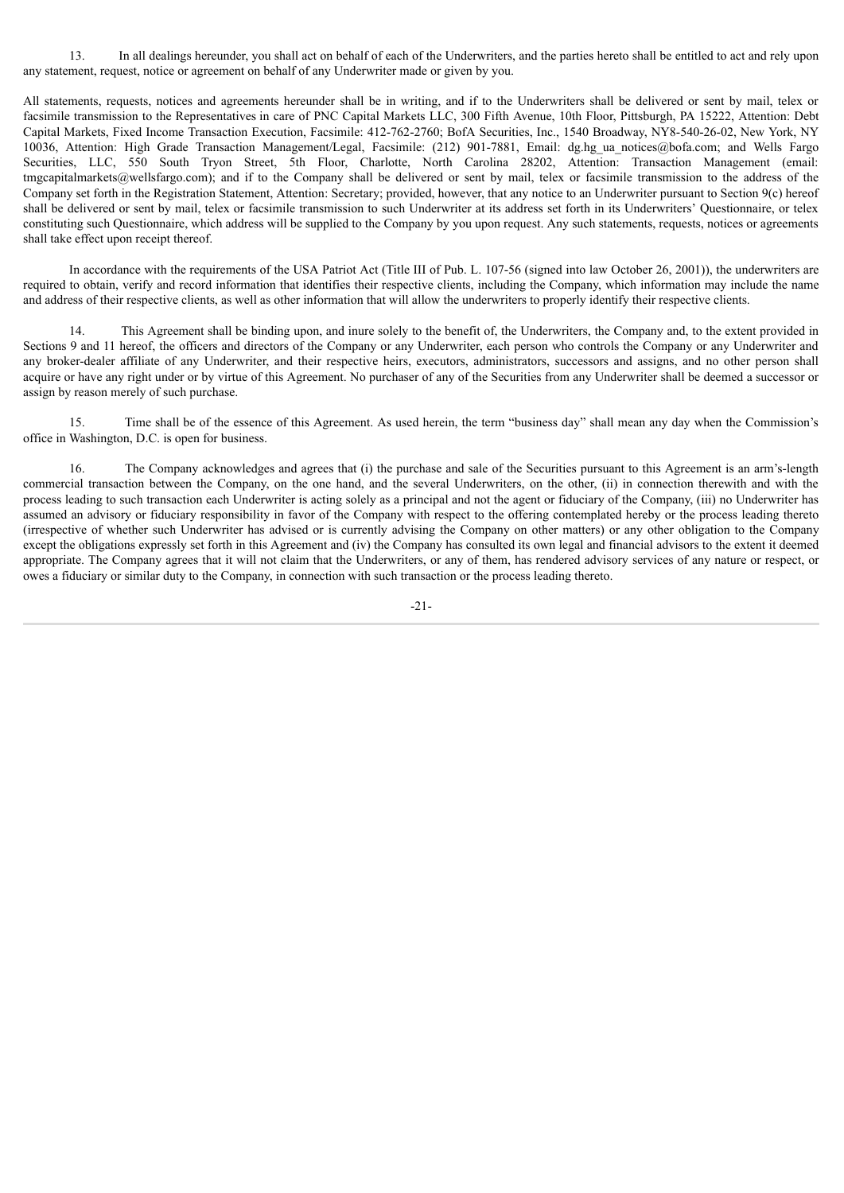13. In all dealings hereunder, you shall act on behalf of each of the Underwriters, and the parties hereto shall be entitled to act and rely upon any statement, request, notice or agreement on behalf of any Underwriter made or given by you.

All statements, requests, notices and agreements hereunder shall be in writing, and if to the Underwriters shall be delivered or sent by mail, telex or facsimile transmission to the Representatives in care of PNC Capital Markets LLC, 300 Fifth Avenue, 10th Floor, Pittsburgh, PA 15222, Attention: Debt Capital Markets, Fixed Income Transaction Execution, Facsimile: 412-762-2760; BofA Securities, Inc., 1540 Broadway, NY8-540-26-02, New York, NY 10036, Attention: High Grade Transaction Management/Legal, Facsimile: (212) 901-7881, Email: dg.hg\_ua\_notices@bofa.com; and Wells Fargo Securities, LLC, 550 South Tryon Street, 5th Floor, Charlotte, North Carolina 28202, Attention: Transaction Management (email: tmgcapitalmarkets@wellsfargo.com); and if to the Company shall be delivered or sent by mail, telex or facsimile transmission to the address of the Company set forth in the Registration Statement, Attention: Secretary; provided, however, that any notice to an Underwriter pursuant to Section 9(c) hereof shall be delivered or sent by mail, telex or facsimile transmission to such Underwriter at its address set forth in its Underwriters' Questionnaire, or telex constituting such Questionnaire, which address will be supplied to the Company by you upon request. Any such statements, requests, notices or agreements shall take effect upon receipt thereof.

In accordance with the requirements of the USA Patriot Act (Title III of Pub. L. 107-56 (signed into law October 26, 2001)), the underwriters are required to obtain, verify and record information that identifies their respective clients, including the Company, which information may include the name and address of their respective clients, as well as other information that will allow the underwriters to properly identify their respective clients.

14. This Agreement shall be binding upon, and inure solely to the benefit of, the Underwriters, the Company and, to the extent provided in Sections 9 and 11 hereof, the officers and directors of the Company or any Underwriter, each person who controls the Company or any Underwriter and any broker-dealer affiliate of any Underwriter, and their respective heirs, executors, administrators, successors and assigns, and no other person shall acquire or have any right under or by virtue of this Agreement. No purchaser of any of the Securities from any Underwriter shall be deemed a successor or assign by reason merely of such purchase.

15. Time shall be of the essence of this Agreement. As used herein, the term "business day" shall mean any day when the Commission's office in Washington, D.C. is open for business.

16. The Company acknowledges and agrees that (i) the purchase and sale of the Securities pursuant to this Agreement is an arm's-length commercial transaction between the Company, on the one hand, and the several Underwriters, on the other, (ii) in connection therewith and with the process leading to such transaction each Underwriter is acting solely as a principal and not the agent or fiduciary of the Company, (iii) no Underwriter has assumed an advisory or fiduciary responsibility in favor of the Company with respect to the offering contemplated hereby or the process leading thereto (irrespective of whether such Underwriter has advised or is currently advising the Company on other matters) or any other obligation to the Company except the obligations expressly set forth in this Agreement and (iv) the Company has consulted its own legal and financial advisors to the extent it deemed appropriate. The Company agrees that it will not claim that the Underwriters, or any of them, has rendered advisory services of any nature or respect, or owes a fiduciary or similar duty to the Company, in connection with such transaction or the process leading thereto.

-21-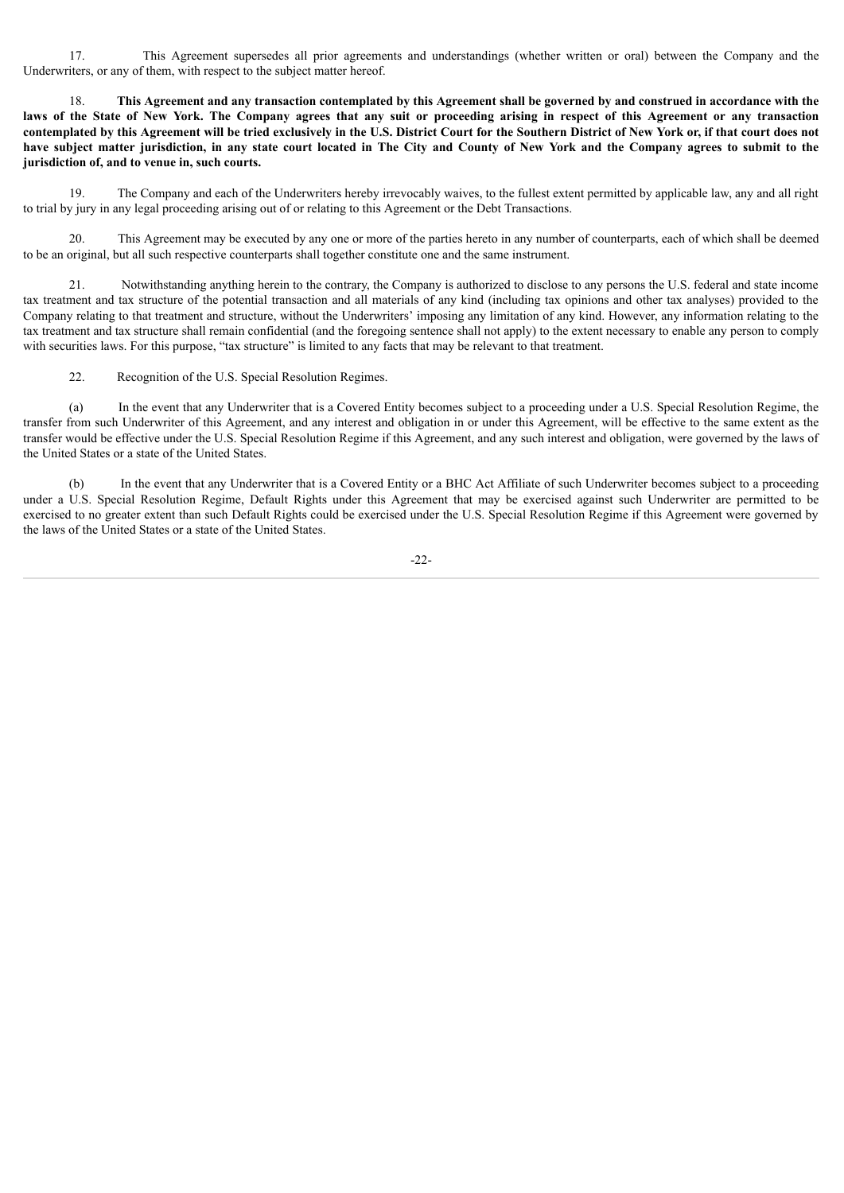17. This Agreement supersedes all prior agreements and understandings (whether written or oral) between the Company and the Underwriters, or any of them, with respect to the subject matter hereof.

18. This Agreement and any transaction contemplated by this Agreement shall be governed by and construed in accordance with the laws of the State of New York. The Company agrees that any suit or proceeding arising in respect of this Agreement or any transaction contemplated by this Agreement will be tried exclusively in the U.S. District Court for the Southern District of New York or, if that court does not have subject matter jurisdiction, in any state court located in The City and County of New York and the Company agrees to submit to the **jurisdiction of, and to venue in, such courts.**

19. The Company and each of the Underwriters hereby irrevocably waives, to the fullest extent permitted by applicable law, any and all right to trial by jury in any legal proceeding arising out of or relating to this Agreement or the Debt Transactions.

20. This Agreement may be executed by any one or more of the parties hereto in any number of counterparts, each of which shall be deemed to be an original, but all such respective counterparts shall together constitute one and the same instrument.

21. Notwithstanding anything herein to the contrary, the Company is authorized to disclose to any persons the U.S. federal and state income tax treatment and tax structure of the potential transaction and all materials of any kind (including tax opinions and other tax analyses) provided to the Company relating to that treatment and structure, without the Underwriters' imposing any limitation of any kind. However, any information relating to the tax treatment and tax structure shall remain confidential (and the foregoing sentence shall not apply) to the extent necessary to enable any person to comply with securities laws. For this purpose, "tax structure" is limited to any facts that may be relevant to that treatment.

22. Recognition of the U.S. Special Resolution Regimes.

(a) In the event that any Underwriter that is a Covered Entity becomes subject to a proceeding under a U.S. Special Resolution Regime, the transfer from such Underwriter of this Agreement, and any interest and obligation in or under this Agreement, will be effective to the same extent as the transfer would be effective under the U.S. Special Resolution Regime if this Agreement, and any such interest and obligation, were governed by the laws of the United States or a state of the United States.

(b) In the event that any Underwriter that is a Covered Entity or a BHC Act Affiliate of such Underwriter becomes subject to a proceeding under a U.S. Special Resolution Regime, Default Rights under this Agreement that may be exercised against such Underwriter are permitted to be exercised to no greater extent than such Default Rights could be exercised under the U.S. Special Resolution Regime if this Agreement were governed by the laws of the United States or a state of the United States.

-22-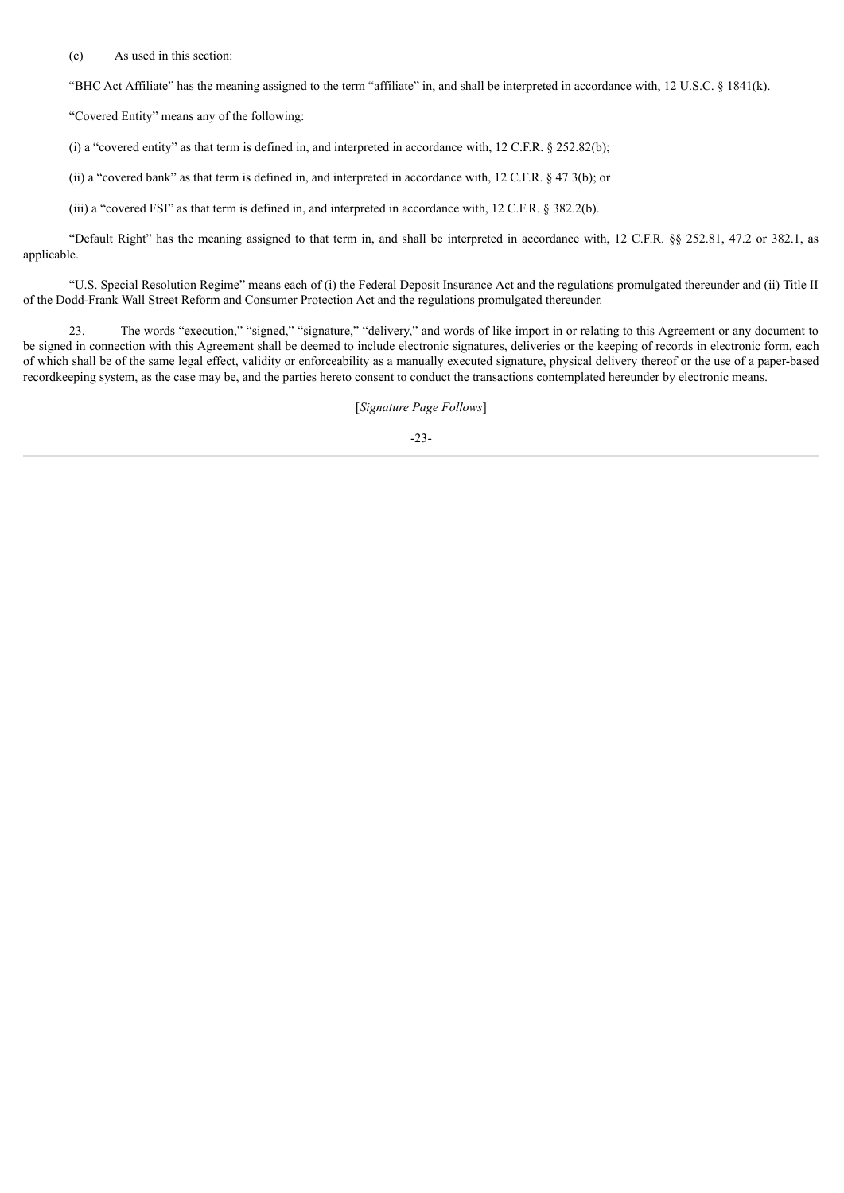(c) As used in this section:

"BHC Act Affiliate" has the meaning assigned to the term "affiliate" in, and shall be interpreted in accordance with, 12 U.S.C. § 1841(k).

"Covered Entity" means any of the following:

(i) a "covered entity" as that term is defined in, and interpreted in accordance with, 12 C.F.R. § 252.82(b);

(ii) a "covered bank" as that term is defined in, and interpreted in accordance with, 12 C.F.R. § 47.3(b); or

(iii) a "covered FSI" as that term is defined in, and interpreted in accordance with, 12 C.F.R. § 382.2(b).

"Default Right" has the meaning assigned to that term in, and shall be interpreted in accordance with, 12 C.F.R. §§ 252.81, 47.2 or 382.1, as applicable.

"U.S. Special Resolution Regime" means each of (i) the Federal Deposit Insurance Act and the regulations promulgated thereunder and (ii) Title II of the Dodd-Frank Wall Street Reform and Consumer Protection Act and the regulations promulgated thereunder.

23. The words "execution," "signed," "signature," "delivery," and words of like import in or relating to this Agreement or any document to be signed in connection with this Agreement shall be deemed to include electronic signatures, deliveries or the keeping of records in electronic form, each of which shall be of the same legal effect, validity or enforceability as a manually executed signature, physical delivery thereof or the use of a paper-based recordkeeping system, as the case may be, and the parties hereto consent to conduct the transactions contemplated hereunder by electronic means.

[*Signature Page Follows*]

-23-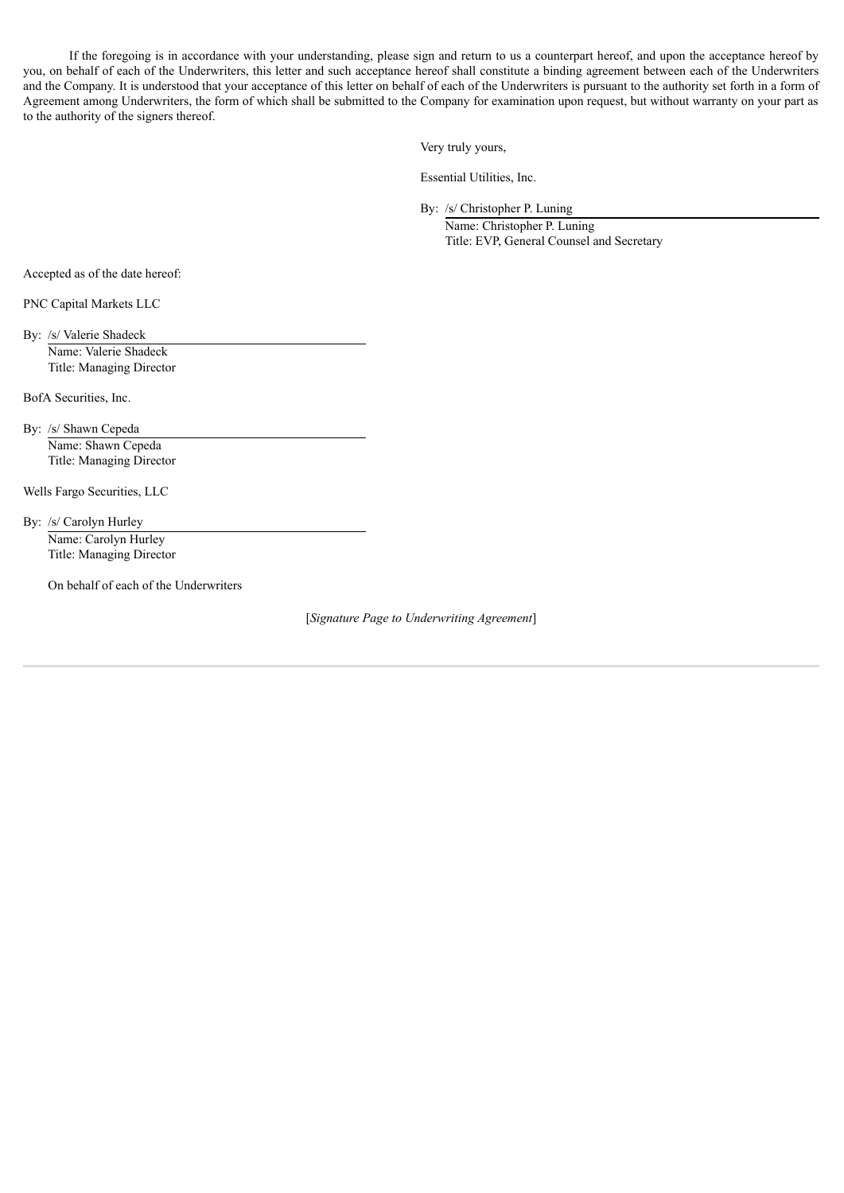If the foregoing is in accordance with your understanding, please sign and return to us a counterpart hereof, and upon the acceptance hereof by you, on behalf of each of the Underwriters, this letter and such acceptance hereof shall constitute a binding agreement between each of the Underwriters and the Company. It is understood that your acceptance of this letter on behalf of each of the Underwriters is pursuant to the authority set forth in a form of Agreement among Underwriters, the form of which shall be submitted to the Company for examination upon request, but without warranty on your part as to the authority of the signers thereof.

Very truly yours,

Essential Utilities, Inc.

By: /s/ Christopher P. Luning

Name: Christopher P. Luning Title: EVP, General Counsel and Secretary

Accepted as of the date hereof:

PNC Capital Markets LLC

By: /s/ Valerie Shadeck

Name: Valerie Shadeck Title: Managing Director

BofA Securities, Inc.

By: /s/ Shawn Cepeda Name: Shawn Cepeda Title: Managing Director

Wells Fargo Securities, LLC

By: /s/ Carolyn Hurley Name: Carolyn Hurley Title: Managing Director

On behalf of each of the Underwriters

[*Signature Page to Underwriting Agreement*]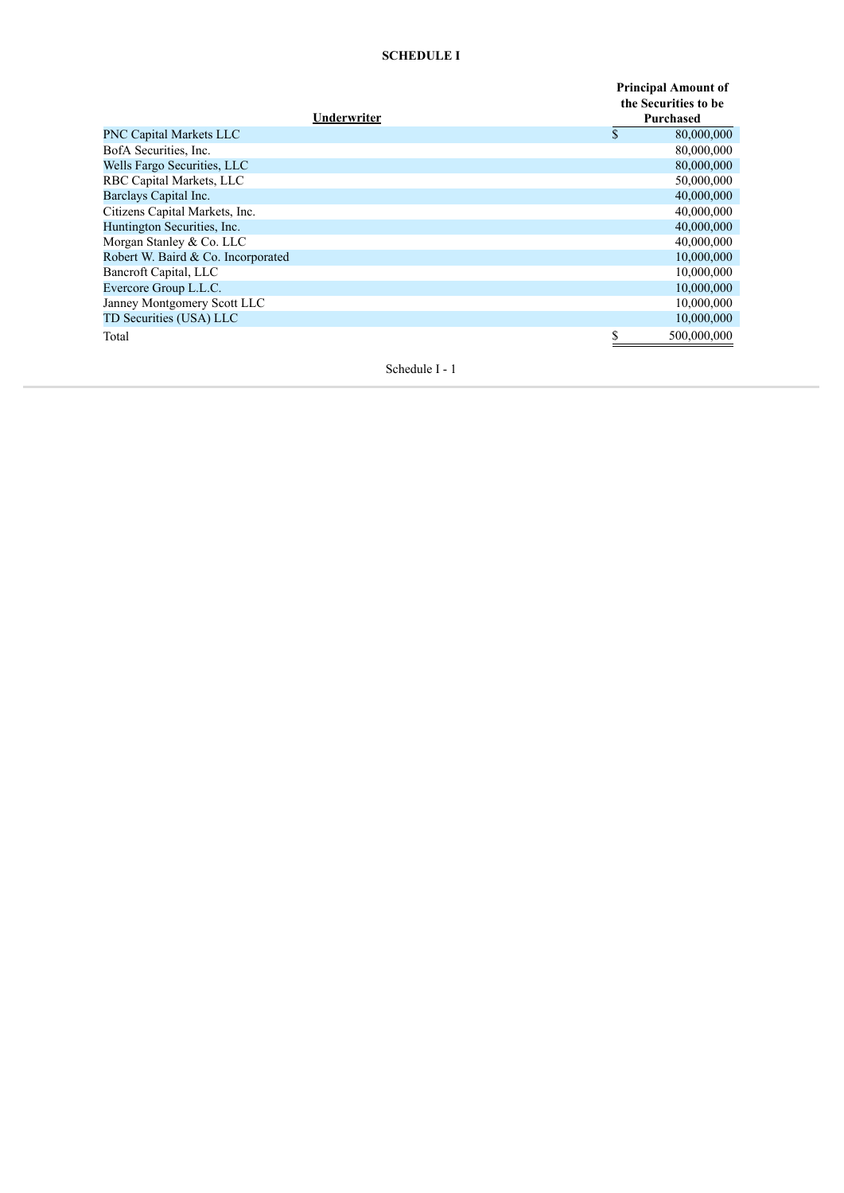# **SCHEDULE I**

|                                    | <b>Principal Amount of</b><br>the Securities to be |  |
|------------------------------------|----------------------------------------------------|--|
| Underwriter                        | Purchased                                          |  |
| <b>PNC Capital Markets LLC</b>     | \$<br>80,000,000                                   |  |
| BofA Securities, Inc.              | 80,000,000                                         |  |
| Wells Fargo Securities, LLC        | 80,000,000                                         |  |
| RBC Capital Markets, LLC           | 50,000,000                                         |  |
| Barclays Capital Inc.              | 40,000,000                                         |  |
| Citizens Capital Markets, Inc.     | 40,000,000                                         |  |
| Huntington Securities, Inc.        | 40,000,000                                         |  |
| Morgan Stanley & Co. LLC           | 40,000,000                                         |  |
| Robert W. Baird & Co. Incorporated | 10,000,000                                         |  |
| Bancroft Capital, LLC              | 10,000,000                                         |  |
| Evercore Group L.L.C.              | 10,000,000                                         |  |
| Janney Montgomery Scott LLC        | 10,000,000                                         |  |
| TD Securities (USA) LLC            | 10,000,000                                         |  |
| Total                              | \$<br>500,000,000                                  |  |

Schedule I - 1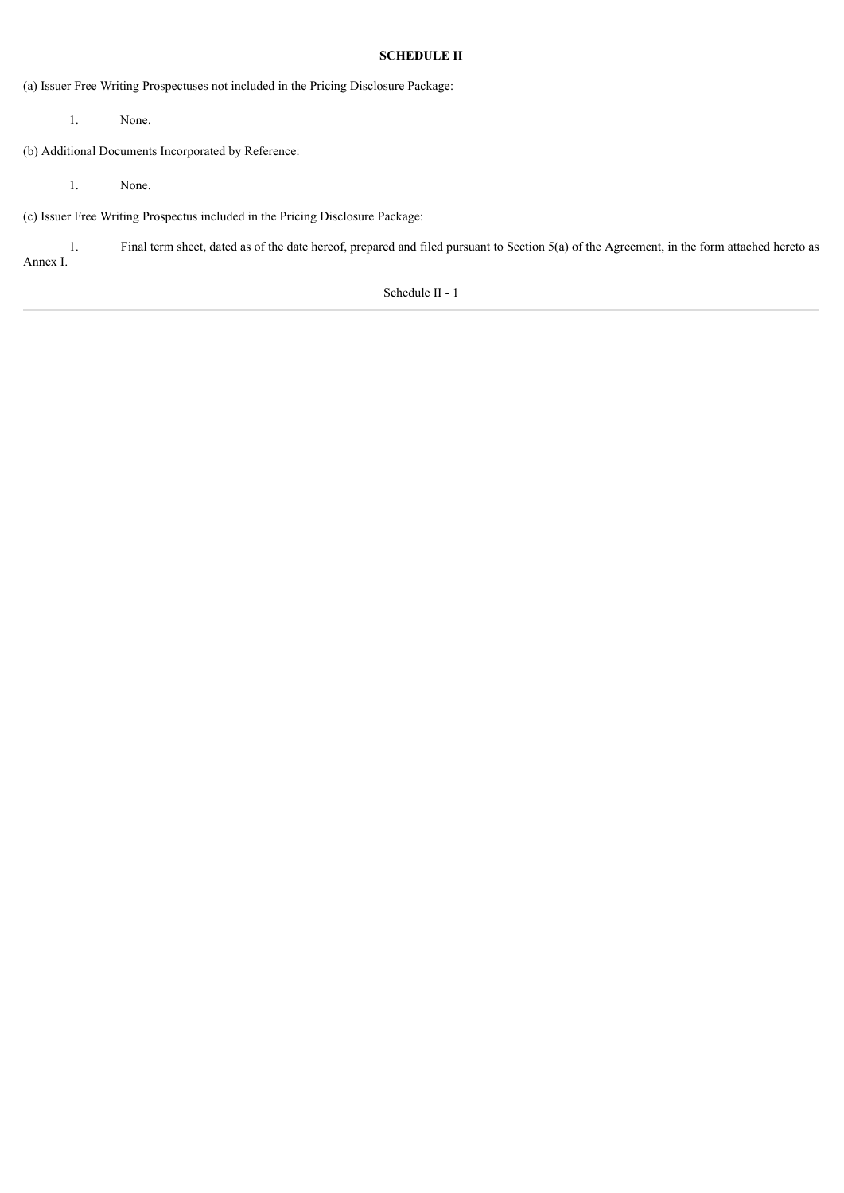# **SCHEDULE II**

(a) Issuer Free Writing Prospectuses not included in the Pricing Disclosure Package:

1. None.

(b) Additional Documents Incorporated by Reference:

1. None.

(c) Issuer Free Writing Prospectus included in the Pricing Disclosure Package:

1. Final term sheet, dated as of the date hereof, prepared and filed pursuant to Section 5(a) of the Agreement, in the form attached hereto as Annex I.

Schedule II - 1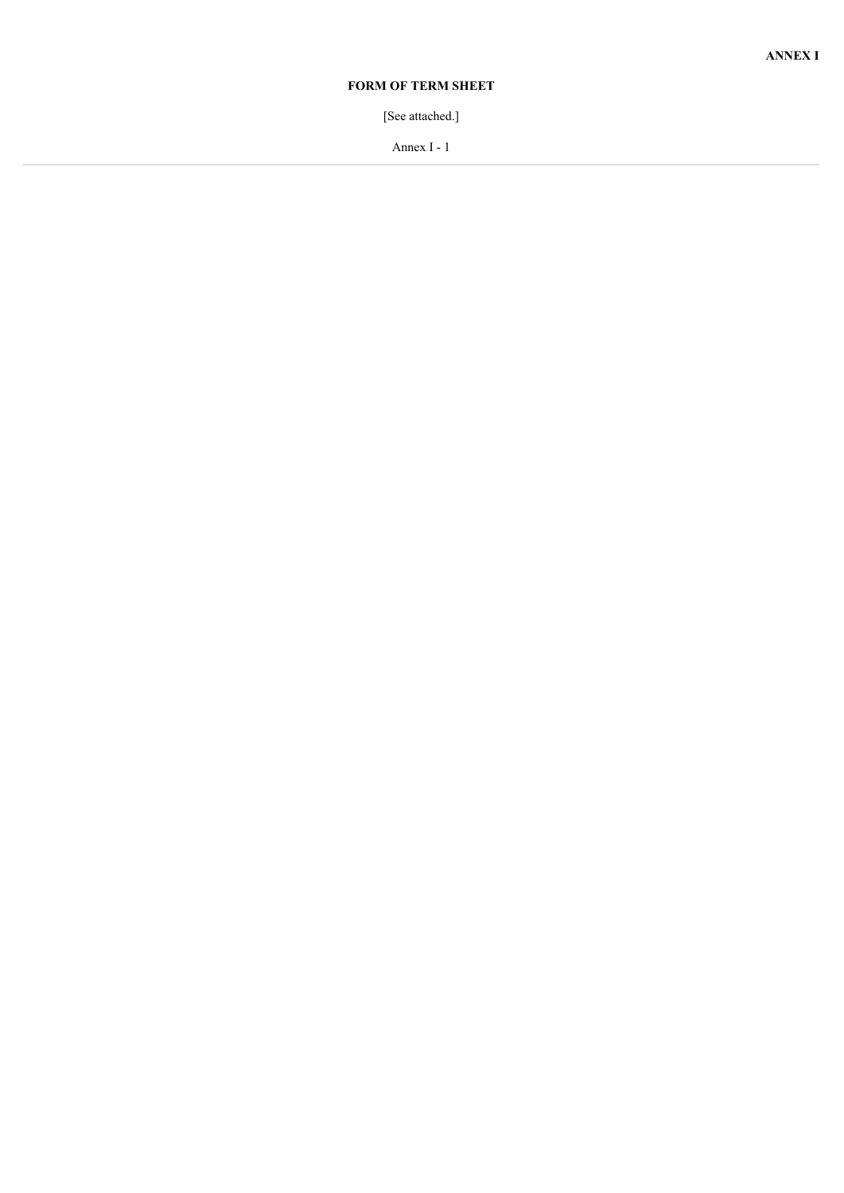# **FORM OF TERM SHEET**

[See attached.]

Annex I - 1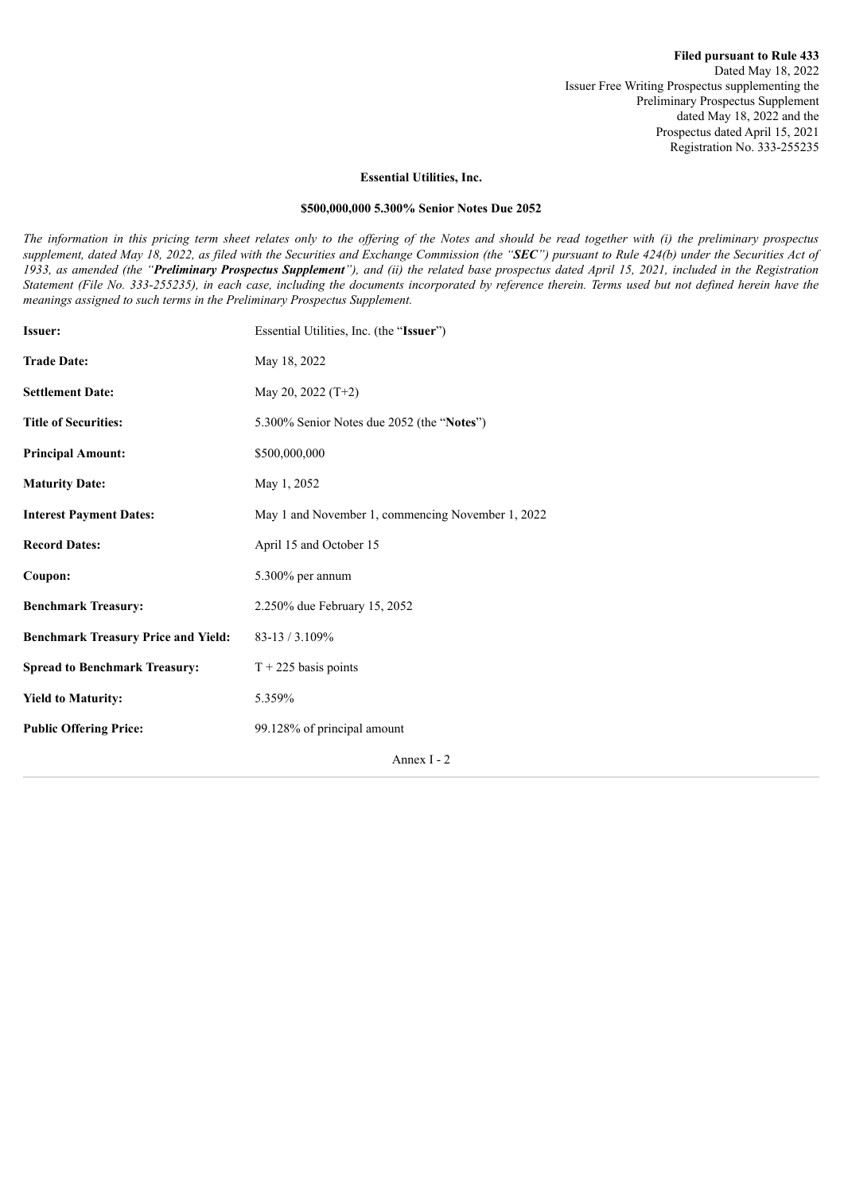#### **Essential Utilities, Inc.**

#### **\$500,000,000 5.300% Senior Notes Due 2052**

The information in this pricing term sheet relates only to the offering of the Notes and should be read together with (i) the preliminary prospectus supplement, dated May 18, 2022, as filed with the Securities and Exchange Commission (the "SEC") pursuant to Rule 424(b) under the Securities Act of 1933, as amended (the "Preliminary Prospectus Supplement"), and (ii) the related base prospectus dated April 15, 2021, included in the Registration Statement (File No. 333-255235), in each case, including the documents incorporated by reference therein. Terms used but not defined herein have the *meanings assigned to such terms in the Preliminary Prospectus Supplement.*

| <b>Issuer:</b>                             | Essential Utilities, Inc. (the "Issuer")          |
|--------------------------------------------|---------------------------------------------------|
| <b>Trade Date:</b>                         | May 18, 2022                                      |
| <b>Settlement Date:</b>                    | May 20, 2022 $(T+2)$                              |
| <b>Title of Securities:</b>                | 5.300% Senior Notes due 2052 (the "Notes")        |
| <b>Principal Amount:</b>                   | \$500,000,000                                     |
| <b>Maturity Date:</b>                      | May 1, 2052                                       |
| <b>Interest Payment Dates:</b>             | May 1 and November 1, commencing November 1, 2022 |
| <b>Record Dates:</b>                       | April 15 and October 15                           |
| Coupon:                                    | $5.300\%$ per annum                               |
| <b>Benchmark Treasury:</b>                 | 2.250% due February 15, 2052                      |
| <b>Benchmark Treasury Price and Yield:</b> | 83-13/3.109%                                      |
| <b>Spread to Benchmark Treasury:</b>       | $T + 225$ basis points                            |
| <b>Yield to Maturity:</b>                  | 5.359%                                            |
| <b>Public Offering Price:</b>              | 99.128% of principal amount                       |
|                                            | Annex I - 2                                       |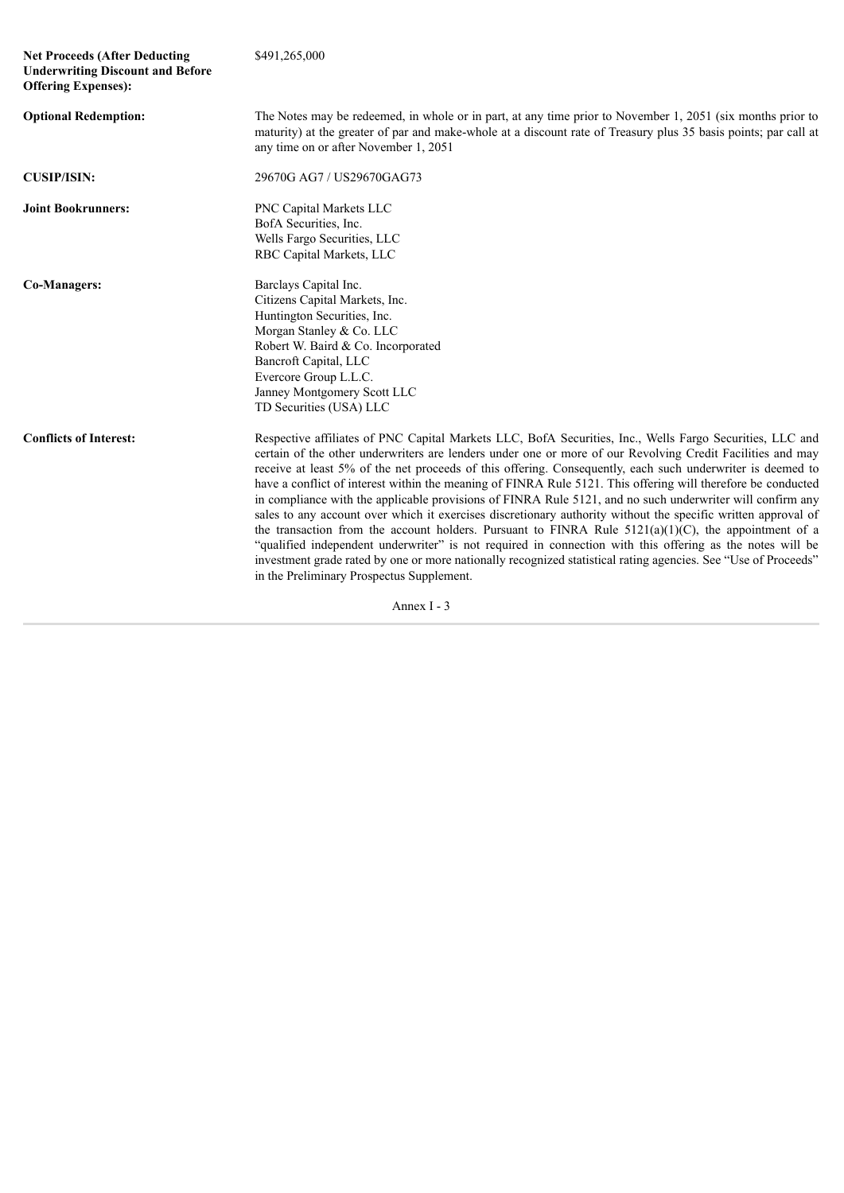| <b>Offering Expenses:</b>     |                                                                                                                                                                                                                                                                                                                                                                                                                                                                                                                                                                                                                                                                                                                                                                                                                                                                                                                                                                                                                                                                           |
|-------------------------------|---------------------------------------------------------------------------------------------------------------------------------------------------------------------------------------------------------------------------------------------------------------------------------------------------------------------------------------------------------------------------------------------------------------------------------------------------------------------------------------------------------------------------------------------------------------------------------------------------------------------------------------------------------------------------------------------------------------------------------------------------------------------------------------------------------------------------------------------------------------------------------------------------------------------------------------------------------------------------------------------------------------------------------------------------------------------------|
| <b>Optional Redemption:</b>   | The Notes may be redeemed, in whole or in part, at any time prior to November 1, 2051 (six months prior to<br>maturity) at the greater of par and make-whole at a discount rate of Treasury plus 35 basis points; par call at<br>any time on or after November 1, 2051                                                                                                                                                                                                                                                                                                                                                                                                                                                                                                                                                                                                                                                                                                                                                                                                    |
| <b>CUSIP/ISIN:</b>            | 29670G AG7 / US29670GAG73                                                                                                                                                                                                                                                                                                                                                                                                                                                                                                                                                                                                                                                                                                                                                                                                                                                                                                                                                                                                                                                 |
| <b>Joint Bookrunners:</b>     | <b>PNC Capital Markets LLC</b><br>BofA Securities, Inc.<br>Wells Fargo Securities, LLC<br>RBC Capital Markets, LLC                                                                                                                                                                                                                                                                                                                                                                                                                                                                                                                                                                                                                                                                                                                                                                                                                                                                                                                                                        |
| Co-Managers:                  | Barclays Capital Inc.<br>Citizens Capital Markets, Inc.<br>Huntington Securities, Inc.<br>Morgan Stanley & Co. LLC<br>Robert W. Baird & Co. Incorporated<br>Bancroft Capital, LLC<br>Evercore Group L.L.C.<br>Janney Montgomery Scott LLC<br>TD Securities (USA) LLC                                                                                                                                                                                                                                                                                                                                                                                                                                                                                                                                                                                                                                                                                                                                                                                                      |
| <b>Conflicts of Interest:</b> | Respective affiliates of PNC Capital Markets LLC, BofA Securities, Inc., Wells Fargo Securities, LLC and<br>certain of the other underwriters are lenders under one or more of our Revolving Credit Facilities and may<br>receive at least 5% of the net proceeds of this offering. Consequently, each such underwriter is deemed to<br>have a conflict of interest within the meaning of FINRA Rule 5121. This offering will therefore be conducted<br>in compliance with the applicable provisions of FINRA Rule 5121, and no such underwriter will confirm any<br>sales to any account over which it exercises discretionary authority without the specific written approval of<br>the transaction from the account holders. Pursuant to FINRA Rule $5121(a)(1)(C)$ , the appointment of a<br>"qualified independent underwriter" is not required in connection with this offering as the notes will be<br>investment grade rated by one or more nationally recognized statistical rating agencies. See "Use of Proceeds"<br>in the Preliminary Prospectus Supplement. |

Annex I - 3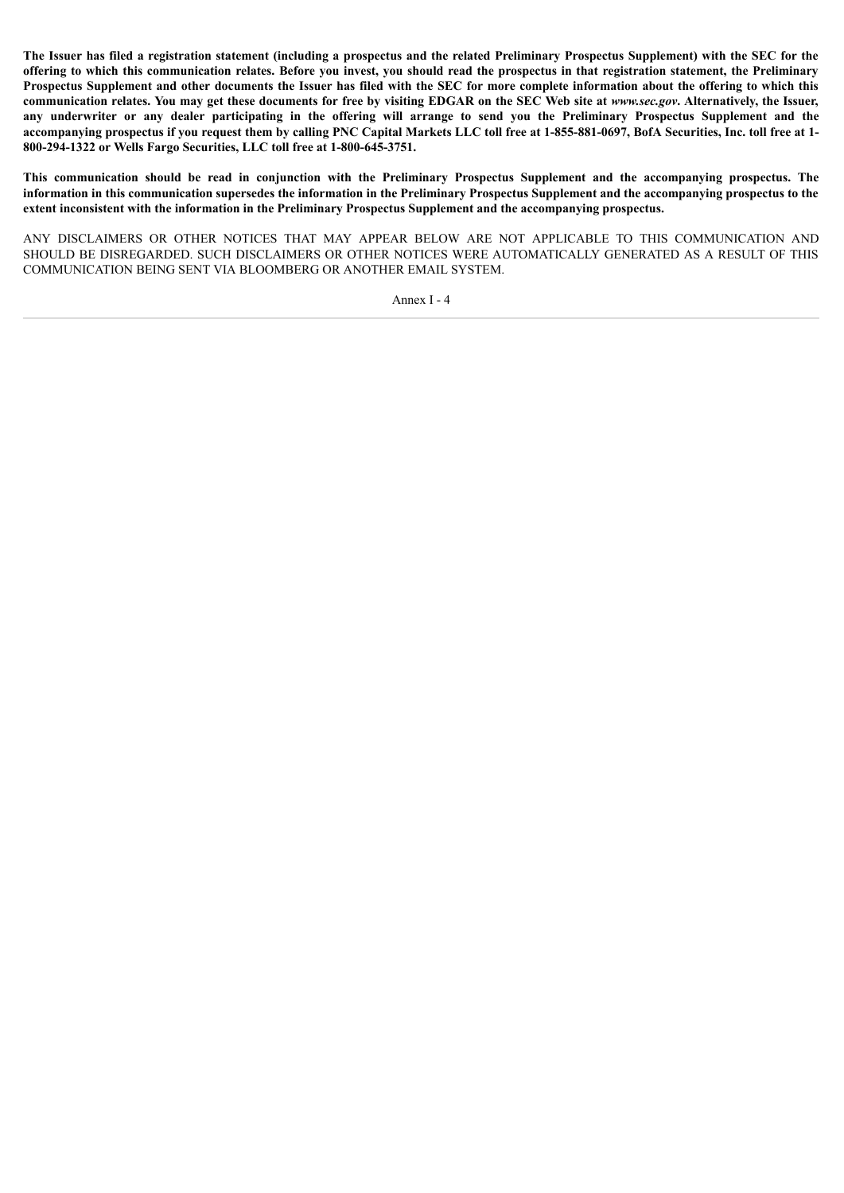The Issuer has filed a registration statement (including a prospectus and the related Preliminary Prospectus Supplement) with the SEC for the offering to which this communication relates. Before you invest, you should read the prospectus in that registration statement, the Preliminary Prospectus Supplement and other documents the Issuer has filed with the SEC for more complete information about the offering to which this communication relates. You may get these documents for free by visiting EDGAR on the SEC Web site at www.sec.gov. Alternatively, the Issuer, any underwriter or any dealer participating in the offering will arrange to send you the Preliminary Prospectus Supplement and the accompanying prospectus if you request them by calling PNC Capital Markets LLC toll free at 1-855-881-0697, BofA Securities, Inc. toll free at 1-**800-294-1322 or Wells Fargo Securities, LLC toll free at 1-800-645-3751.**

This communication should be read in conjunction with the Preliminary Prospectus Supplement and the accompanying prospectus. The information in this communication supersedes the information in the Preliminary Prospectus Supplement and the accompanying prospectus to the **extent inconsistent with the information in the Preliminary Prospectus Supplement and the accompanying prospectus.**

ANY DISCLAIMERS OR OTHER NOTICES THAT MAY APPEAR BELOW ARE NOT APPLICABLE TO THIS COMMUNICATION AND SHOULD BE DISREGARDED. SUCH DISCLAIMERS OR OTHER NOTICES WERE AUTOMATICALLY GENERATED AS A RESULT OF THIS COMMUNICATION BEING SENT VIA BLOOMBERG OR ANOTHER EMAIL SYSTEM.

Annex I - 4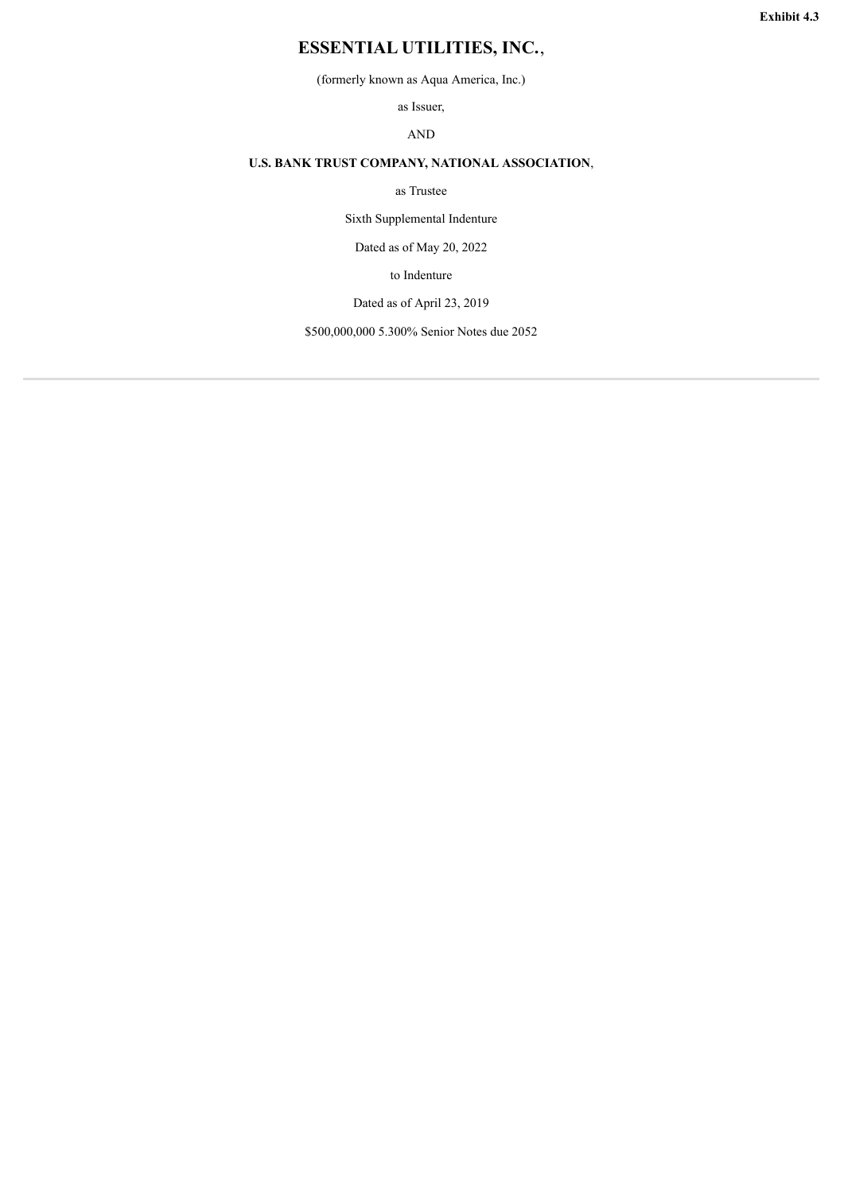# **ESSENTIAL UTILITIES, INC.**,

(formerly known as Aqua America, Inc.)

as Issuer,

AND

# <span id="page-34-0"></span>**U.S. BANK TRUST COMPANY, NATIONAL ASSOCIATION**,

as Trustee

Sixth Supplemental Indenture

Dated as of May 20, 2022

to Indenture

Dated as of April 23, 2019

\$500,000,000 5.300% Senior Notes due 2052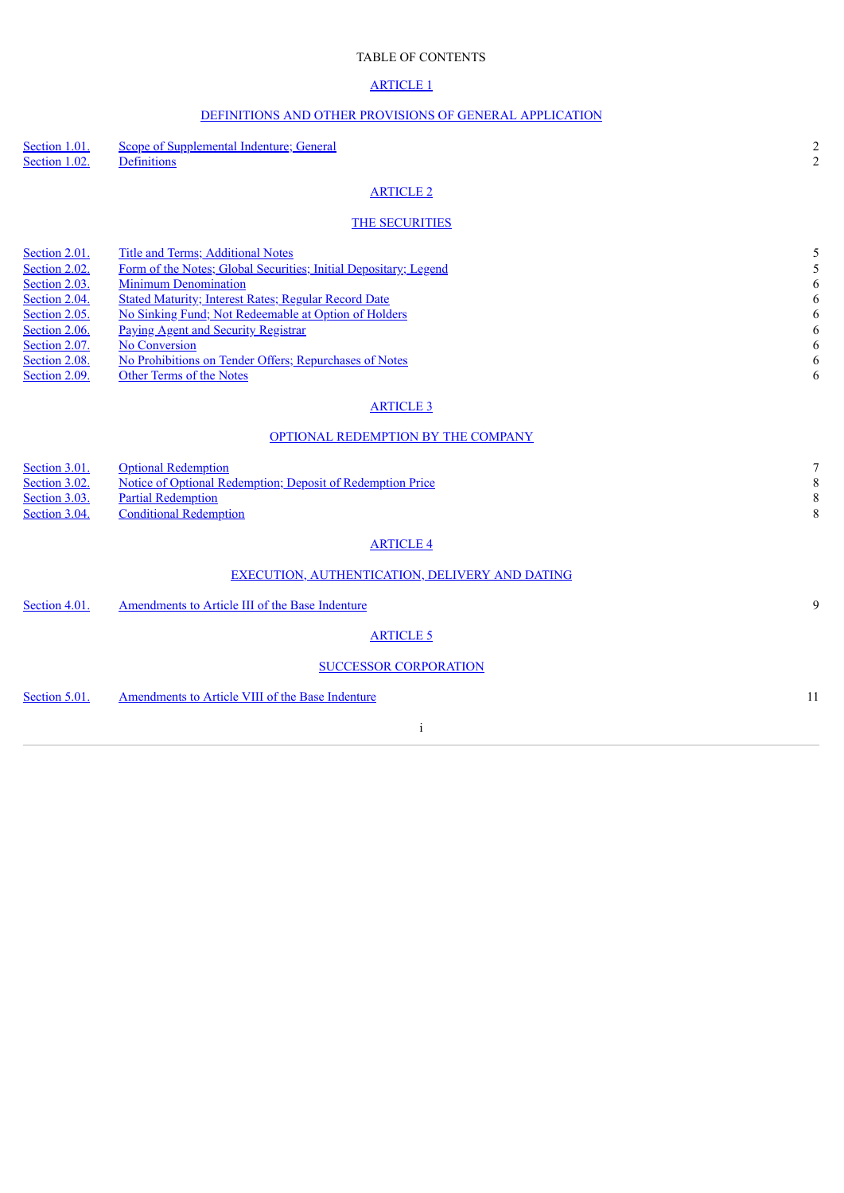# TABLE OF CONTENTS

# [ARTICLE](#page-38-0) 1

# DEFINITIONS AND OTHER PROVISIONS OF GENERAL [APPLICATION](#page-38-0)

| Section 1.01.<br>Section 1.02.                                                                                                                        | Scope of Supplemental Indenture; General<br>Definitions                                                                                                                                                                                                                                                                                                                                                                        | $\overline{2}$<br>$\overline{2}$                                                 |
|-------------------------------------------------------------------------------------------------------------------------------------------------------|--------------------------------------------------------------------------------------------------------------------------------------------------------------------------------------------------------------------------------------------------------------------------------------------------------------------------------------------------------------------------------------------------------------------------------|----------------------------------------------------------------------------------|
|                                                                                                                                                       | <b>ARTICLE 2</b>                                                                                                                                                                                                                                                                                                                                                                                                               |                                                                                  |
|                                                                                                                                                       | <b>THE SECURITIES</b>                                                                                                                                                                                                                                                                                                                                                                                                          |                                                                                  |
| Section 2.01.<br>Section 2.02.<br>Section 2.03.<br>Section 2.04.<br>Section 2.05.<br>Section 2.06.<br>Section 2.07.<br>Section 2.08.<br>Section 2.09. | <b>Title and Terms; Additional Notes</b><br>Form of the Notes; Global Securities; Initial Depositary; Legend<br><b>Minimum Denomination</b><br><b>Stated Maturity; Interest Rates; Regular Record Date</b><br>No Sinking Fund; Not Redeemable at Option of Holders<br><b>Paying Agent and Security Registrar</b><br><b>No Conversion</b><br>No Prohibitions on Tender Offers; Repurchases of Notes<br>Other Terms of the Notes | 5<br>5<br>6<br>$\boldsymbol{6}$<br>$\boldsymbol{6}$<br>$\sqrt{6}$<br>6<br>6<br>6 |
|                                                                                                                                                       | <b>ARTICLE 3</b>                                                                                                                                                                                                                                                                                                                                                                                                               |                                                                                  |
|                                                                                                                                                       | OPTIONAL REDEMPTION BY THE COMPANY                                                                                                                                                                                                                                                                                                                                                                                             |                                                                                  |
| Section 3.01.<br>Section 3.02.<br>Section 3.03.<br>Section 3.04.                                                                                      | <b>Optional Redemption</b><br>Notice of Optional Redemption; Deposit of Redemption Price<br><b>Partial Redemption</b><br><b>Conditional Redemption</b>                                                                                                                                                                                                                                                                         | 7<br>$\,$ 8 $\,$<br>$\,$ 8 $\,$<br>8                                             |
|                                                                                                                                                       | <b>ARTICLE 4</b>                                                                                                                                                                                                                                                                                                                                                                                                               |                                                                                  |
|                                                                                                                                                       | <b>EXECUTION, AUTHENTICATION, DELIVERY AND DATING</b>                                                                                                                                                                                                                                                                                                                                                                          |                                                                                  |
| Section 4.01.                                                                                                                                         | Amendments to Article III of the Base Indenture                                                                                                                                                                                                                                                                                                                                                                                | 9                                                                                |
|                                                                                                                                                       | <b>ARTICLE 5</b>                                                                                                                                                                                                                                                                                                                                                                                                               |                                                                                  |
|                                                                                                                                                       | <b>SUCCESSOR CORPORATION</b>                                                                                                                                                                                                                                                                                                                                                                                                   |                                                                                  |
| Section 5.01.                                                                                                                                         | Amendments to Article VIII of the Base Indenture                                                                                                                                                                                                                                                                                                                                                                               | 11                                                                               |
|                                                                                                                                                       | $\mathbf{i}$                                                                                                                                                                                                                                                                                                                                                                                                                   |                                                                                  |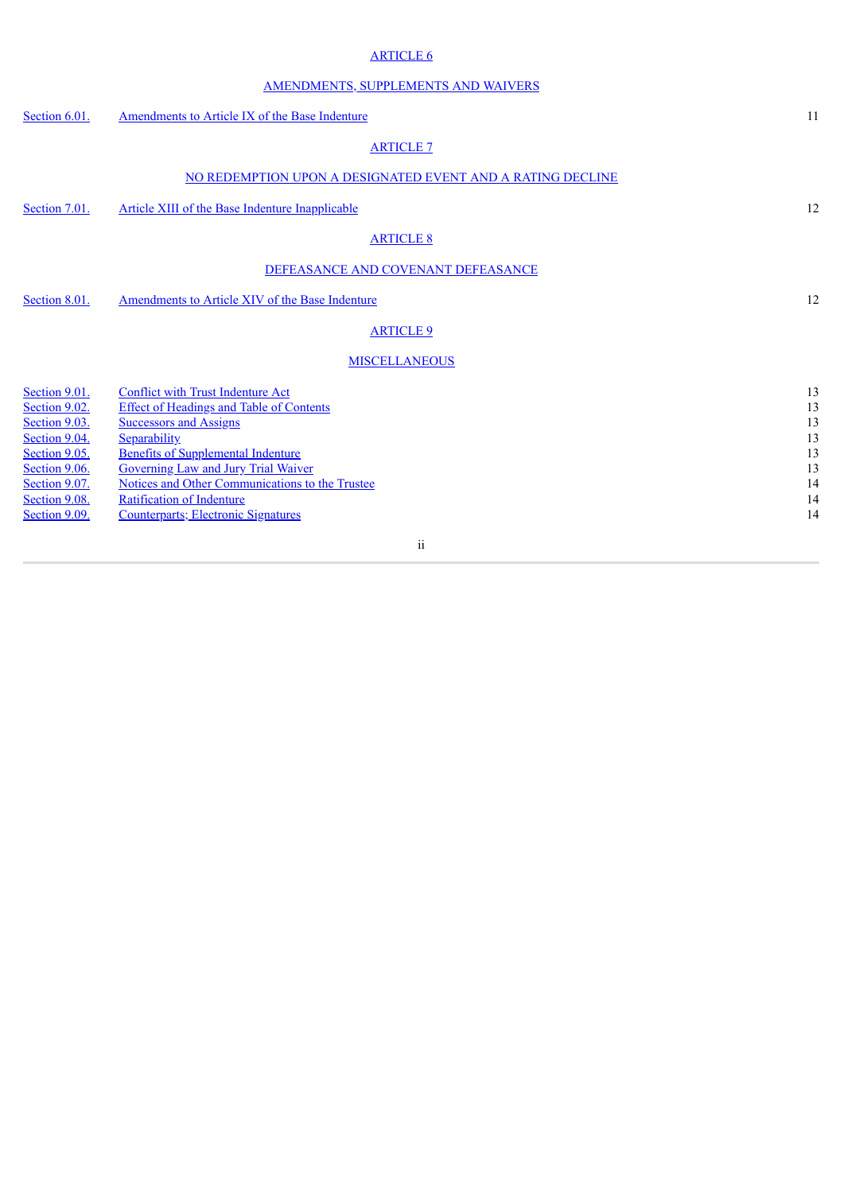# [ARTICLE](#page-47-2) 6

|  |  | AMENDMENTS, SUPPLEMENTS AND WAIVERS |
|--|--|-------------------------------------|
|--|--|-------------------------------------|

| Section 6.01.                                                                                                                        | Amendments to Article IX of the Base Indenture                                                                                                                                                                                                                                                                          | 11                                                 |
|--------------------------------------------------------------------------------------------------------------------------------------|-------------------------------------------------------------------------------------------------------------------------------------------------------------------------------------------------------------------------------------------------------------------------------------------------------------------------|----------------------------------------------------|
|                                                                                                                                      | <b>ARTICLE 7</b>                                                                                                                                                                                                                                                                                                        |                                                    |
|                                                                                                                                      | NO REDEMPTION UPON A DESIGNATED EVENT AND A RATING DECLINE                                                                                                                                                                                                                                                              |                                                    |
| Section 7.01.                                                                                                                        | Article XIII of the Base Indenture Inapplicable                                                                                                                                                                                                                                                                         | 12                                                 |
|                                                                                                                                      | <b>ARTICLE 8</b>                                                                                                                                                                                                                                                                                                        |                                                    |
|                                                                                                                                      | DEFEASANCE AND COVENANT DEFEASANCE                                                                                                                                                                                                                                                                                      |                                                    |
| Section 8.01.                                                                                                                        | Amendments to Article XIV of the Base Indenture                                                                                                                                                                                                                                                                         | 12                                                 |
|                                                                                                                                      | <b>ARTICLE 9</b>                                                                                                                                                                                                                                                                                                        |                                                    |
|                                                                                                                                      | <b>MISCELLANEOUS</b>                                                                                                                                                                                                                                                                                                    |                                                    |
| Section 9.01.<br>Section 9.02.<br>Section 9.03.<br>Section 9.04.<br>Section 9.05.<br>Section 9.06.<br>Section 9.07.<br>Section 9.08. | <b>Conflict with Trust Indenture Act</b><br><b>Effect of Headings and Table of Contents</b><br><b>Successors and Assigns</b><br>Separability<br><b>Benefits of Supplemental Indenture</b><br><b>Governing Law and Jury Trial Waiver</b><br>Notices and Other Communications to the Trustee<br>Ratification of Indenture | 13<br>13<br>13<br>13<br>13<br>13<br>14<br>14<br>14 |
| Section 9.09.                                                                                                                        | <b>Counterparts</b> ; Electronic Signatures                                                                                                                                                                                                                                                                             |                                                    |

ii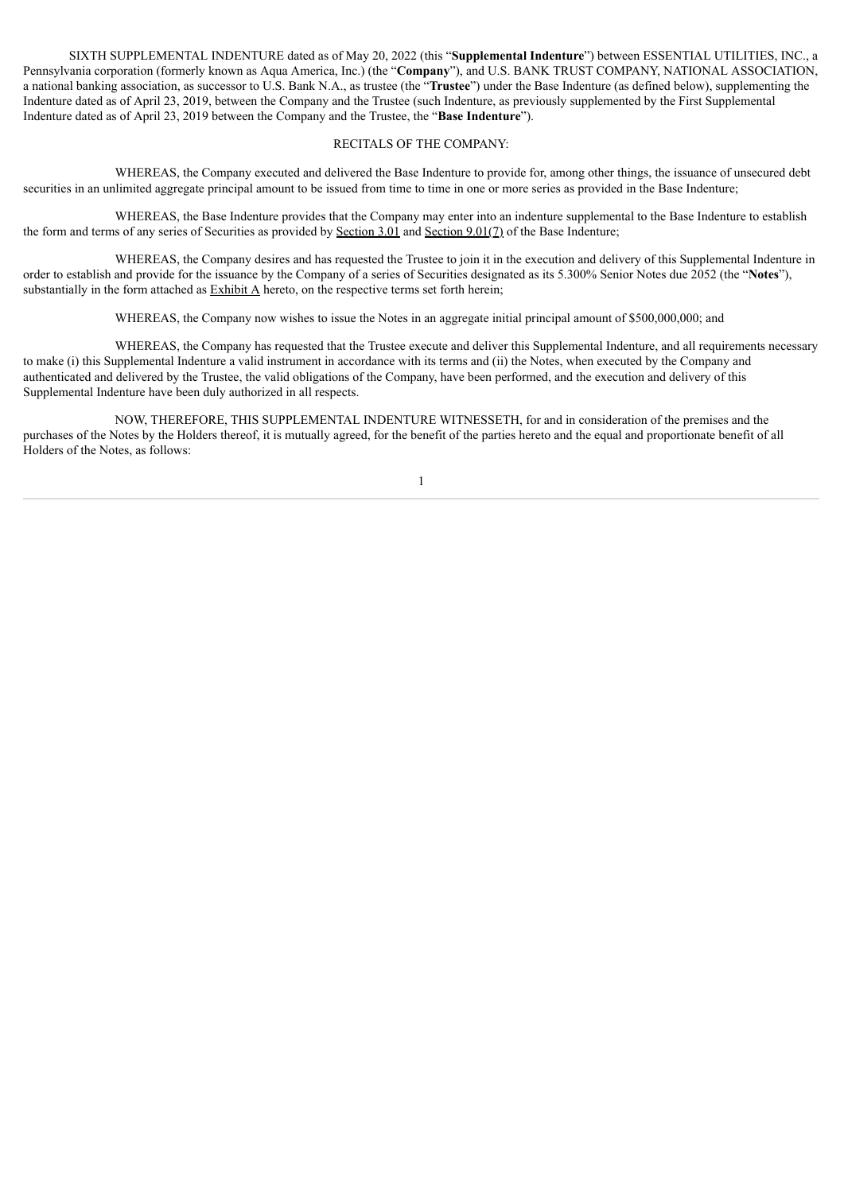SIXTH SUPPLEMENTAL INDENTURE dated as of May 20, 2022 (this "**Supplemental Indenture**") between ESSENTIAL UTILITIES, INC., a Pennsylvania corporation (formerly known as Aqua America, Inc.) (the "**Company**"), and U.S. BANK TRUST COMPANY, NATIONAL ASSOCIATION, a national banking association, as successor to U.S. Bank N.A., as trustee (the "**Trustee**") under the Base Indenture (as defined below), supplementing the Indenture dated as of April 23, 2019, between the Company and the Trustee (such Indenture, as previously supplemented by the First Supplemental Indenture dated as of April 23, 2019 between the Company and the Trustee, the "**Base Indenture**").

#### RECITALS OF THE COMPANY:

WHEREAS, the Company executed and delivered the Base Indenture to provide for, among other things, the issuance of unsecured debt securities in an unlimited aggregate principal amount to be issued from time to time in one or more series as provided in the Base Indenture;

WHEREAS, the Base Indenture provides that the Company may enter into an indenture supplemental to the Base Indenture to establish the form and terms of any series of Securities as provided by Section 3.01 and Section 9.01(7) of the Base Indenture;

WHEREAS, the Company desires and has requested the Trustee to join it in the execution and delivery of this Supplemental Indenture in order to establish and provide for the issuance by the Company of a series of Securities designated as its 5.300% Senior Notes due 2052 (the "**Notes**"), substantially in the form attached as Exhibit A hereto, on the respective terms set forth herein;

WHEREAS, the Company now wishes to issue the Notes in an aggregate initial principal amount of \$500,000,000; and

WHEREAS, the Company has requested that the Trustee execute and deliver this Supplemental Indenture, and all requirements necessary to make (i) this Supplemental Indenture a valid instrument in accordance with its terms and (ii) the Notes, when executed by the Company and authenticated and delivered by the Trustee, the valid obligations of the Company, have been performed, and the execution and delivery of this Supplemental Indenture have been duly authorized in all respects.

1

NOW, THEREFORE, THIS SUPPLEMENTAL INDENTURE WITNESSETH, for and in consideration of the premises and the purchases of the Notes by the Holders thereof, it is mutually agreed, for the benefit of the parties hereto and the equal and proportionate benefit of all Holders of the Notes, as follows: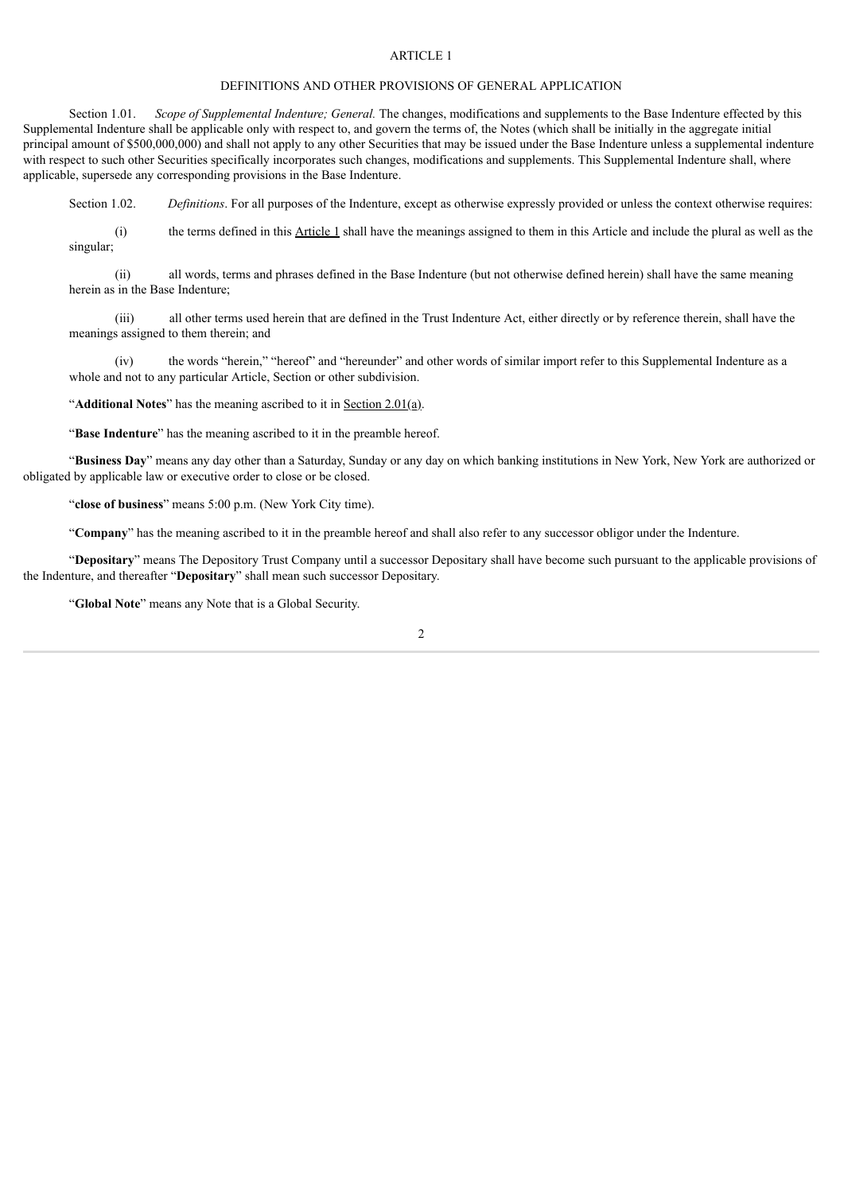#### ARTICLE 1

#### <span id="page-38-1"></span>DEFINITIONS AND OTHER PROVISIONS OF GENERAL APPLICATION

<span id="page-38-0"></span>Section 1.01. *Scope of Supplemental Indenture; General.* The changes, modifications and supplements to the Base Indenture effected by this Supplemental Indenture shall be applicable only with respect to, and govern the terms of, the Notes (which shall be initially in the aggregate initial principal amount of \$500,000,000) and shall not apply to any other Securities that may be issued under the Base Indenture unless a supplemental indenture with respect to such other Securities specifically incorporates such changes, modifications and supplements. This Supplemental Indenture shall, where applicable, supersede any corresponding provisions in the Base Indenture.

<span id="page-38-2"></span>Section 1.02. *Definitions*. For all purposes of the Indenture, except as otherwise expressly provided or unless the context otherwise requires:

(i) the terms defined in this Article 1 shall have the meanings assigned to them in this Article and include the plural as well as the singular;

(ii) all words, terms and phrases defined in the Base Indenture (but not otherwise defined herein) shall have the same meaning herein as in the Base Indenture;

(iii) all other terms used herein that are defined in the Trust Indenture Act, either directly or by reference therein, shall have the meanings assigned to them therein; and

(iv) the words "herein," "hereof" and "hereunder" and other words of similar import refer to this Supplemental Indenture as a whole and not to any particular Article, Section or other subdivision.

"**Additional Notes**" has the meaning ascribed to it in Section 2.01(a).

"**Base Indenture**" has the meaning ascribed to it in the preamble hereof.

"**Business Day**" means any day other than a Saturday, Sunday or any day on which banking institutions in New York, New York are authorized or obligated by applicable law or executive order to close or be closed.

"**close of business**" means 5:00 p.m. (New York City time).

"**Company**" has the meaning ascribed to it in the preamble hereof and shall also refer to any successor obligor under the Indenture.

"**Depositary**" means The Depository Trust Company until a successor Depositary shall have become such pursuant to the applicable provisions of the Indenture, and thereafter "**Depositary**" shall mean such successor Depositary.

"**Global Note**" means any Note that is a Global Security.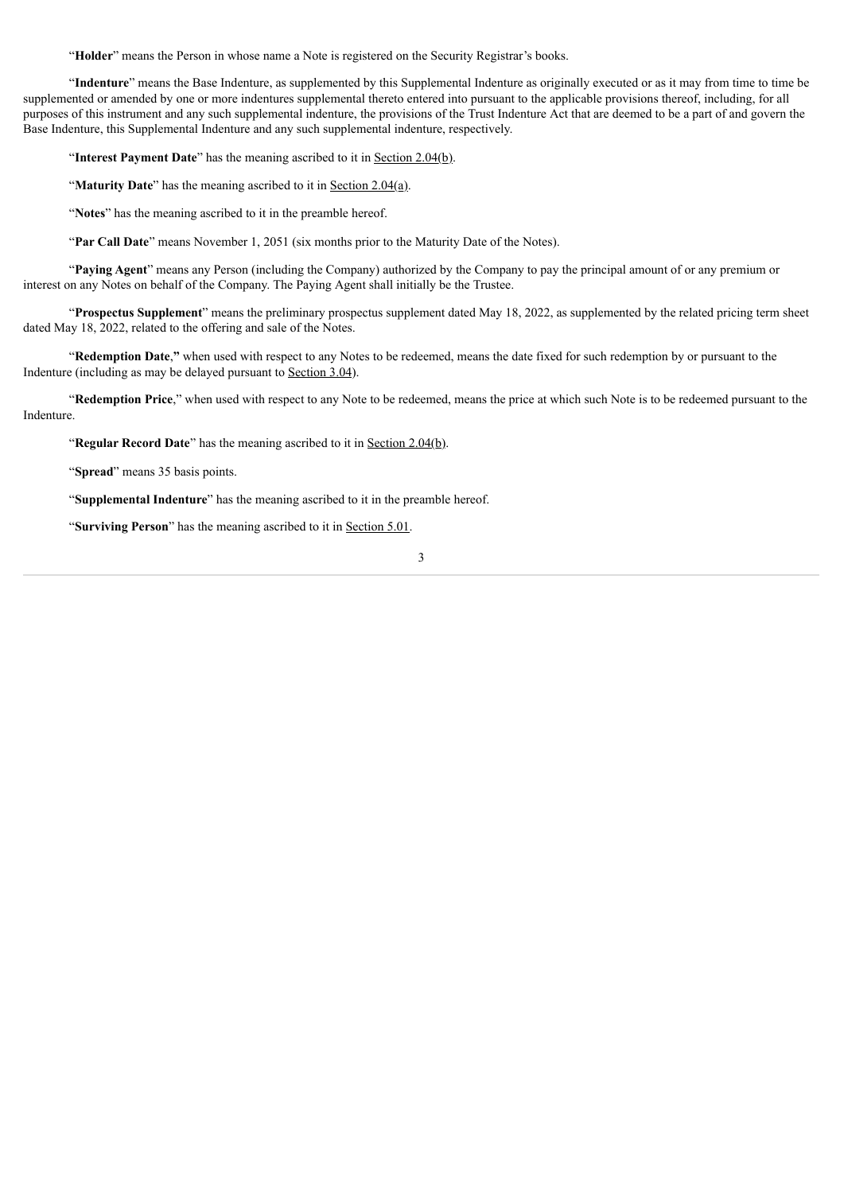"**Holder**" means the Person in whose name a Note is registered on the Security Registrar's books.

"**Indenture**" means the Base Indenture, as supplemented by this Supplemental Indenture as originally executed or as it may from time to time be supplemented or amended by one or more indentures supplemental thereto entered into pursuant to the applicable provisions thereof, including, for all purposes of this instrument and any such supplemental indenture, the provisions of the Trust Indenture Act that are deemed to be a part of and govern the Base Indenture, this Supplemental Indenture and any such supplemental indenture, respectively.

"**Interest Payment Date**" has the meaning ascribed to it in Section 2.04(b).

"**Maturity Date**" has the meaning ascribed to it in Section 2.04(a).

"**Notes**" has the meaning ascribed to it in the preamble hereof.

"**Par Call Date**" means November 1, 2051 (six months prior to the Maturity Date of the Notes).

"**Paying Agent**" means any Person (including the Company) authorized by the Company to pay the principal amount of or any premium or interest on any Notes on behalf of the Company. The Paying Agent shall initially be the Trustee.

"**Prospectus Supplement**" means the preliminary prospectus supplement dated May 18, 2022, as supplemented by the related pricing term sheet dated May 18, 2022, related to the offering and sale of the Notes.

"**Redemption Date**,**"** when used with respect to any Notes to be redeemed, means the date fixed for such redemption by or pursuant to the Indenture (including as may be delayed pursuant to Section 3.04).

"**Redemption Price**," when used with respect to any Note to be redeemed, means the price at which such Note is to be redeemed pursuant to the Indenture.

"**Regular Record Date**" has the meaning ascribed to it in Section 2.04(b).

"**Spread**" means 35 basis points.

"**Supplemental Indenture**" has the meaning ascribed to it in the preamble hereof.

"**Surviving Person**" has the meaning ascribed to it in Section 5.01.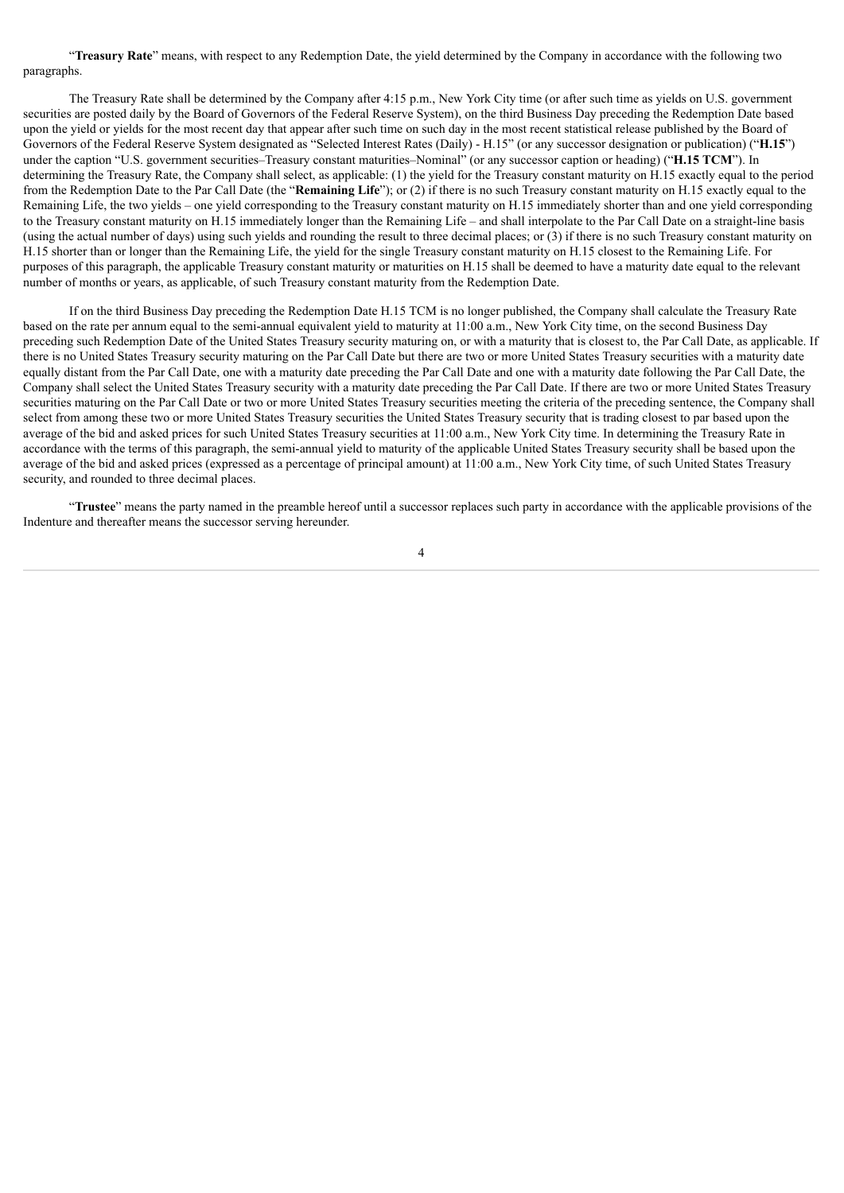"**Treasury Rate**" means, with respect to any Redemption Date, the yield determined by the Company in accordance with the following two paragraphs.

The Treasury Rate shall be determined by the Company after 4:15 p.m., New York City time (or after such time as yields on U.S. government securities are posted daily by the Board of Governors of the Federal Reserve System), on the third Business Day preceding the Redemption Date based upon the yield or yields for the most recent day that appear after such time on such day in the most recent statistical release published by the Board of Governors of the Federal Reserve System designated as "Selected Interest Rates (Daily) - H.15" (or any successor designation or publication) ("**H.15**") under the caption "U.S. government securities–Treasury constant maturities–Nominal" (or any successor caption or heading) ("**H.15 TCM**"). In determining the Treasury Rate, the Company shall select, as applicable: (1) the yield for the Treasury constant maturity on H.15 exactly equal to the period from the Redemption Date to the Par Call Date (the "**Remaining Life**"); or (2) if there is no such Treasury constant maturity on H.15 exactly equal to the Remaining Life, the two yields – one yield corresponding to the Treasury constant maturity on H.15 immediately shorter than and one yield corresponding to the Treasury constant maturity on H.15 immediately longer than the Remaining Life – and shall interpolate to the Par Call Date on a straight-line basis (using the actual number of days) using such yields and rounding the result to three decimal places; or (3) if there is no such Treasury constant maturity on H.15 shorter than or longer than the Remaining Life, the yield for the single Treasury constant maturity on H.15 closest to the Remaining Life. For purposes of this paragraph, the applicable Treasury constant maturity or maturities on H.15 shall be deemed to have a maturity date equal to the relevant number of months or years, as applicable, of such Treasury constant maturity from the Redemption Date.

If on the third Business Day preceding the Redemption Date H.15 TCM is no longer published, the Company shall calculate the Treasury Rate based on the rate per annum equal to the semi-annual equivalent yield to maturity at 11:00 a.m., New York City time, on the second Business Day preceding such Redemption Date of the United States Treasury security maturing on, or with a maturity that is closest to, the Par Call Date, as applicable. If there is no United States Treasury security maturing on the Par Call Date but there are two or more United States Treasury securities with a maturity date equally distant from the Par Call Date, one with a maturity date preceding the Par Call Date and one with a maturity date following the Par Call Date, the Company shall select the United States Treasury security with a maturity date preceding the Par Call Date. If there are two or more United States Treasury securities maturing on the Par Call Date or two or more United States Treasury securities meeting the criteria of the preceding sentence, the Company shall select from among these two or more United States Treasury securities the United States Treasury security that is trading closest to par based upon the average of the bid and asked prices for such United States Treasury securities at 11:00 a.m., New York City time. In determining the Treasury Rate in accordance with the terms of this paragraph, the semi-annual yield to maturity of the applicable United States Treasury security shall be based upon the average of the bid and asked prices (expressed as a percentage of principal amount) at 11:00 a.m., New York City time, of such United States Treasury security, and rounded to three decimal places.

"**Trustee**" means the party named in the preamble hereof until a successor replaces such party in accordance with the applicable provisions of the Indenture and thereafter means the successor serving hereunder.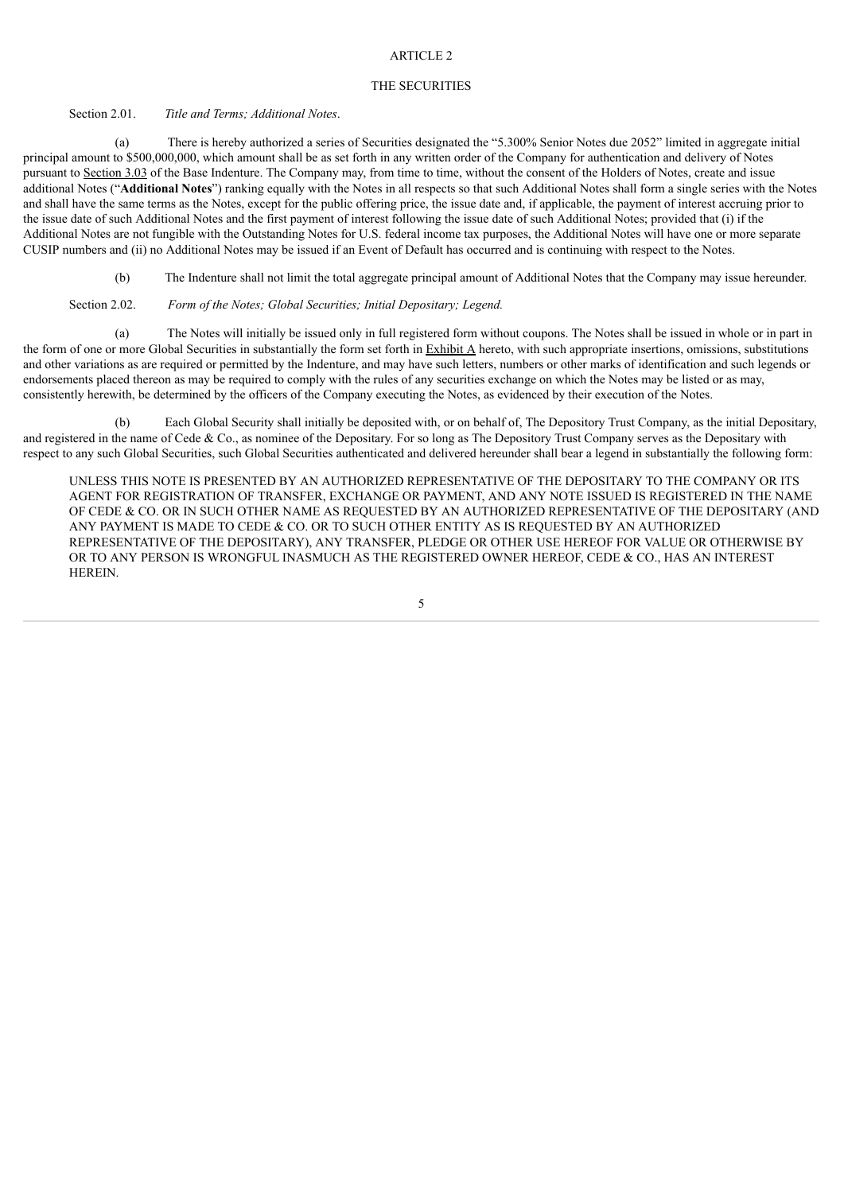#### ARTICLE 2

#### THE SECURITIES

#### <span id="page-41-1"></span><span id="page-41-0"></span>Section 2.01. *Title and Terms; Additional Notes*.

(a) There is hereby authorized a series of Securities designated the "5.300% Senior Notes due 2052" limited in aggregate initial principal amount to \$500,000,000, which amount shall be as set forth in any written order of the Company for authentication and delivery of Notes pursuant to Section 3.03 of the Base Indenture. The Company may, from time to time, without the consent of the Holders of Notes, create and issue additional Notes ("**Additional Notes**") ranking equally with the Notes in all respects so that such Additional Notes shall form a single series with the Notes and shall have the same terms as the Notes, except for the public offering price, the issue date and, if applicable, the payment of interest accruing prior to the issue date of such Additional Notes and the first payment of interest following the issue date of such Additional Notes; provided that (i) if the Additional Notes are not fungible with the Outstanding Notes for U.S. federal income tax purposes, the Additional Notes will have one or more separate CUSIP numbers and (ii) no Additional Notes may be issued if an Event of Default has occurred and is continuing with respect to the Notes.

<span id="page-41-2"></span>(b) The Indenture shall not limit the total aggregate principal amount of Additional Notes that the Company may issue hereunder.

# Section 2.02. *Form of the Notes; Global Securities; Initial Depositary; Legend.*

(a) The Notes will initially be issued only in full registered form without coupons. The Notes shall be issued in whole or in part in the form of one or more Global Securities in substantially the form set forth in  $\frac{Exhibit A}{x}$  hereto, with such appropriate insertions, omissions, substitutions and other variations as are required or permitted by the Indenture, and may have such letters, numbers or other marks of identification and such legends or endorsements placed thereon as may be required to comply with the rules of any securities exchange on which the Notes may be listed or as may, consistently herewith, be determined by the officers of the Company executing the Notes, as evidenced by their execution of the Notes.

(b) Each Global Security shall initially be deposited with, or on behalf of, The Depository Trust Company, as the initial Depositary, and registered in the name of Cede & Co., as nominee of the Depositary. For so long as The Depository Trust Company serves as the Depositary with respect to any such Global Securities, such Global Securities authenticated and delivered hereunder shall bear a legend in substantially the following form:

UNLESS THIS NOTE IS PRESENTED BY AN AUTHORIZED REPRESENTATIVE OF THE DEPOSITARY TO THE COMPANY OR ITS AGENT FOR REGISTRATION OF TRANSFER, EXCHANGE OR PAYMENT, AND ANY NOTE ISSUED IS REGISTERED IN THE NAME OF CEDE & CO. OR IN SUCH OTHER NAME AS REQUESTED BY AN AUTHORIZED REPRESENTATIVE OF THE DEPOSITARY (AND ANY PAYMENT IS MADE TO CEDE & CO. OR TO SUCH OTHER ENTITY AS IS REQUESTED BY AN AUTHORIZED REPRESENTATIVE OF THE DEPOSITARY), ANY TRANSFER, PLEDGE OR OTHER USE HEREOF FOR VALUE OR OTHERWISE BY OR TO ANY PERSON IS WRONGFUL INASMUCH AS THE REGISTERED OWNER HEREOF, CEDE & CO., HAS AN INTEREST HEREIN.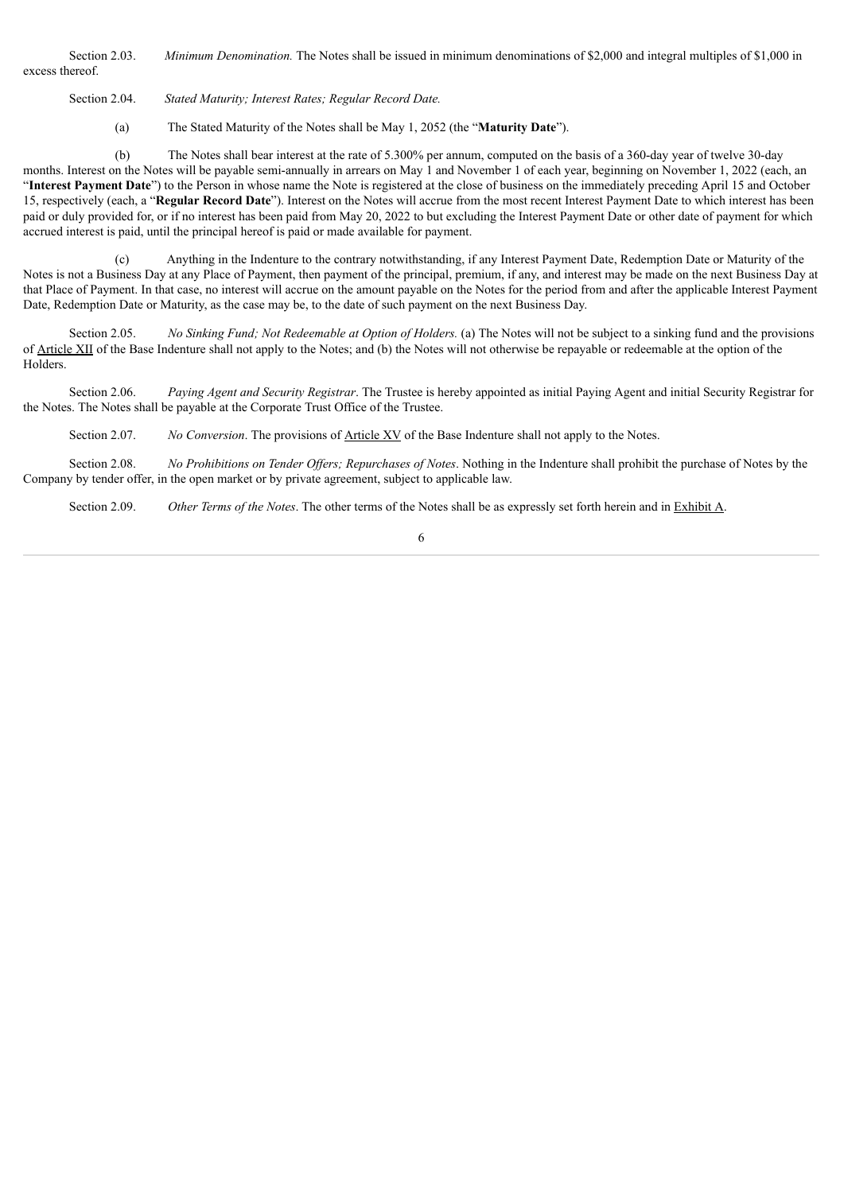Section 2.03. *Minimum Denomination.* The Notes shall be issued in minimum denominations of \$2,000 and integral multiples of \$1,000 in excess thereof.

Section 2.04. *Stated Maturity; Interest Rates; Regular Record Date.*

<span id="page-42-1"></span><span id="page-42-0"></span>(a) The Stated Maturity of the Notes shall be May 1, 2052 (the "**Maturity Date**").

(b) The Notes shall bear interest at the rate of 5.300% per annum, computed on the basis of a 360-day year of twelve 30-day months. Interest on the Notes will be payable semi-annually in arrears on May 1 and November 1 of each year, beginning on November 1, 2022 (each, an "**Interest Payment Date**") to the Person in whose name the Note is registered at the close of business on the immediately preceding April 15 and October 15, respectively (each, a "**Regular Record Date**"). Interest on the Notes will accrue from the most recent Interest Payment Date to which interest has been paid or duly provided for, or if no interest has been paid from May 20, 2022 to but excluding the Interest Payment Date or other date of payment for which accrued interest is paid, until the principal hereof is paid or made available for payment.

(c) Anything in the Indenture to the contrary notwithstanding, if any Interest Payment Date, Redemption Date or Maturity of the Notes is not a Business Day at any Place of Payment, then payment of the principal, premium, if any, and interest may be made on the next Business Day at that Place of Payment. In that case, no interest will accrue on the amount payable on the Notes for the period from and after the applicable Interest Payment Date, Redemption Date or Maturity, as the case may be, to the date of such payment on the next Business Day.

Section 2.05. *No Sinking Fund; Not Redeemable at Option of Holders.* (a) The Notes will not be subject to a sinking fund and the provisions of Article XII of the Base Indenture shall not apply to the Notes; and (b) the Notes will not otherwise be repayable or redeemable at the option of the Holders.

Section 2.06. *Paying Agent and Security Registrar*. The Trustee is hereby appointed as initial Paying Agent and initial Security Registrar for the Notes. The Notes shall be payable at the Corporate Trust Office of the Trustee.

<span id="page-42-5"></span><span id="page-42-4"></span><span id="page-42-3"></span><span id="page-42-2"></span>Section 2.07. *No Conversion*. The provisions of **Article XV** of the Base Indenture shall not apply to the Notes.

Section 2.08. *No Prohibitions on Tender Of ers; Repurchases of Notes*. Nothing in the Indenture shall prohibit the purchase of Notes by the Company by tender offer, in the open market or by private agreement, subject to applicable law.

<span id="page-42-6"></span>Section 2.09. *Other Terms of the Notes*. The other terms of the Notes shall be as expressly set forth herein and in Exhibit A.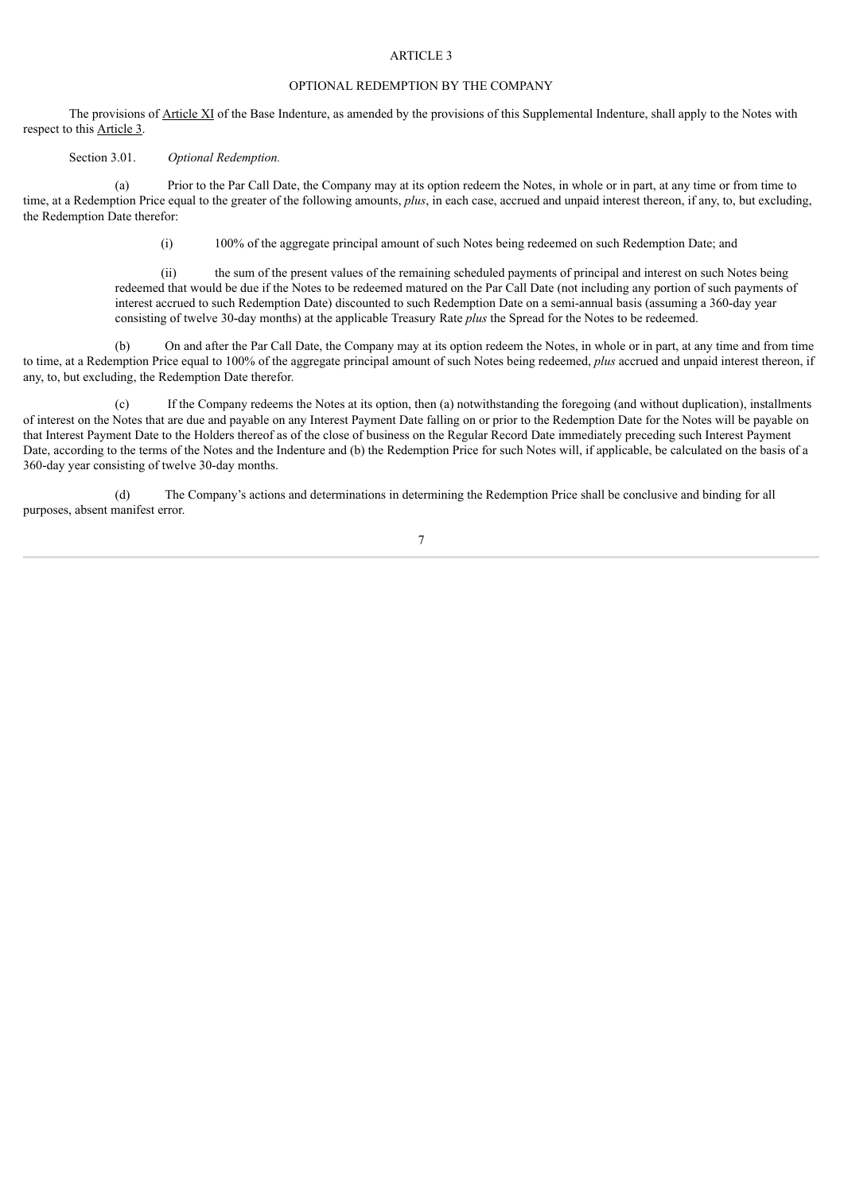#### ARTICLE 3

#### OPTIONAL REDEMPTION BY THE COMPANY

<span id="page-43-0"></span>The provisions of Article XI of the Base Indenture, as amended by the provisions of this Supplemental Indenture, shall apply to the Notes with respect to this Article 3.

#### Section 3.01. *Optional Redemption.*

(a) Prior to the Par Call Date, the Company may at its option redeem the Notes, in whole or in part, at any time or from time to time, at a Redemption Price equal to the greater of the following amounts, *plus*, in each case, accrued and unpaid interest thereon, if any, to, but excluding, the Redemption Date therefor:

<span id="page-43-1"></span>(i) 100% of the aggregate principal amount of such Notes being redeemed on such Redemption Date; and

(ii) the sum of the present values of the remaining scheduled payments of principal and interest on such Notes being redeemed that would be due if the Notes to be redeemed matured on the Par Call Date (not including any portion of such payments of interest accrued to such Redemption Date) discounted to such Redemption Date on a semi-annual basis (assuming a 360-day year consisting of twelve 30-day months) at the applicable Treasury Rate *plus* the Spread for the Notes to be redeemed.

(b) On and after the Par Call Date, the Company may at its option redeem the Notes, in whole or in part, at any time and from time to time, at a Redemption Price equal to 100% of the aggregate principal amount of such Notes being redeemed, *plus* accrued and unpaid interest thereon, if any, to, but excluding, the Redemption Date therefor.

(c) If the Company redeems the Notes at its option, then (a) notwithstanding the foregoing (and without duplication), installments of interest on the Notes that are due and payable on any Interest Payment Date falling on or prior to the Redemption Date for the Notes will be payable on that Interest Payment Date to the Holders thereof as of the close of business on the Regular Record Date immediately preceding such Interest Payment Date, according to the terms of the Notes and the Indenture and (b) the Redemption Price for such Notes will, if applicable, be calculated on the basis of a 360-day year consisting of twelve 30-day months.

(d) The Company's actions and determinations in determining the Redemption Price shall be conclusive and binding for all purposes, absent manifest error.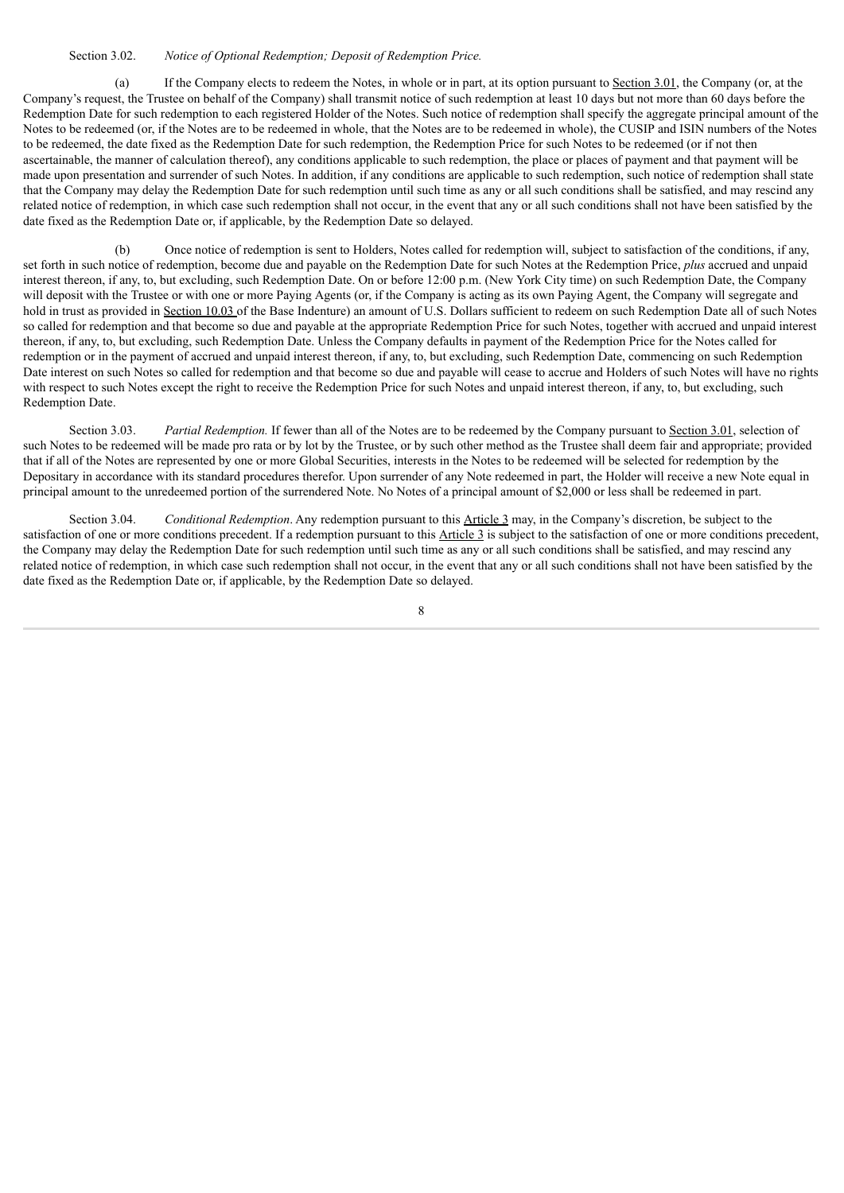#### <span id="page-44-0"></span>Section 3.02. *Notice of Optional Redemption; Deposit of Redemption Price.*

(a) If the Company elects to redeem the Notes, in whole or in part, at its option pursuant to Section 3.01, the Company (or, at the Company's request, the Trustee on behalf of the Company) shall transmit notice of such redemption at least 10 days but not more than 60 days before the Redemption Date for such redemption to each registered Holder of the Notes. Such notice of redemption shall specify the aggregate principal amount of the Notes to be redeemed (or, if the Notes are to be redeemed in whole, that the Notes are to be redeemed in whole), the CUSIP and ISIN numbers of the Notes to be redeemed, the date fixed as the Redemption Date for such redemption, the Redemption Price for such Notes to be redeemed (or if not then ascertainable, the manner of calculation thereof), any conditions applicable to such redemption, the place or places of payment and that payment will be made upon presentation and surrender of such Notes. In addition, if any conditions are applicable to such redemption, such notice of redemption shall state that the Company may delay the Redemption Date for such redemption until such time as any or all such conditions shall be satisfied, and may rescind any related notice of redemption, in which case such redemption shall not occur, in the event that any or all such conditions shall not have been satisfied by the date fixed as the Redemption Date or, if applicable, by the Redemption Date so delayed.

(b) Once notice of redemption is sent to Holders, Notes called for redemption will, subject to satisfaction of the conditions, if any, set forth in such notice of redemption, become due and payable on the Redemption Date for such Notes at the Redemption Price, *plus* accrued and unpaid interest thereon, if any, to, but excluding, such Redemption Date. On or before 12:00 p.m. (New York City time) on such Redemption Date, the Company will deposit with the Trustee or with one or more Paying Agents (or, if the Company is acting as its own Paying Agent, the Company will segregate and hold in trust as provided in Section 10.03 of the Base Indenture) an amount of U.S. Dollars sufficient to redeem on such Redemption Date all of such Notes so called for redemption and that become so due and payable at the appropriate Redemption Price for such Notes, together with accrued and unpaid interest thereon, if any, to, but excluding, such Redemption Date. Unless the Company defaults in payment of the Redemption Price for the Notes called for redemption or in the payment of accrued and unpaid interest thereon, if any, to, but excluding, such Redemption Date, commencing on such Redemption Date interest on such Notes so called for redemption and that become so due and payable will cease to accrue and Holders of such Notes will have no rights with respect to such Notes except the right to receive the Redemption Price for such Notes and unpaid interest thereon, if any, to, but excluding, such Redemption Date.

<span id="page-44-1"></span>Section 3.03. *Partial Redemption.* If fewer than all of the Notes are to be redeemed by the Company pursuant to Section 3.01, selection of such Notes to be redeemed will be made pro rata or by lot by the Trustee, or by such other method as the Trustee shall deem fair and appropriate; provided that if all of the Notes are represented by one or more Global Securities, interests in the Notes to be redeemed will be selected for redemption by the Depositary in accordance with its standard procedures therefor. Upon surrender of any Note redeemed in part, the Holder will receive a new Note equal in principal amount to the unredeemed portion of the surrendered Note. No Notes of a principal amount of \$2,000 or less shall be redeemed in part.

<span id="page-44-2"></span>Section 3.04. *Conditional Redemption*. Any redemption pursuant to this Article 3 may, in the Company's discretion, be subject to the satisfaction of one or more conditions precedent. If a redemption pursuant to this Article 3 is subject to the satisfaction of one or more conditions precedent, the Company may delay the Redemption Date for such redemption until such time as any or all such conditions shall be satisfied, and may rescind any related notice of redemption, in which case such redemption shall not occur, in the event that any or all such conditions shall not have been satisfied by the date fixed as the Redemption Date or, if applicable, by the Redemption Date so delayed.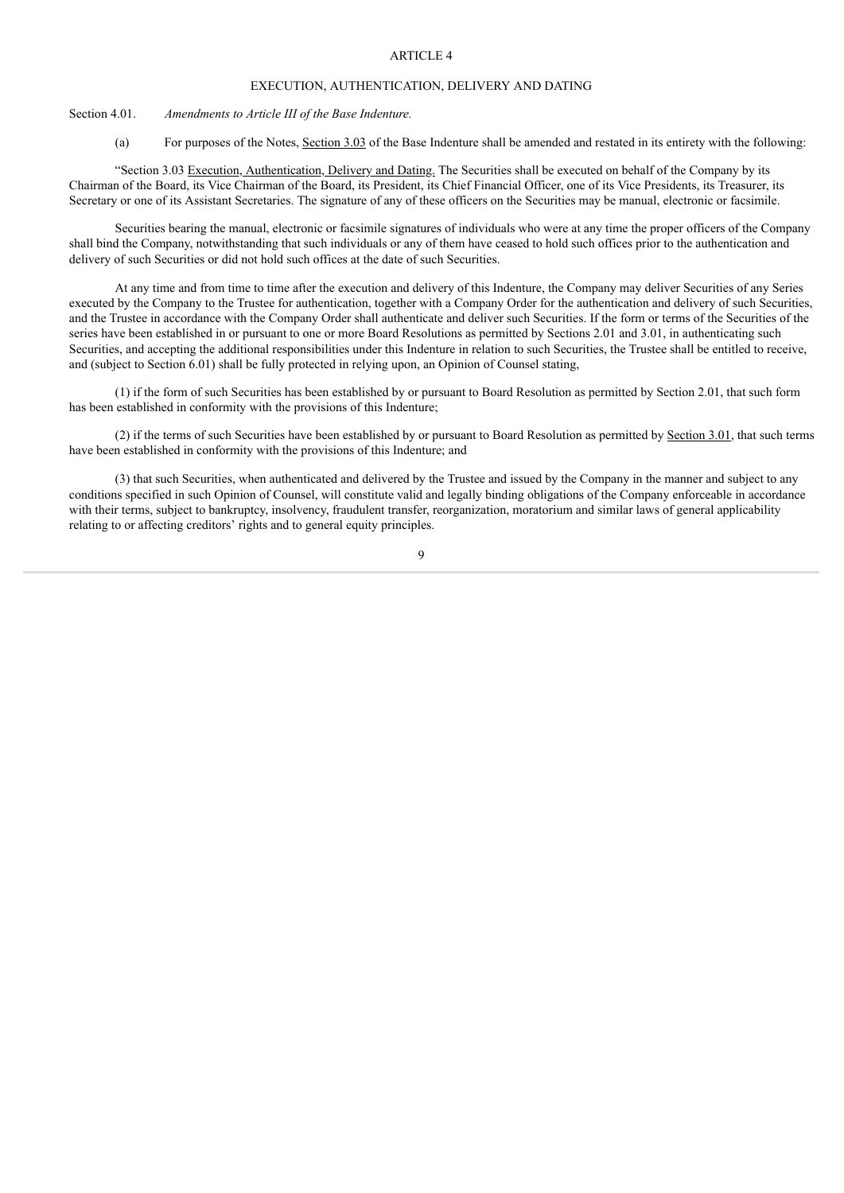#### ARTICLE 4

#### EXECUTION, AUTHENTICATION, DELIVERY AND DATING

<span id="page-45-1"></span><span id="page-45-0"></span>Section 4.01. *Amendments to Article III of the Base Indenture.*

(a) For purposes of the Notes, Section 3.03 of the Base Indenture shall be amended and restated in its entirety with the following:

"Section 3.03 Execution, Authentication, Delivery and Dating. The Securities shall be executed on behalf of the Company by its Chairman of the Board, its Vice Chairman of the Board, its President, its Chief Financial Officer, one of its Vice Presidents, its Treasurer, its Secretary or one of its Assistant Secretaries. The signature of any of these officers on the Securities may be manual, electronic or facsimile.

Securities bearing the manual, electronic or facsimile signatures of individuals who were at any time the proper officers of the Company shall bind the Company, notwithstanding that such individuals or any of them have ceased to hold such offices prior to the authentication and delivery of such Securities or did not hold such offices at the date of such Securities.

At any time and from time to time after the execution and delivery of this Indenture, the Company may deliver Securities of any Series executed by the Company to the Trustee for authentication, together with a Company Order for the authentication and delivery of such Securities, and the Trustee in accordance with the Company Order shall authenticate and deliver such Securities. If the form or terms of the Securities of the series have been established in or pursuant to one or more Board Resolutions as permitted by Sections 2.01 and 3.01, in authenticating such Securities, and accepting the additional responsibilities under this Indenture in relation to such Securities, the Trustee shall be entitled to receive, and (subject to Section 6.01) shall be fully protected in relying upon, an Opinion of Counsel stating,

(1) if the form of such Securities has been established by or pursuant to Board Resolution as permitted by Section 2.01, that such form has been established in conformity with the provisions of this Indenture;

(2) if the terms of such Securities have been established by or pursuant to Board Resolution as permitted by Section 3.01, that such terms have been established in conformity with the provisions of this Indenture; and

(3) that such Securities, when authenticated and delivered by the Trustee and issued by the Company in the manner and subject to any conditions specified in such Opinion of Counsel, will constitute valid and legally binding obligations of the Company enforceable in accordance with their terms, subject to bankruptcy, insolvency, fraudulent transfer, reorganization, moratorium and similar laws of general applicability relating to or affecting creditors' rights and to general equity principles.

 $\overline{Q}$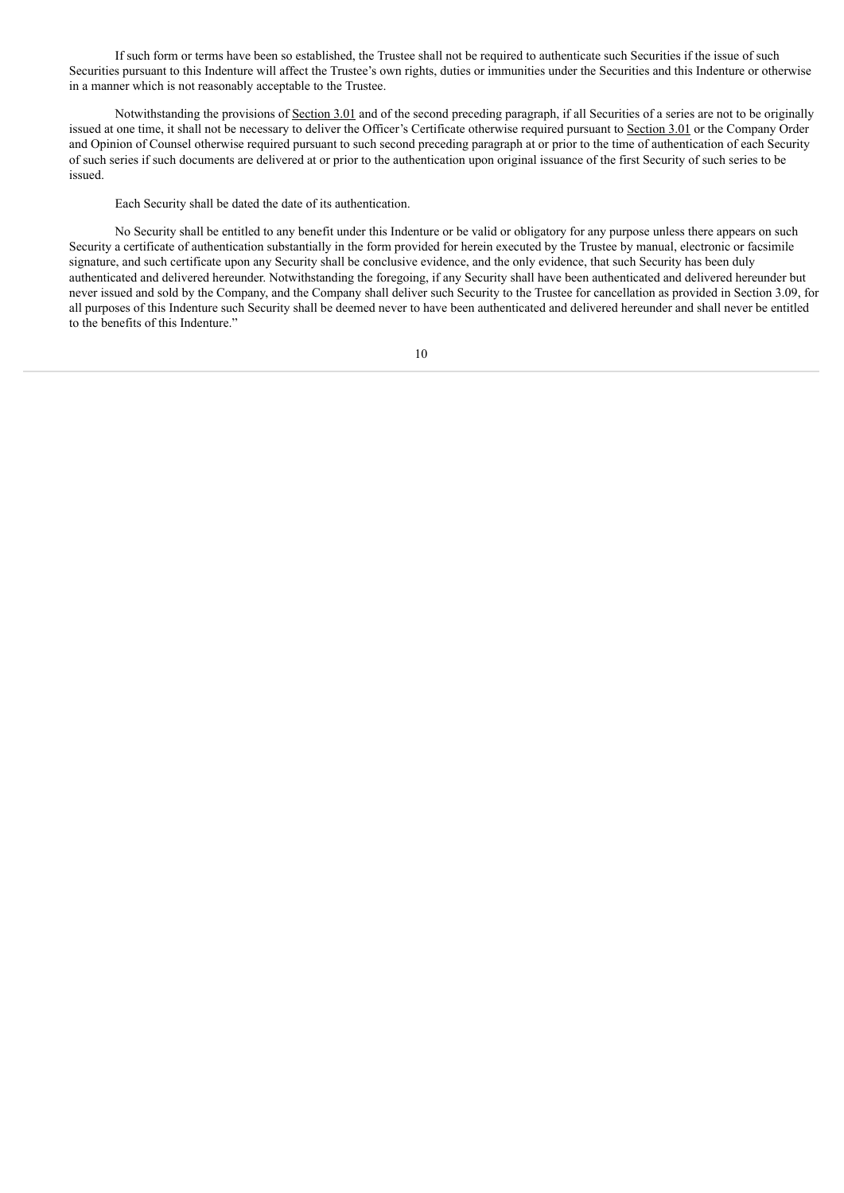If such form or terms have been so established, the Trustee shall not be required to authenticate such Securities if the issue of such Securities pursuant to this Indenture will affect the Trustee's own rights, duties or immunities under the Securities and this Indenture or otherwise in a manner which is not reasonably acceptable to the Trustee.

Notwithstanding the provisions of Section 3.01 and of the second preceding paragraph, if all Securities of a series are not to be originally issued at one time, it shall not be necessary to deliver the Officer's Certificate otherwise required pursuant to Section 3.01 or the Company Order and Opinion of Counsel otherwise required pursuant to such second preceding paragraph at or prior to the time of authentication of each Security of such series if such documents are delivered at or prior to the authentication upon original issuance of the first Security of such series to be issued.

Each Security shall be dated the date of its authentication.

No Security shall be entitled to any benefit under this Indenture or be valid or obligatory for any purpose unless there appears on such Security a certificate of authentication substantially in the form provided for herein executed by the Trustee by manual, electronic or facsimile signature, and such certificate upon any Security shall be conclusive evidence, and the only evidence, that such Security has been duly authenticated and delivered hereunder. Notwithstanding the foregoing, if any Security shall have been authenticated and delivered hereunder but never issued and sold by the Company, and the Company shall deliver such Security to the Trustee for cancellation as provided in Section 3.09, for all purposes of this Indenture such Security shall be deemed never to have been authenticated and delivered hereunder and shall never be entitled to the benefits of this Indenture."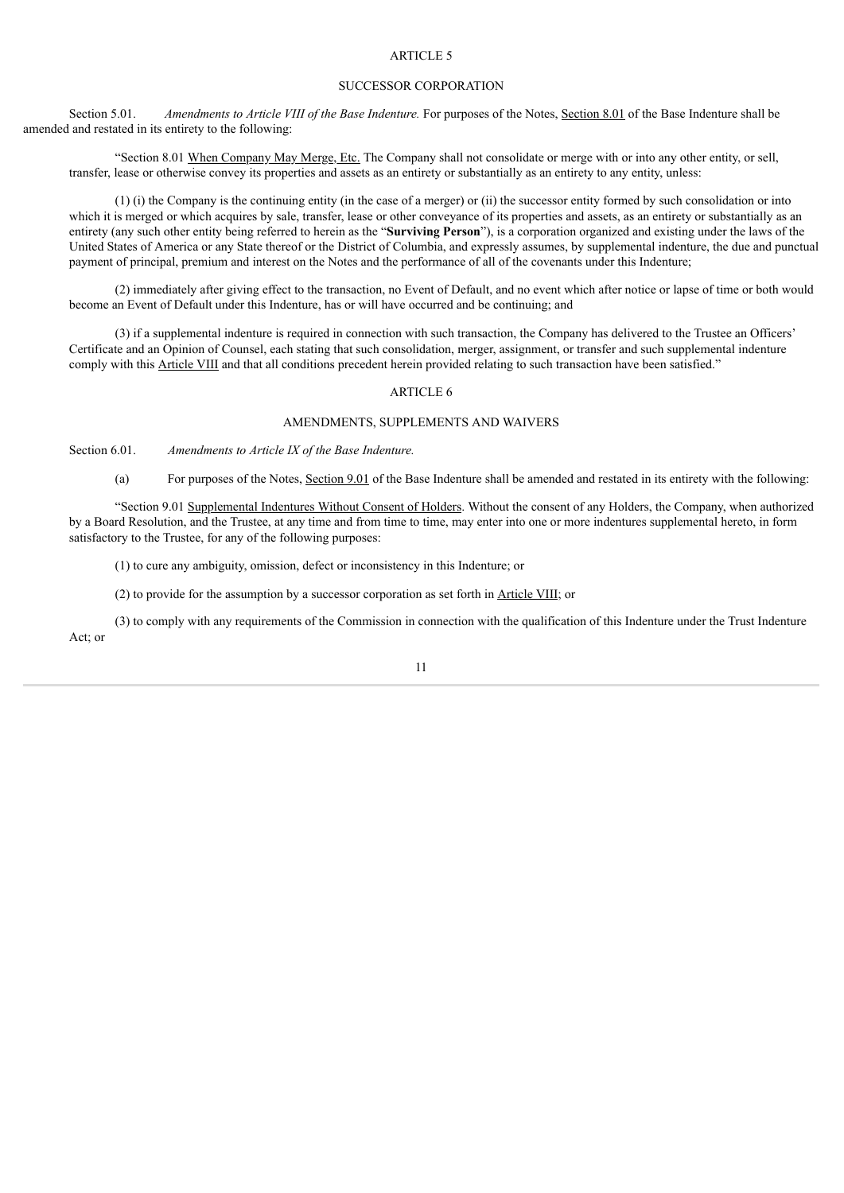#### ARTICLE 5

#### SUCCESSOR CORPORATION

<span id="page-47-0"></span>Section 5.01. *Amendments to Article VIII of the Base Indenture.* For purposes of the Notes, Section 8.01 of the Base Indenture shall be amended and restated in its entirety to the following:

<span id="page-47-1"></span>"Section 8.01 When Company May Merge, Etc. The Company shall not consolidate or merge with or into any other entity, or sell, transfer, lease or otherwise convey its properties and assets as an entirety or substantially as an entirety to any entity, unless:

(1) (i) the Company is the continuing entity (in the case of a merger) or (ii) the successor entity formed by such consolidation or into which it is merged or which acquires by sale, transfer, lease or other conveyance of its properties and assets, as an entirety or substantially as an entirety (any such other entity being referred to herein as the "**Surviving Person**"), is a corporation organized and existing under the laws of the United States of America or any State thereof or the District of Columbia, and expressly assumes, by supplemental indenture, the due and punctual payment of principal, premium and interest on the Notes and the performance of all of the covenants under this Indenture;

(2) immediately after giving effect to the transaction, no Event of Default, and no event which after notice or lapse of time or both would become an Event of Default under this Indenture, has or will have occurred and be continuing; and

<span id="page-47-2"></span>(3) if a supplemental indenture is required in connection with such transaction, the Company has delivered to the Trustee an Officers' Certificate and an Opinion of Counsel, each stating that such consolidation, merger, assignment, or transfer and such supplemental indenture comply with this **Article VIII** and that all conditions precedent herein provided relating to such transaction have been satisfied."

#### ARTICLE 6

#### AMENDMENTS, SUPPLEMENTS AND WAIVERS

Section 6.01. *Amendments to Article IX of the Base Indenture.*

<span id="page-47-3"></span>(a) For purposes of the Notes, Section 9.01 of the Base Indenture shall be amended and restated in its entirety with the following:

"Section 9.01 Supplemental Indentures Without Consent of Holders. Without the consent of any Holders, the Company, when authorized by a Board Resolution, and the Trustee, at any time and from time to time, may enter into one or more indentures supplemental hereto, in form satisfactory to the Trustee, for any of the following purposes:

(1) to cure any ambiguity, omission, defect or inconsistency in this Indenture; or

(2) to provide for the assumption by a successor corporation as set forth in Article VIII; or

(3) to comply with any requirements of the Commission in connection with the qualification of this Indenture under the Trust Indenture Act; or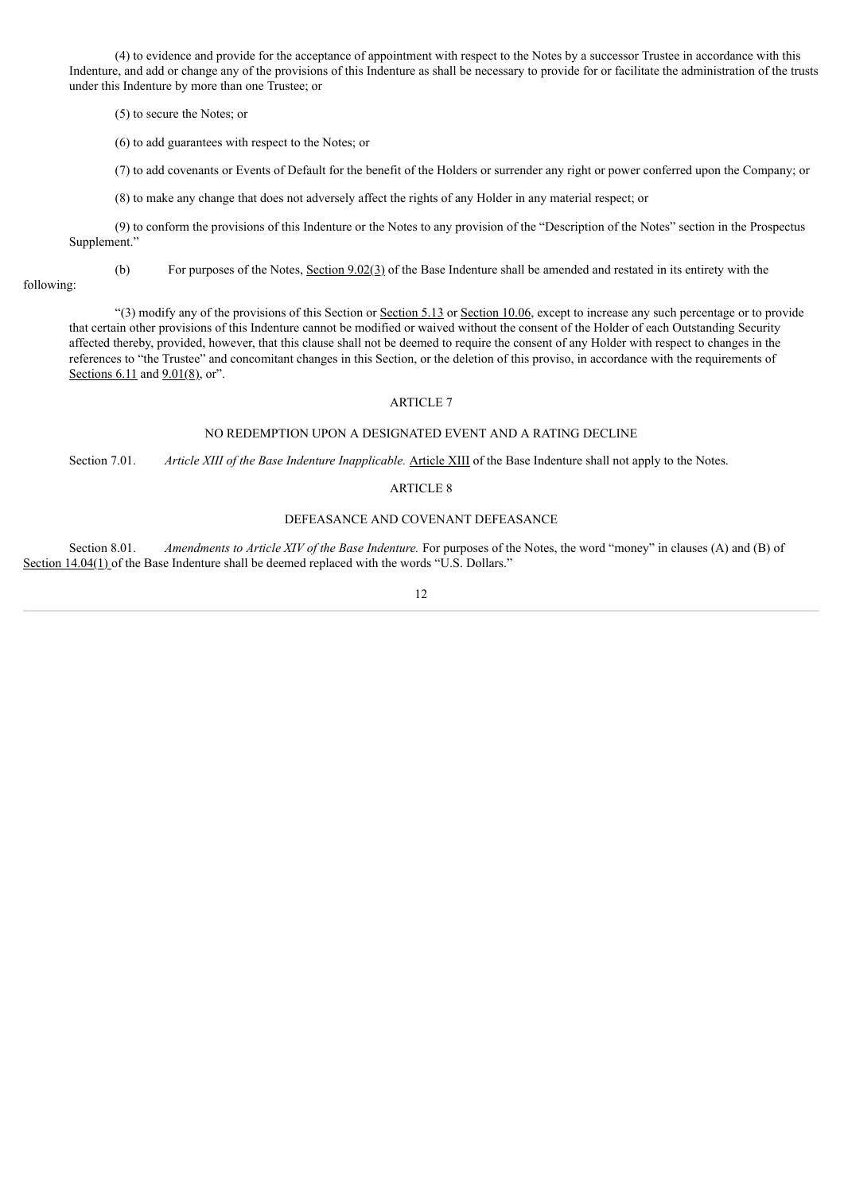(4) to evidence and provide for the acceptance of appointment with respect to the Notes by a successor Trustee in accordance with this Indenture, and add or change any of the provisions of this Indenture as shall be necessary to provide for or facilitate the administration of the trusts under this Indenture by more than one Trustee; or

(5) to secure the Notes; or

(6) to add guarantees with respect to the Notes; or

(7) to add covenants or Events of Default for the benefit of the Holders or surrender any right or power conferred upon the Company; or

(8) to make any change that does not adversely affect the rights of any Holder in any material respect; or

(9) to conform the provisions of this Indenture or the Notes to any provision of the "Description of the Notes" section in the Prospectus Supplement."

(b) For purposes of the Notes,  $Section 9.02(3)$  of the Base Indenture shall be amended and restated in its entirety with the

# following:

"(3) modify any of the provisions of this Section or Section 5.13 or Section 10.06, except to increase any such percentage or to provide that certain other provisions of this Indenture cannot be modified or waived without the consent of the Holder of each Outstanding Security affected thereby, provided, however, that this clause shall not be deemed to require the consent of any Holder with respect to changes in the references to "the Trustee" and concomitant changes in this Section, or the deletion of this proviso, in accordance with the requirements of Sections 6.11 and 9.01(8), or".

#### ARTICLE 7

#### NO REDEMPTION UPON A DESIGNATED EVENT AND A RATING DECLINE

<span id="page-48-2"></span><span id="page-48-1"></span><span id="page-48-0"></span>Section 7.01. *Article XIII of the Base Indenture Inapplicable.* Article XIII of the Base Indenture shall not apply to the Notes.

#### ARTICLE 8

#### DEFEASANCE AND COVENANT DEFEASANCE

<span id="page-48-3"></span>Section 8.01. *Amendments to Article XIV of the Base Indenture.* For purposes of the Notes, the word "money" in clauses (A) and (B) of Section  $14.04(1)$  of the Base Indenture shall be deemed replaced with the words "U.S. Dollars."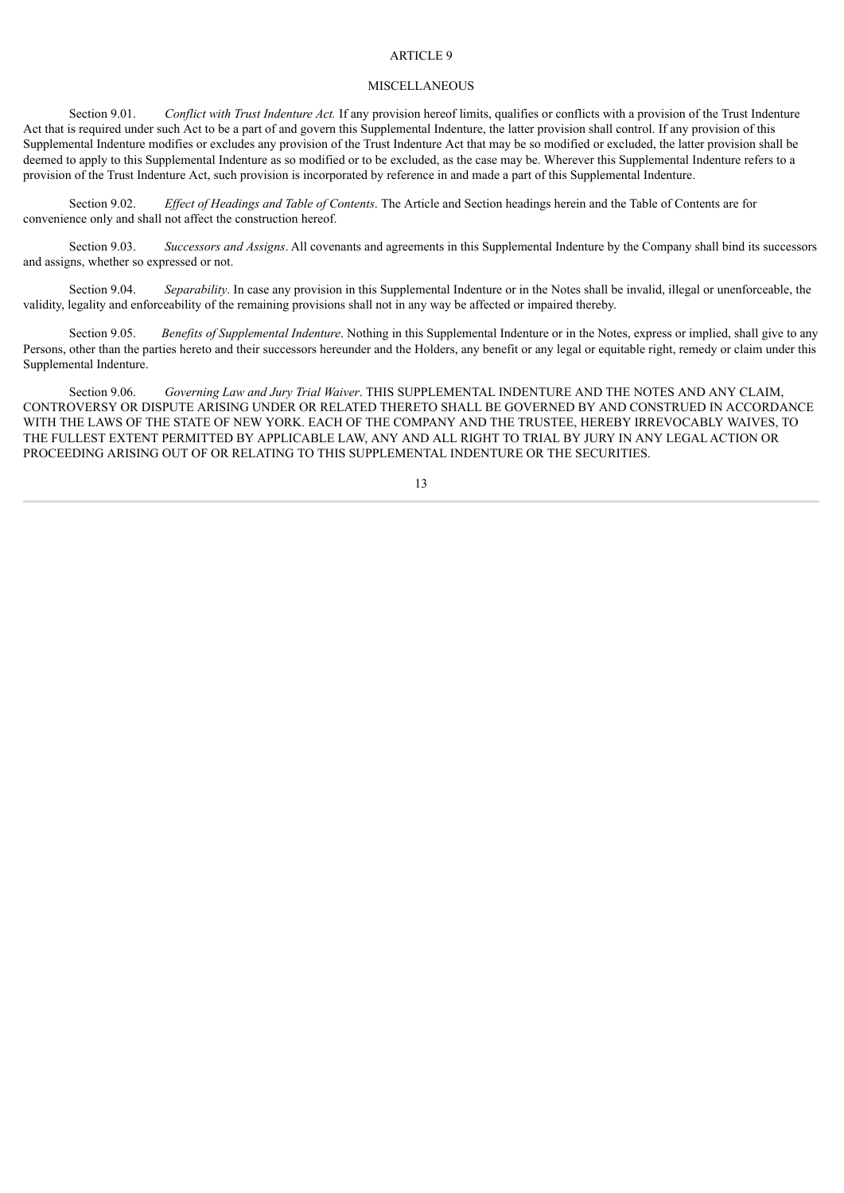#### ARTICLE 9

#### **MISCELLANEOUS**

<span id="page-49-1"></span><span id="page-49-0"></span>Section 9.01. *Conflict with Trust Indenture Act.* If any provision hereof limits, qualifies or conflicts with a provision of the Trust Indenture Act that is required under such Act to be a part of and govern this Supplemental Indenture, the latter provision shall control. If any provision of this Supplemental Indenture modifies or excludes any provision of the Trust Indenture Act that may be so modified or excluded, the latter provision shall be deemed to apply to this Supplemental Indenture as so modified or to be excluded, as the case may be. Wherever this Supplemental Indenture refers to a provision of the Trust Indenture Act, such provision is incorporated by reference in and made a part of this Supplemental Indenture.

<span id="page-49-2"></span>Section 9.02. *Ef ect of Headings and Table of Contents*. The Article and Section headings herein and the Table of Contents are for convenience only and shall not affect the construction hereof.

<span id="page-49-3"></span>Section 9.03. *Successors and Assigns*. All covenants and agreements in this Supplemental Indenture by the Company shall bind its successors and assigns, whether so expressed or not.

<span id="page-49-4"></span>Section 9.04. *Separability*. In case any provision in this Supplemental Indenture or in the Notes shall be invalid, illegal or unenforceable, the validity, legality and enforceability of the remaining provisions shall not in any way be affected or impaired thereby.

<span id="page-49-5"></span>Section 9.05. *Benefits of Supplemental Indenture*. Nothing in this Supplemental Indenture or in the Notes, express or implied, shall give to any Persons, other than the parties hereto and their successors hereunder and the Holders, any benefit or any legal or equitable right, remedy or claim under this Supplemental Indenture.

<span id="page-49-6"></span>Section 9.06. *Governing Law and Jury Trial Waiver*. THIS SUPPLEMENTAL INDENTURE AND THE NOTES AND ANY CLAIM, CONTROVERSY OR DISPUTE ARISING UNDER OR RELATED THERETO SHALL BE GOVERNED BY AND CONSTRUED IN ACCORDANCE WITH THE LAWS OF THE STATE OF NEW YORK. EACH OF THE COMPANY AND THE TRUSTEE, HEREBY IRREVOCABLY WAIVES, TO THE FULLEST EXTENT PERMITTED BY APPLICABLE LAW, ANY AND ALL RIGHT TO TRIAL BY JURY IN ANY LEGAL ACTION OR PROCEEDING ARISING OUT OF OR RELATING TO THIS SUPPLEMENTAL INDENTURE OR THE SECURITIES.

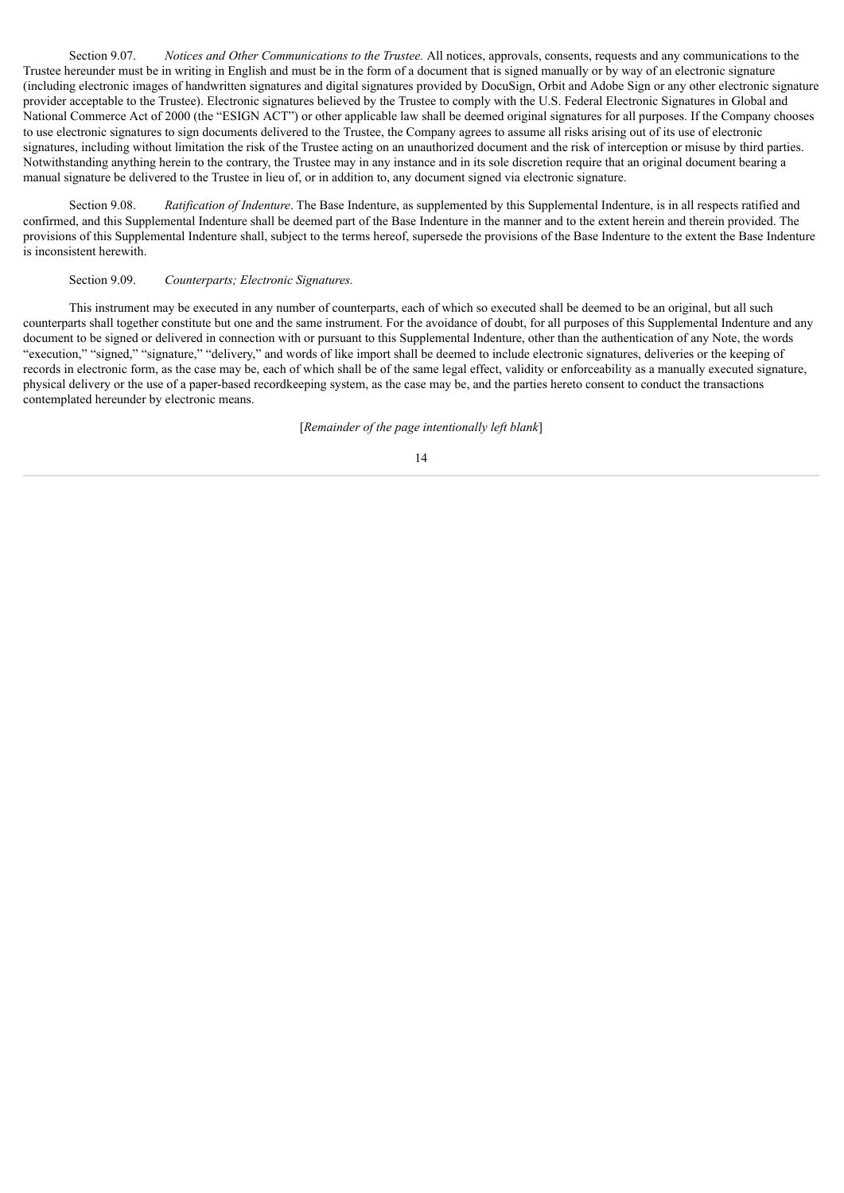<span id="page-50-0"></span>Section 9.07. *Notices and Other Communications to the Trustee.* All notices, approvals, consents, requests and any communications to the Trustee hereunder must be in writing in English and must be in the form of a document that is signed manually or by way of an electronic signature (including electronic images of handwritten signatures and digital signatures provided by DocuSign, Orbit and Adobe Sign or any other electronic signature provider acceptable to the Trustee). Electronic signatures believed by the Trustee to comply with the U.S. Federal Electronic Signatures in Global and National Commerce Act of 2000 (the "ESIGN ACT") or other applicable law shall be deemed original signatures for all purposes. If the Company chooses to use electronic signatures to sign documents delivered to the Trustee, the Company agrees to assume all risks arising out of its use of electronic signatures, including without limitation the risk of the Trustee acting on an unauthorized document and the risk of interception or misuse by third parties. Notwithstanding anything herein to the contrary, the Trustee may in any instance and in its sole discretion require that an original document bearing a manual signature be delivered to the Trustee in lieu of, or in addition to, any document signed via electronic signature.

<span id="page-50-1"></span>Section 9.08. *Ratification of Indenture*. The Base Indenture, as supplemented by this Supplemental Indenture, is in all respects ratified and confirmed, and this Supplemental Indenture shall be deemed part of the Base Indenture in the manner and to the extent herein and therein provided. The provisions of this Supplemental Indenture shall, subject to the terms hereof, supersede the provisions of the Base Indenture to the extent the Base Indenture is inconsistent herewith.

#### Section 9.09. *Counterparts; Electronic Signatures.*

<span id="page-50-2"></span>This instrument may be executed in any number of counterparts, each of which so executed shall be deemed to be an original, but all such counterparts shall together constitute but one and the same instrument. For the avoidance of doubt, for all purposes of this Supplemental Indenture and any document to be signed or delivered in connection with or pursuant to this Supplemental Indenture, other than the authentication of any Note, the words "execution," "signed," "signature," "delivery," and words of like import shall be deemed to include electronic signatures, deliveries or the keeping of records in electronic form, as the case may be, each of which shall be of the same legal effect, validity or enforceability as a manually executed signature, physical delivery or the use of a paper-based recordkeeping system, as the case may be, and the parties hereto consent to conduct the transactions contemplated hereunder by electronic means.

[*Remainder of the page intentionally left blank*]

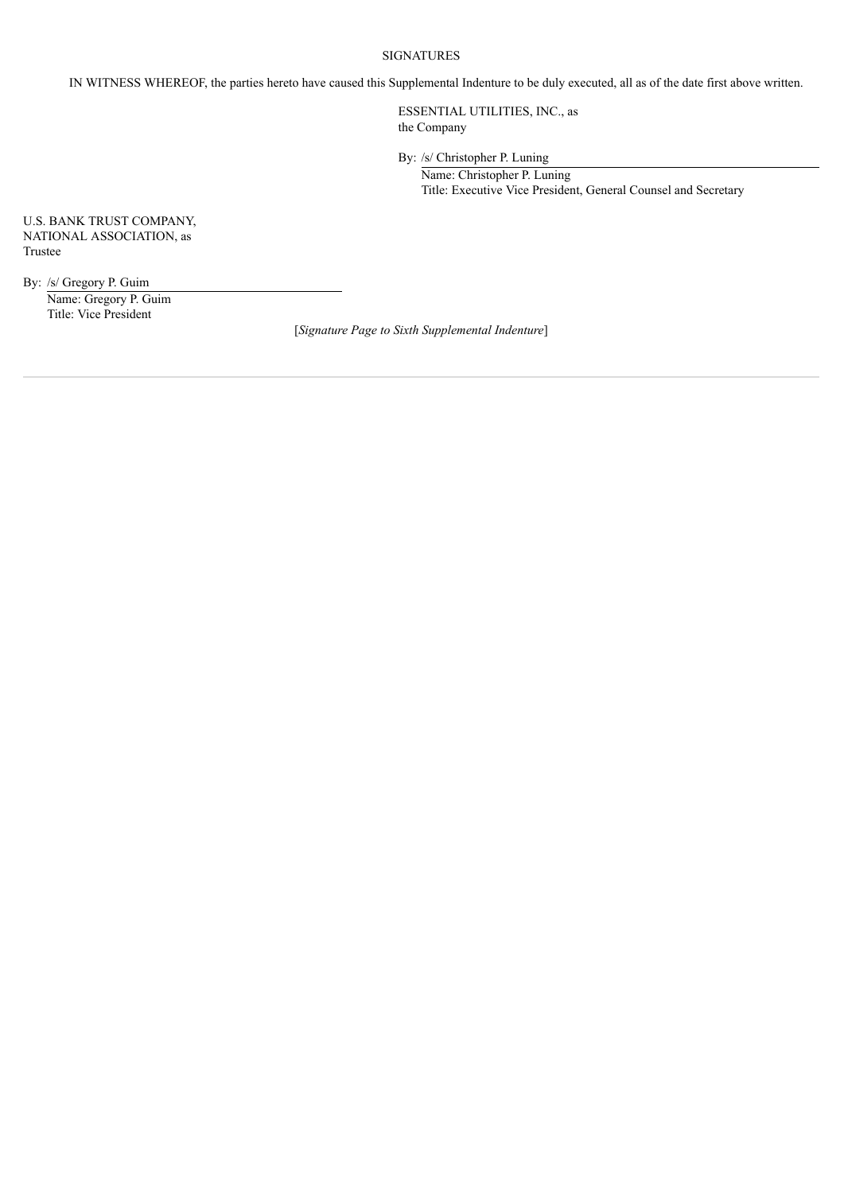#### SIGNATURES

IN WITNESS WHEREOF, the parties hereto have caused this Supplemental Indenture to be duly executed, all as of the date first above written.

ESSENTIAL UTILITIES, INC., as the Company

By: /s/ Christopher P. Luning

Name: Christopher P. Luning Title: Executive Vice President, General Counsel and Secretary

U.S. BANK TRUST COMPANY, NATIONAL ASSOCIATION, as Trustee

By: /s/ Gregory P. Guim

Name: Gregory P. Guim Title: Vice President

[*Signature Page to Sixth Supplemental Indenture*]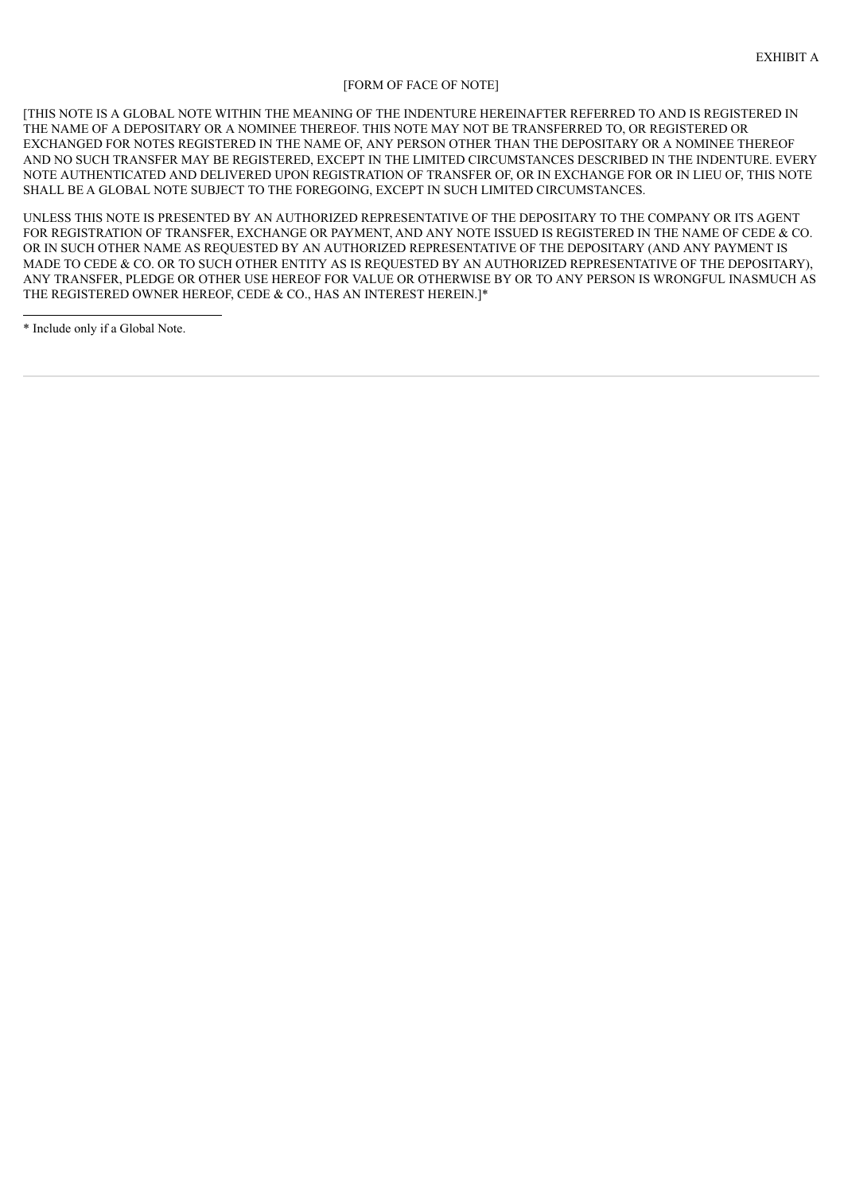#### [FORM OF FACE OF NOTE]

[THIS NOTE IS A GLOBAL NOTE WITHIN THE MEANING OF THE INDENTURE HEREINAFTER REFERRED TO AND IS REGISTERED IN THE NAME OF A DEPOSITARY OR A NOMINEE THEREOF. THIS NOTE MAY NOT BE TRANSFERRED TO, OR REGISTERED OR EXCHANGED FOR NOTES REGISTERED IN THE NAME OF, ANY PERSON OTHER THAN THE DEPOSITARY OR A NOMINEE THEREOF AND NO SUCH TRANSFER MAY BE REGISTERED, EXCEPT IN THE LIMITED CIRCUMSTANCES DESCRIBED IN THE INDENTURE. EVERY NOTE AUTHENTICATED AND DELIVERED UPON REGISTRATION OF TRANSFER OF, OR IN EXCHANGE FOR OR IN LIEU OF, THIS NOTE SHALL BE A GLOBAL NOTE SUBJECT TO THE FOREGOING, EXCEPT IN SUCH LIMITED CIRCUMSTANCES.

UNLESS THIS NOTE IS PRESENTED BY AN AUTHORIZED REPRESENTATIVE OF THE DEPOSITARY TO THE COMPANY OR ITS AGENT FOR REGISTRATION OF TRANSFER, EXCHANGE OR PAYMENT, AND ANY NOTE ISSUED IS REGISTERED IN THE NAME OF CEDE & CO. OR IN SUCH OTHER NAME AS REQUESTED BY AN AUTHORIZED REPRESENTATIVE OF THE DEPOSITARY (AND ANY PAYMENT IS MADE TO CEDE & CO. OR TO SUCH OTHER ENTITY AS IS REQUESTED BY AN AUTHORIZED REPRESENTATIVE OF THE DEPOSITARY), ANY TRANSFER, PLEDGE OR OTHER USE HEREOF FOR VALUE OR OTHERWISE BY OR TO ANY PERSON IS WRONGFUL INASMUCH AS THE REGISTERED OWNER HEREOF, CEDE & CO., HAS AN INTEREST HEREIN.]\*

<sup>\*</sup> Include only if a Global Note.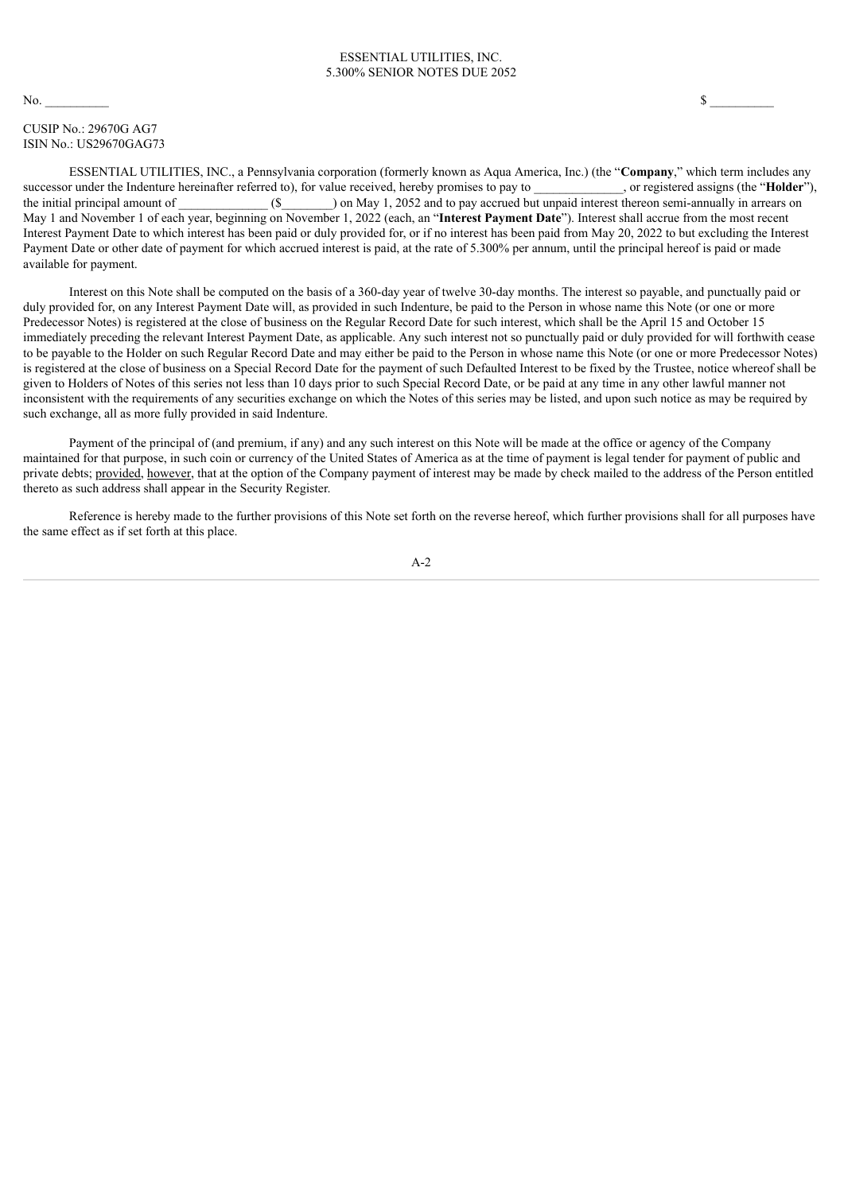#### ESSENTIAL UTILITIES, INC. 5.300% SENIOR NOTES DUE 2052

No.  $\sim$ 

CUSIP No.: 29670G AG7 ISIN No.: US29670GAG73

ESSENTIAL UTILITIES, INC., a Pennsylvania corporation (formerly known as Aqua America, Inc.) (the "**Company**," which term includes any successor under the Indenture hereinafter referred to), for value received, hereby promises to pay to the initial principal amount of \_\_\_\_\_\_\_\_\_\_\_\_\_\_ (\$\_\_\_\_\_\_\_\_) on May 1, 2052 and to pay accrued but unpaid interest thereon semi-annually in arrears on May 1 and November 1 of each year, beginning on November 1, 2022 (each, an "**Interest Payment Date**"). Interest shall accrue from the most recent Interest Payment Date to which interest has been paid or duly provided for, or if no interest has been paid from May 20, 2022 to but excluding the Interest Payment Date or other date of payment for which accrued interest is paid, at the rate of 5.300% per annum, until the principal hereof is paid or made available for payment.

Interest on this Note shall be computed on the basis of a 360-day year of twelve 30-day months. The interest so payable, and punctually paid or duly provided for, on any Interest Payment Date will, as provided in such Indenture, be paid to the Person in whose name this Note (or one or more Predecessor Notes) is registered at the close of business on the Regular Record Date for such interest, which shall be the April 15 and October 15 immediately preceding the relevant Interest Payment Date, as applicable. Any such interest not so punctually paid or duly provided for will forthwith cease to be payable to the Holder on such Regular Record Date and may either be paid to the Person in whose name this Note (or one or more Predecessor Notes) is registered at the close of business on a Special Record Date for the payment of such Defaulted Interest to be fixed by the Trustee, notice whereof shall be given to Holders of Notes of this series not less than 10 days prior to such Special Record Date, or be paid at any time in any other lawful manner not inconsistent with the requirements of any securities exchange on which the Notes of this series may be listed, and upon such notice as may be required by such exchange, all as more fully provided in said Indenture.

Payment of the principal of (and premium, if any) and any such interest on this Note will be made at the office or agency of the Company maintained for that purpose, in such coin or currency of the United States of America as at the time of payment is legal tender for payment of public and private debts; provided, however, that at the option of the Company payment of interest may be made by check mailed to the address of the Person entitled thereto as such address shall appear in the Security Register.

Reference is hereby made to the further provisions of this Note set forth on the reverse hereof, which further provisions shall for all purposes have the same effect as if set forth at this place.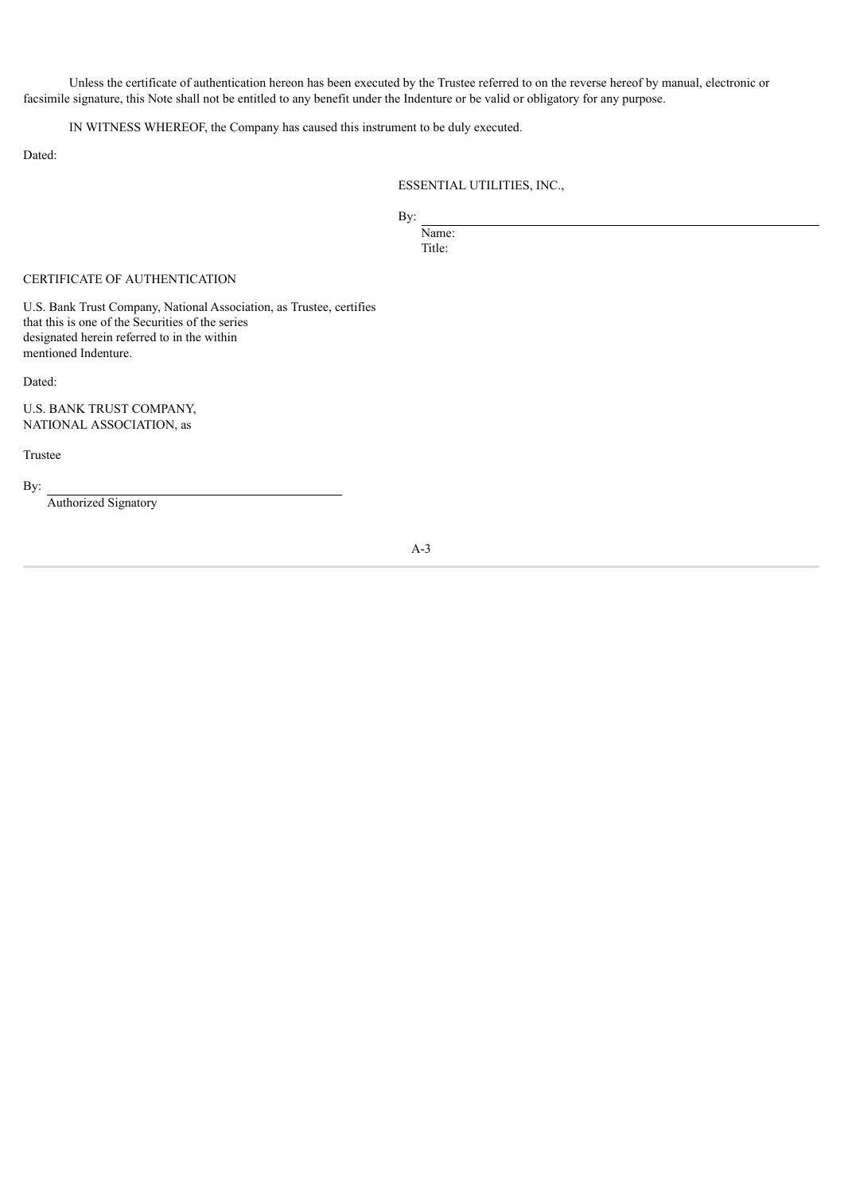Unless the certificate of authentication hereon has been executed by the Trustee referred to on the reverse hereof by manual, electronic or facsimile signature, this Note shall not be entitled to any benefit under the Indenture or be valid or obligatory for any purpose.

IN WITNESS WHEREOF, the Company has caused this instrument to be duly executed.

Dated:

# ESSENTIAL UTILITIES, INC.,

By:

Name: Title:

# CERTIFICATE OF AUTHENTICATION

U.S. Bank Trust Company, National Association, as Trustee, certifies that this is one of the Securities of the series designated herein referred to in the within mentioned Indenture.

Dated:

U.S. BANK TRUST COMPANY, NATIONAL ASSOCIATION, as

Trustee

By:

Authorized Signatory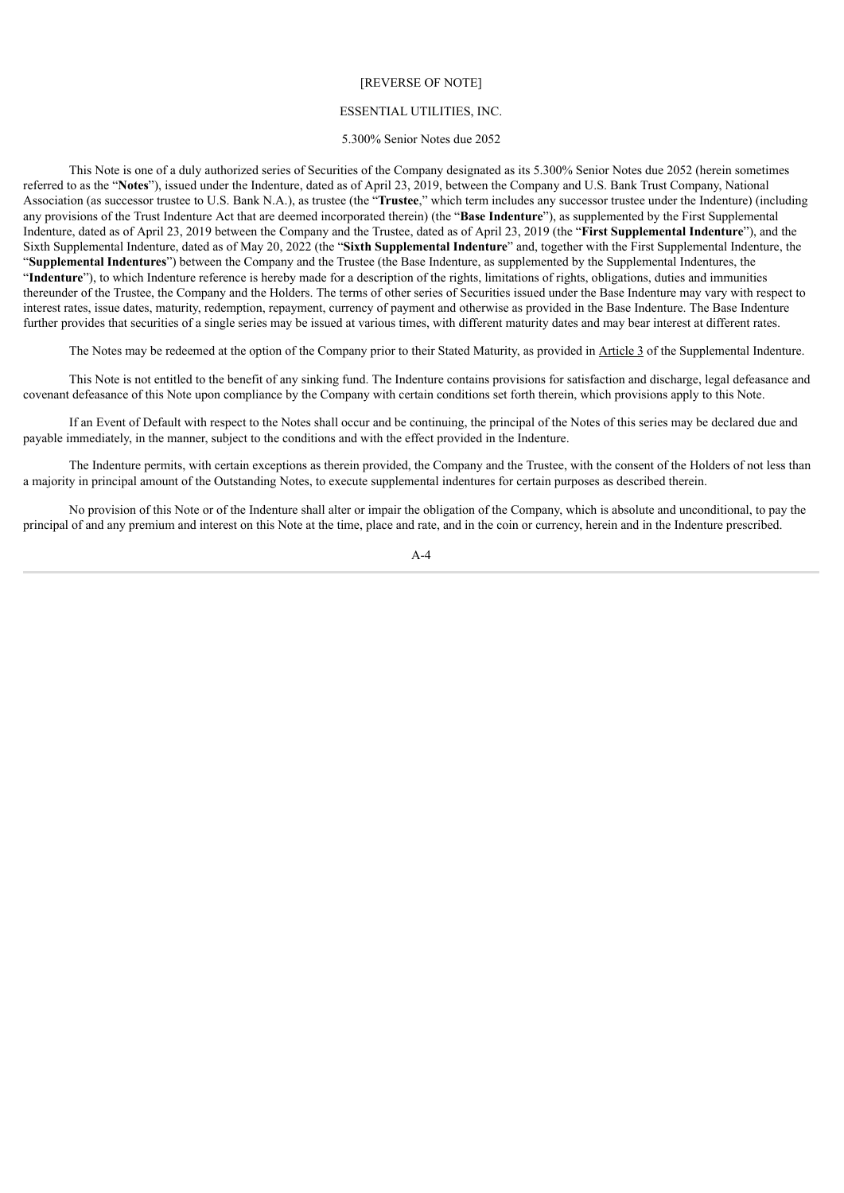#### [REVERSE OF NOTE]

#### ESSENTIAL UTILITIES, INC.

5.300% Senior Notes due 2052

This Note is one of a duly authorized series of Securities of the Company designated as its 5.300% Senior Notes due 2052 (herein sometimes referred to as the "**Notes**"), issued under the Indenture, dated as of April 23, 2019, between the Company and U.S. Bank Trust Company, National Association (as successor trustee to U.S. Bank N.A.), as trustee (the "**Trustee**," which term includes any successor trustee under the Indenture) (including any provisions of the Trust Indenture Act that are deemed incorporated therein) (the "**Base Indenture**"), as supplemented by the First Supplemental Indenture, dated as of April 23, 2019 between the Company and the Trustee, dated as of April 23, 2019 (the "**First Supplemental Indenture**"), and the Sixth Supplemental Indenture, dated as of May 20, 2022 (the "**Sixth Supplemental Indenture**" and, together with the First Supplemental Indenture, the "**Supplemental Indentures**") between the Company and the Trustee (the Base Indenture, as supplemented by the Supplemental Indentures, the "**Indenture**"), to which Indenture reference is hereby made for a description of the rights, limitations of rights, obligations, duties and immunities thereunder of the Trustee, the Company and the Holders. The terms of other series of Securities issued under the Base Indenture may vary with respect to interest rates, issue dates, maturity, redemption, repayment, currency of payment and otherwise as provided in the Base Indenture. The Base Indenture further provides that securities of a single series may be issued at various times, with different maturity dates and may bear interest at different rates.

The Notes may be redeemed at the option of the Company prior to their Stated Maturity, as provided in Article 3 of the Supplemental Indenture.

This Note is not entitled to the benefit of any sinking fund. The Indenture contains provisions for satisfaction and discharge, legal defeasance and covenant defeasance of this Note upon compliance by the Company with certain conditions set forth therein, which provisions apply to this Note.

If an Event of Default with respect to the Notes shall occur and be continuing, the principal of the Notes of this series may be declared due and payable immediately, in the manner, subject to the conditions and with the effect provided in the Indenture.

The Indenture permits, with certain exceptions as therein provided, the Company and the Trustee, with the consent of the Holders of not less than a majority in principal amount of the Outstanding Notes, to execute supplemental indentures for certain purposes as described therein.

No provision of this Note or of the Indenture shall alter or impair the obligation of the Company, which is absolute and unconditional, to pay the principal of and any premium and interest on this Note at the time, place and rate, and in the coin or currency, herein and in the Indenture prescribed.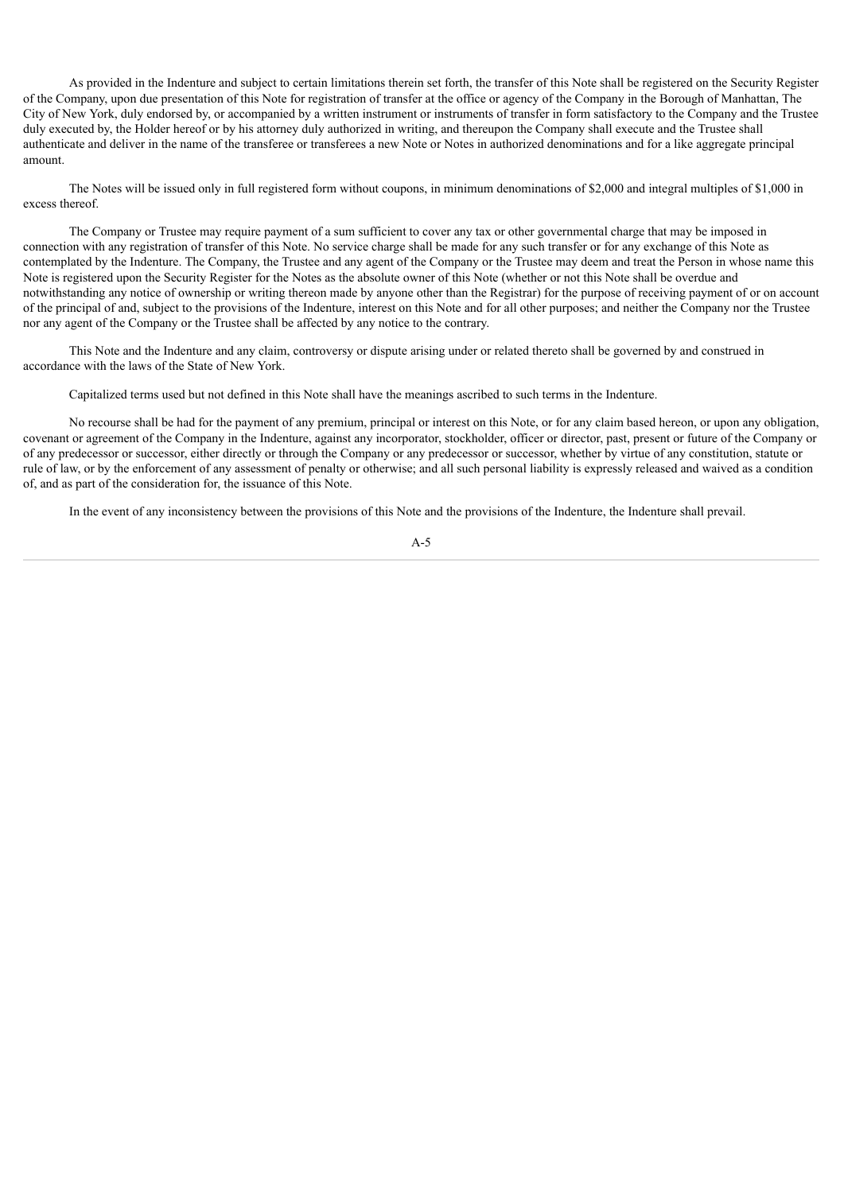As provided in the Indenture and subject to certain limitations therein set forth, the transfer of this Note shall be registered on the Security Register of the Company, upon due presentation of this Note for registration of transfer at the office or agency of the Company in the Borough of Manhattan, The City of New York, duly endorsed by, or accompanied by a written instrument or instruments of transfer in form satisfactory to the Company and the Trustee duly executed by, the Holder hereof or by his attorney duly authorized in writing, and thereupon the Company shall execute and the Trustee shall authenticate and deliver in the name of the transferee or transferees a new Note or Notes in authorized denominations and for a like aggregate principal amount.

The Notes will be issued only in full registered form without coupons, in minimum denominations of \$2,000 and integral multiples of \$1,000 in excess thereof.

The Company or Trustee may require payment of a sum sufficient to cover any tax or other governmental charge that may be imposed in connection with any registration of transfer of this Note. No service charge shall be made for any such transfer or for any exchange of this Note as contemplated by the Indenture. The Company, the Trustee and any agent of the Company or the Trustee may deem and treat the Person in whose name this Note is registered upon the Security Register for the Notes as the absolute owner of this Note (whether or not this Note shall be overdue and notwithstanding any notice of ownership or writing thereon made by anyone other than the Registrar) for the purpose of receiving payment of or on account of the principal of and, subject to the provisions of the Indenture, interest on this Note and for all other purposes; and neither the Company nor the Trustee nor any agent of the Company or the Trustee shall be affected by any notice to the contrary.

This Note and the Indenture and any claim, controversy or dispute arising under or related thereto shall be governed by and construed in accordance with the laws of the State of New York.

Capitalized terms used but not defined in this Note shall have the meanings ascribed to such terms in the Indenture.

No recourse shall be had for the payment of any premium, principal or interest on this Note, or for any claim based hereon, or upon any obligation, covenant or agreement of the Company in the Indenture, against any incorporator, stockholder, officer or director, past, present or future of the Company or of any predecessor or successor, either directly or through the Company or any predecessor or successor, whether by virtue of any constitution, statute or rule of law, or by the enforcement of any assessment of penalty or otherwise; and all such personal liability is expressly released and waived as a condition of, and as part of the consideration for, the issuance of this Note.

In the event of any inconsistency between the provisions of this Note and the provisions of the Indenture, the Indenture shall prevail.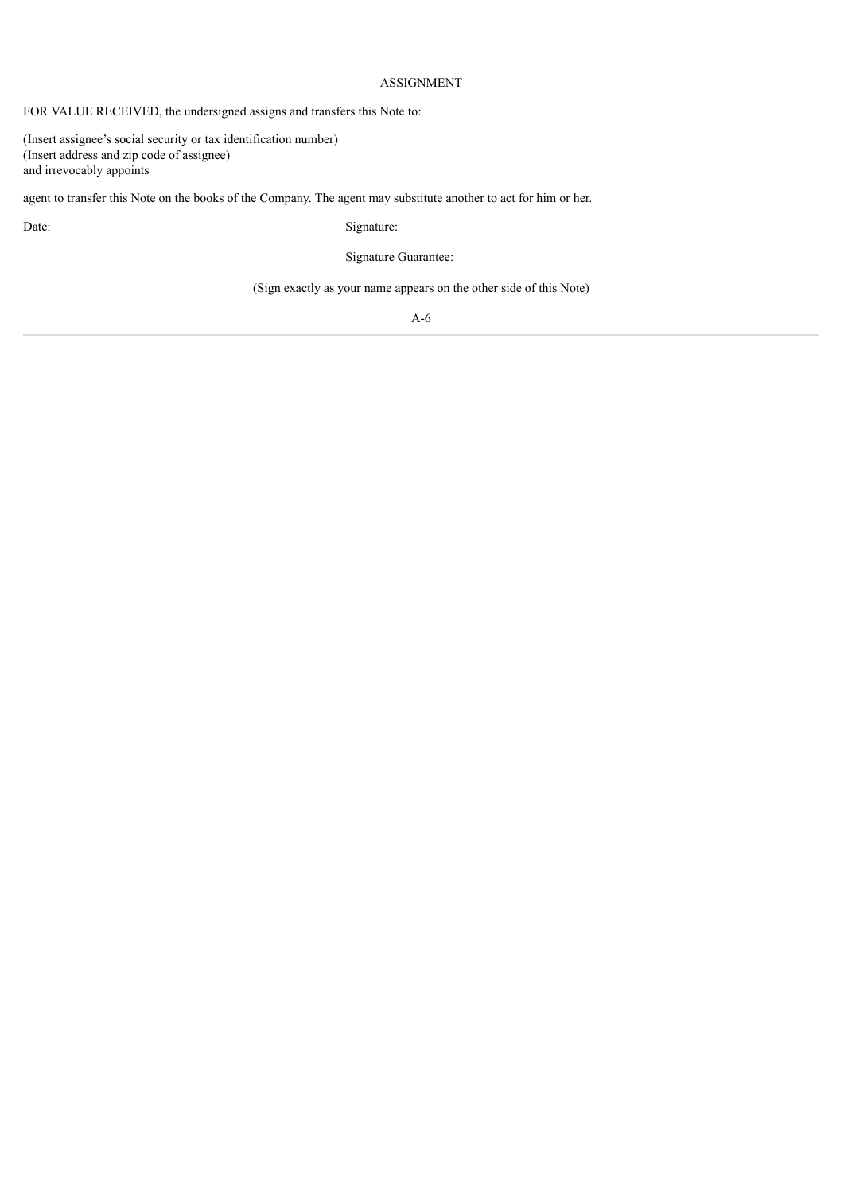#### ASSIGNMENT

# FOR VALUE RECEIVED, the undersigned assigns and transfers this Note to:

(Insert assignee's social security or tax identification number) (Insert address and zip code of assignee) and irrevocably appoints

agent to transfer this Note on the books of the Company. The agent may substitute another to act for him or her.

Date: Signature:

Signature Guarantee:

(Sign exactly as your name appears on the other side of this Note)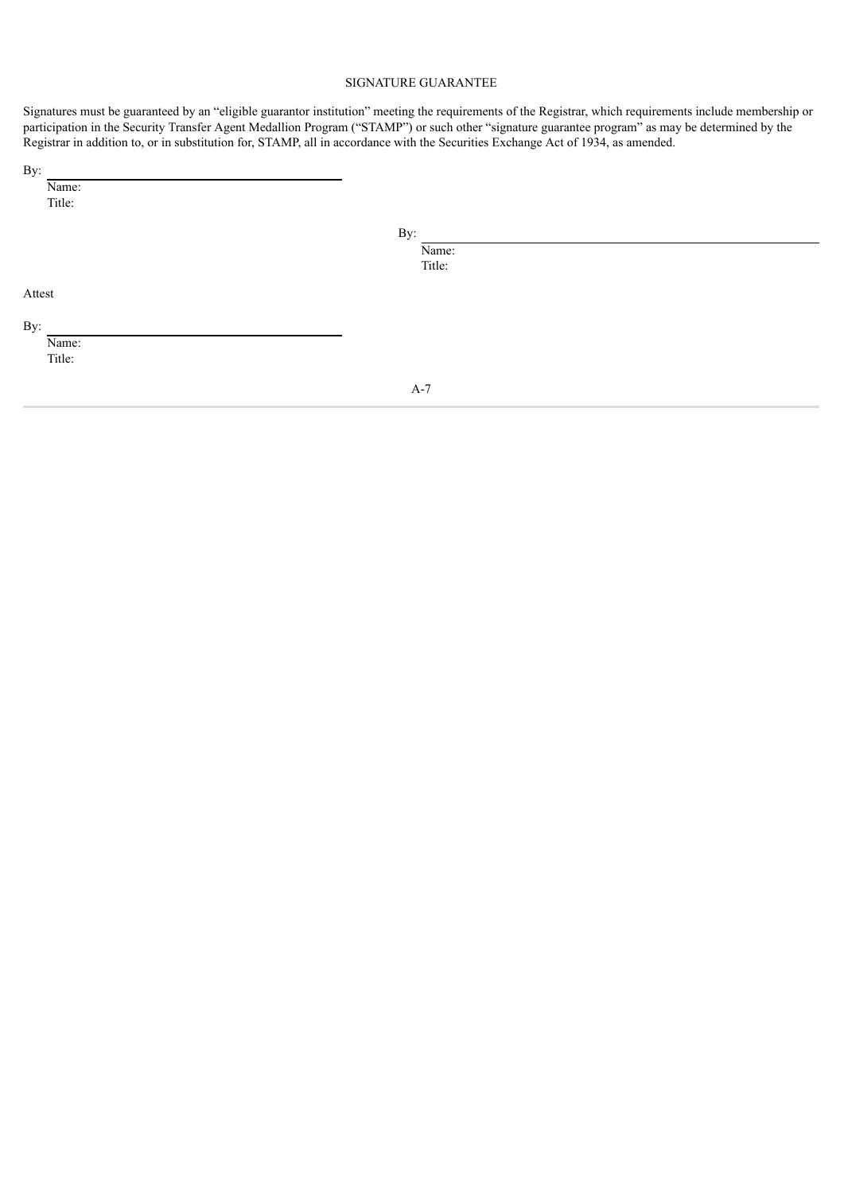#### SIGNATURE GUARANTEE

Signatures must be guaranteed by an "eligible guarantor institution" meeting the requirements of the Registrar, which requirements include membership or participation in the Security Transfer Agent Medallion Program ("STAMP") or such other "signature guarantee program" as may be determined by the Registrar in addition to, or in substitution for, STAMP, all in accordance with the Securities Exchange Act of 1934, as amended.

By:

Name: Title:

By:

Name: Title:

Attest

By:

Name: Title: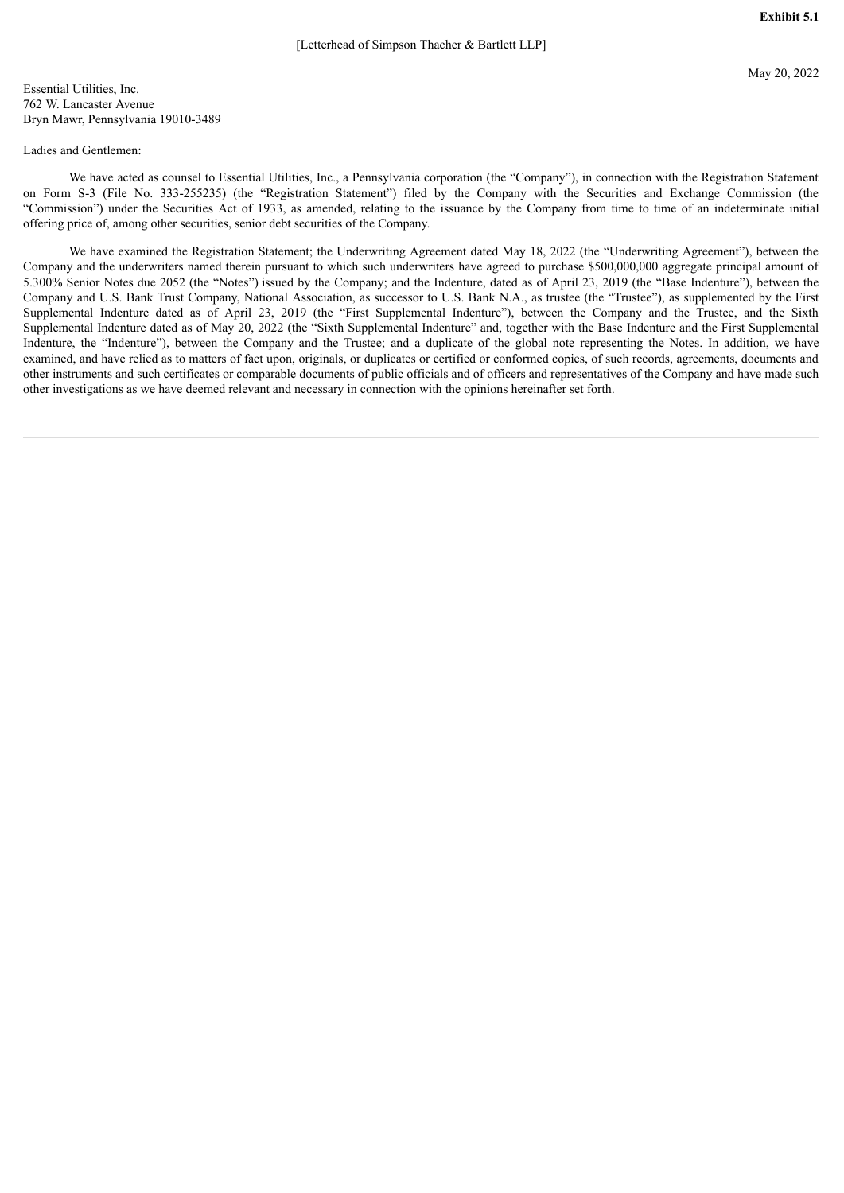#### <span id="page-59-0"></span>Ladies and Gentlemen:

We have acted as counsel to Essential Utilities, Inc., a Pennsylvania corporation (the "Company"), in connection with the Registration Statement on Form S-3 (File No. 333-255235) (the "Registration Statement") filed by the Company with the Securities and Exchange Commission (the "Commission") under the Securities Act of 1933, as amended, relating to the issuance by the Company from time to time of an indeterminate initial offering price of, among other securities, senior debt securities of the Company.

We have examined the Registration Statement; the Underwriting Agreement dated May 18, 2022 (the "Underwriting Agreement"), between the Company and the underwriters named therein pursuant to which such underwriters have agreed to purchase \$500,000,000 aggregate principal amount of 5.300% Senior Notes due 2052 (the "Notes") issued by the Company; and the Indenture, dated as of April 23, 2019 (the "Base Indenture"), between the Company and U.S. Bank Trust Company, National Association, as successor to U.S. Bank N.A., as trustee (the "Trustee"), as supplemented by the First Supplemental Indenture dated as of April 23, 2019 (the "First Supplemental Indenture"), between the Company and the Trustee, and the Sixth Supplemental Indenture dated as of May 20, 2022 (the "Sixth Supplemental Indenture" and, together with the Base Indenture and the First Supplemental Indenture, the "Indenture"), between the Company and the Trustee; and a duplicate of the global note representing the Notes. In addition, we have examined, and have relied as to matters of fact upon, originals, or duplicates or certified or conformed copies, of such records, agreements, documents and other instruments and such certificates or comparable documents of public officials and of officers and representatives of the Company and have made such other investigations as we have deemed relevant and necessary in connection with the opinions hereinafter set forth.

May 20, 2022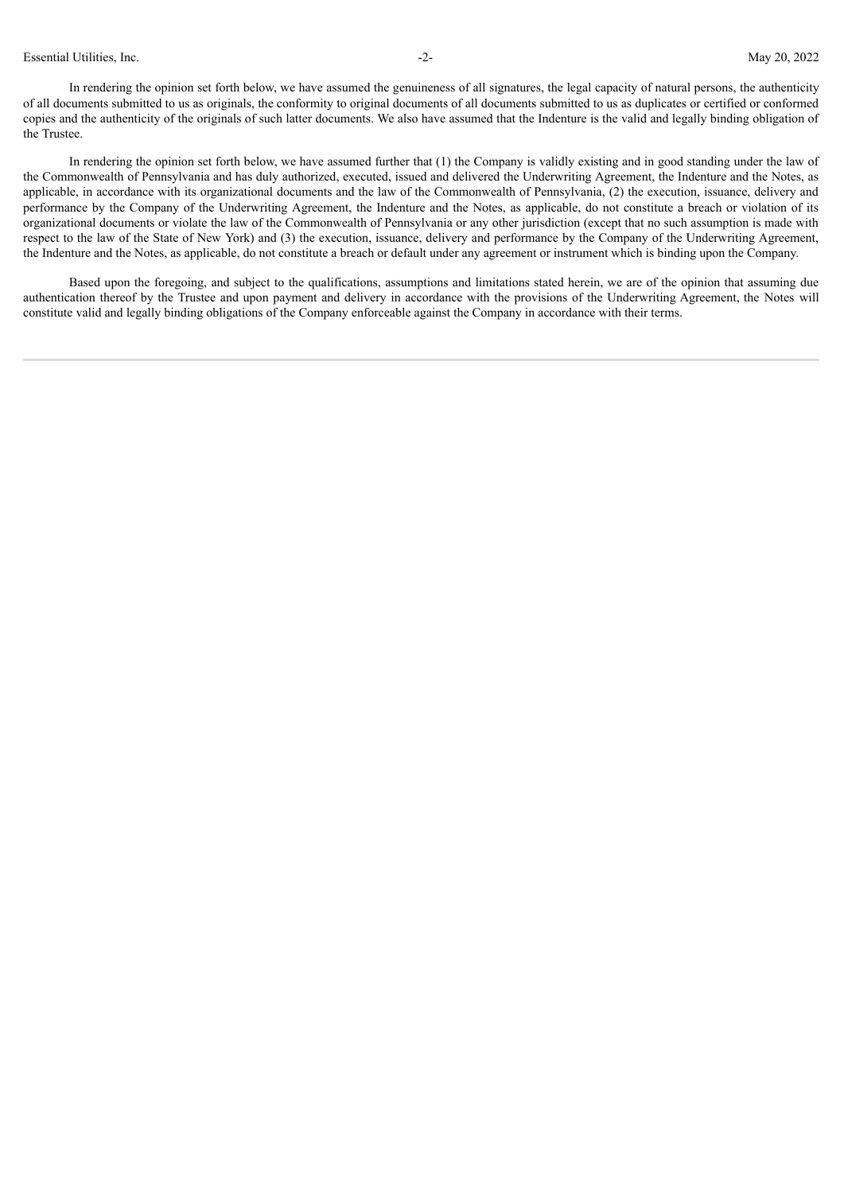In rendering the opinion set forth below, we have assumed the genuineness of all signatures, the legal capacity of natural persons, the authenticity of all documents submitted to us as originals, the conformity to original documents of all documents submitted to us as duplicates or certified or conformed copies and the authenticity of the originals of such latter documents. We also have assumed that the Indenture is the valid and legally binding obligation of the Trustee.

In rendering the opinion set forth below, we have assumed further that (1) the Company is validly existing and in good standing under the law of the Commonwealth of Pennsylvania and has duly authorized, executed, issued and delivered the Underwriting Agreement, the Indenture and the Notes, as applicable, in accordance with its organizational documents and the law of the Commonwealth of Pennsylvania, (2) the execution, issuance, delivery and performance by the Company of the Underwriting Agreement, the Indenture and the Notes, as applicable, do not constitute a breach or violation of its organizational documents or violate the law of the Commonwealth of Pennsylvania or any other jurisdiction (except that no such assumption is made with respect to the law of the State of New York) and (3) the execution, issuance, delivery and performance by the Company of the Underwriting Agreement, the Indenture and the Notes, as applicable, do not constitute a breach or default under any agreement or instrument which is binding upon the Company.

Based upon the foregoing, and subject to the qualifications, assumptions and limitations stated herein, we are of the opinion that assuming due authentication thereof by the Trustee and upon payment and delivery in accordance with the provisions of the Underwriting Agreement, the Notes will constitute valid and legally binding obligations of the Company enforceable against the Company in accordance with their terms.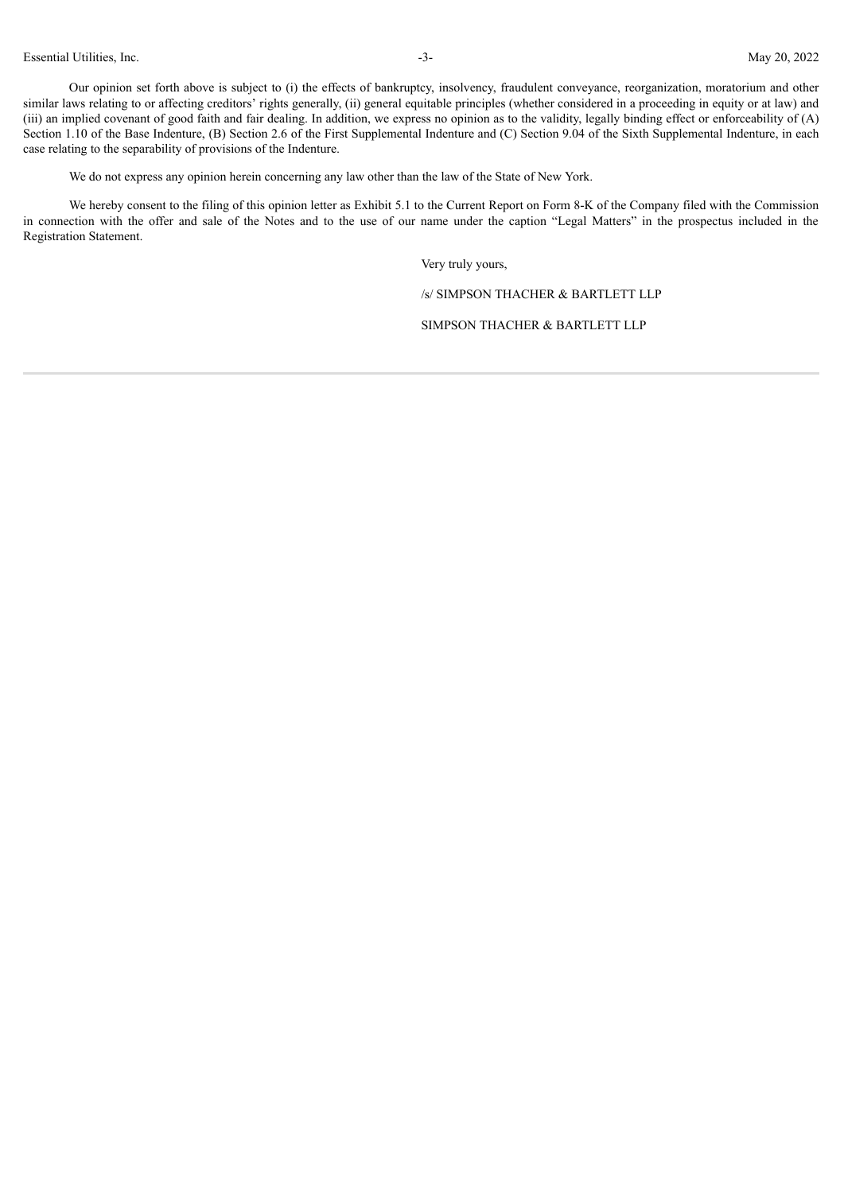Our opinion set forth above is subject to (i) the effects of bankruptcy, insolvency, fraudulent conveyance, reorganization, moratorium and other similar laws relating to or affecting creditors' rights generally, (ii) general equitable principles (whether considered in a proceeding in equity or at law) and (iii) an implied covenant of good faith and fair dealing. In addition, we express no opinion as to the validity, legally binding effect or enforceability of (A) Section 1.10 of the Base Indenture, (B) Section 2.6 of the First Supplemental Indenture and (C) Section 9.04 of the Sixth Supplemental Indenture, in each case relating to the separability of provisions of the Indenture.

We do not express any opinion herein concerning any law other than the law of the State of New York.

We hereby consent to the filing of this opinion letter as Exhibit 5.1 to the Current Report on Form 8-K of the Company filed with the Commission in connection with the offer and sale of the Notes and to the use of our name under the caption "Legal Matters" in the prospectus included in the Registration Statement.

Very truly yours,

/s/ SIMPSON THACHER & BARTLETT LLP

SIMPSON THACHER & BARTLETT LLP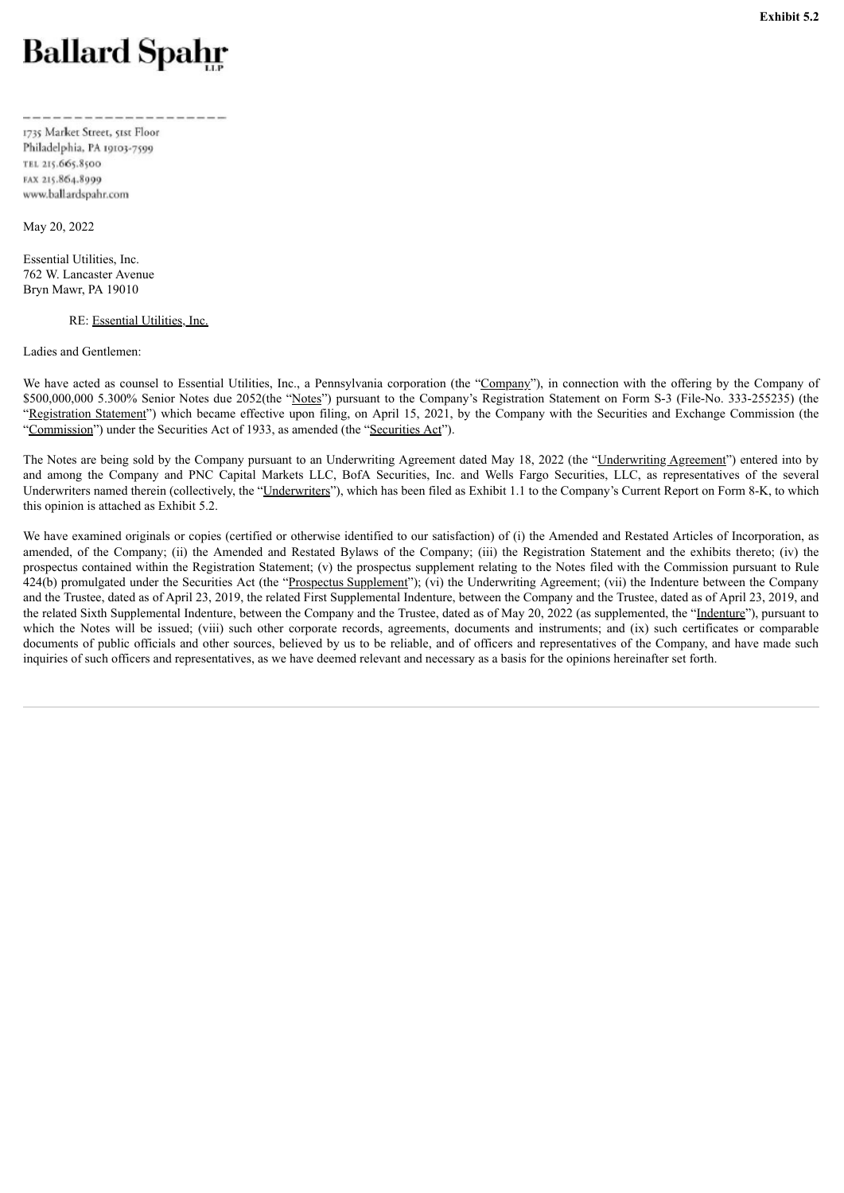# <span id="page-62-0"></span>**Ballard Spahr**

1735 Market Street, 51st Floor Philadelphia, PA 19103-7599 TEL 215.665.8500 FAX 215.864.8999 www.ballardspahr.com

May 20, 2022

Essential Utilities, Inc. 762 W. Lancaster Avenue Bryn Mawr, PA 19010

RE: Essential Utilities, Inc.

Ladies and Gentlemen:

We have acted as counsel to Essential Utilities, Inc., a Pennsylvania corporation (the "Company"), in connection with the offering by the Company of \$500,000,000 5.300% Senior Notes due 2052(the "Notes") pursuant to the Company's Registration Statement on Form S-3 (File-No. 333-255235) (the "Registration Statement") which became effective upon filing, on April 15, 2021, by the Company with the Securities and Exchange Commission (the "Commission") under the Securities Act of 1933, as amended (the "Securities Act").

The Notes are being sold by the Company pursuant to an Underwriting Agreement dated May 18, 2022 (the "Underwriting Agreement") entered into by and among the Company and PNC Capital Markets LLC, BofA Securities, Inc. and Wells Fargo Securities, LLC, as representatives of the several Underwriters named therein (collectively, the "Underwriters"), which has been filed as Exhibit 1.1 to the Company's Current Report on Form 8-K, to which this opinion is attached as Exhibit 5.2.

We have examined originals or copies (certified or otherwise identified to our satisfaction) of (i) the Amended and Restated Articles of Incorporation, as amended, of the Company; (ii) the Amended and Restated Bylaws of the Company; (iii) the Registration Statement and the exhibits thereto; (iv) the prospectus contained within the Registration Statement; (v) the prospectus supplement relating to the Notes filed with the Commission pursuant to Rule 424(b) promulgated under the Securities Act (the "Prospectus Supplement"); (vi) the Underwriting Agreement; (vii) the Indenture between the Company and the Trustee, dated as of April 23, 2019, the related First Supplemental Indenture, between the Company and the Trustee, dated as of April 23, 2019, and the related Sixth Supplemental Indenture, between the Company and the Trustee, dated as of May 20, 2022 (as supplemented, the "Indenture"), pursuant to which the Notes will be issued; (viii) such other corporate records, agreements, documents and instruments; and (ix) such certificates or comparable documents of public officials and other sources, believed by us to be reliable, and of officers and representatives of the Company, and have made such inquiries of such officers and representatives, as we have deemed relevant and necessary as a basis for the opinions hereinafter set forth.